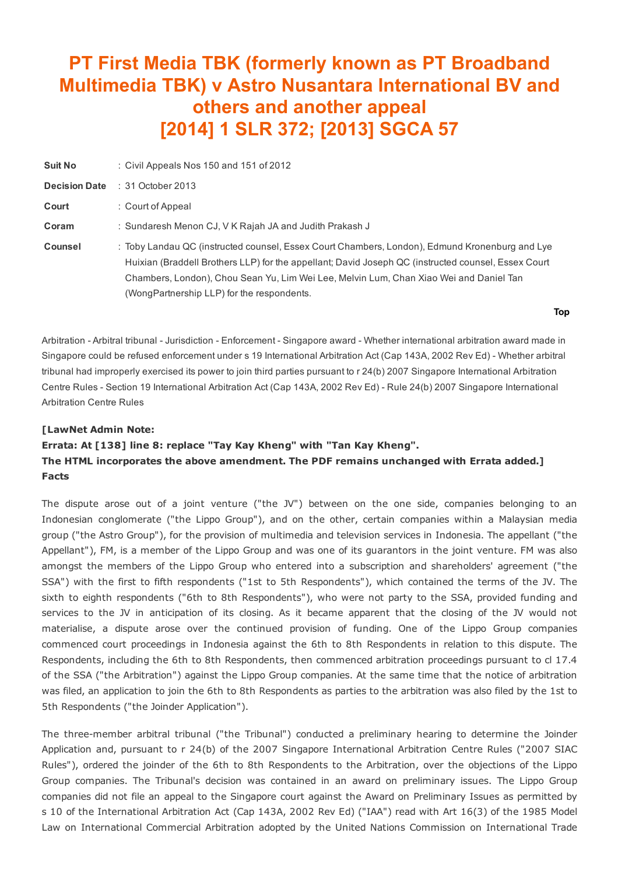# <span id="page-0-0"></span>PT First Media TBK (formerly known as PT Broadband Multimedia TBK) v Astro Nusantara International BV and others and another appeal [2014] 1 SLR 372; [2013] SGCA 57

| <b>Suit No</b>       | : Civil Appeals Nos 150 and 151 of 2012                                                                                                                                                                                                                                                                                                       |
|----------------------|-----------------------------------------------------------------------------------------------------------------------------------------------------------------------------------------------------------------------------------------------------------------------------------------------------------------------------------------------|
| <b>Decision Date</b> | $\therefore$ 31 October 2013                                                                                                                                                                                                                                                                                                                  |
| Court                | : Court of Appeal                                                                                                                                                                                                                                                                                                                             |
| Coram                | : Sundaresh Menon CJ, V K Rajah JA and Judith Prakash J                                                                                                                                                                                                                                                                                       |
| <b>Counsel</b>       | : Toby Landau QC (instructed counsel, Essex Court Chambers, London), Edmund Kronenburg and Lye<br>Huixian (Braddell Brothers LLP) for the appellant; David Joseph QC (instructed counsel, Essex Court<br>Chambers, London), Chou Sean Yu, Lim Wei Lee, Melvin Lum, Chan Xiao Wei and Daniel Tan<br>(WongPartnership LLP) for the respondents. |

[Top](#page-0-0)

Arbitration - Arbitral tribunal - Jurisdiction - Enforcement - Singapore award - Whether international arbitration award made in Singapore could be refused enforcement under s 19 International Arbitration Act (Cap 143A, 2002 Rev Ed) Whether arbitral tribunal had improperly exercised its power to join third parties pursuant to r 24(b) 2007 Singapore International Arbitration Centre Rules - Section 19 International Arbitration Act (Cap 143A, 2002 Rev Ed) - Rule 24(b) 2007 Singapore International Arbitration Centre Rules

# [LawNet Admin Note:

# Errata: At [138] line 8: replace "Tay Kay Kheng" with "Tan Kay Kheng". The HTML incorporates the above amendment. The PDF remains unchanged with Errata added.] Facts

The dispute arose out of a joint venture ("the JV") between on the one side, companies belonging to an Indonesian conglomerate ("the Lippo Group"), and on the other, certain companies within a Malaysian media group ("the Astro Group"), for the provision of multimedia and television services in Indonesia. The appellant ("the Appellant"), FM, is a member of the Lippo Group and was one of its guarantors in the joint venture. FM was also amongst the members of the Lippo Group who entered into a subscription and shareholders' agreement ("the SSA") with the first to fifth respondents ("1st to 5th Respondents"), which contained the terms of the JV. The sixth to eighth respondents ("6th to 8th Respondents"), who were not party to the SSA, provided funding and services to the JV in anticipation of its closing. As it became apparent that the closing of the JV would not materialise, a dispute arose over the continued provision of funding. One of the Lippo Group companies commenced court proceedings in Indonesia against the 6th to 8th Respondents in relation to this dispute. The Respondents, including the 6th to 8th Respondents, then commenced arbitration proceedings pursuant to cl 17.4 of the SSA ("the Arbitration") against the Lippo Group companies. At the same time that the notice of arbitration was filed, an application to join the 6th to 8th Respondents as parties to the arbitration was also filed by the 1st to 5th Respondents ("the Joinder Application").

The threemember arbitral tribunal ("the Tribunal") conducted a preliminary hearing to determine the Joinder Application and, pursuant to r 24(b) of the 2007 Singapore International Arbitration Centre Rules ("2007 SIAC Rules"), ordered the joinder of the 6th to 8th Respondents to the Arbitration, over the objections of the Lippo Group companies. The Tribunal's decision was contained in an award on preliminary issues. The Lippo Group companies did not file an appeal to the Singapore court against the Award on Preliminary Issues as permitted by s 10 of the International Arbitration Act (Cap 143A, 2002 Rev Ed) ("IAA") read with Art 16(3) of the 1985 Model Law on International Commercial Arbitration adopted by the United Nations Commission on International Trade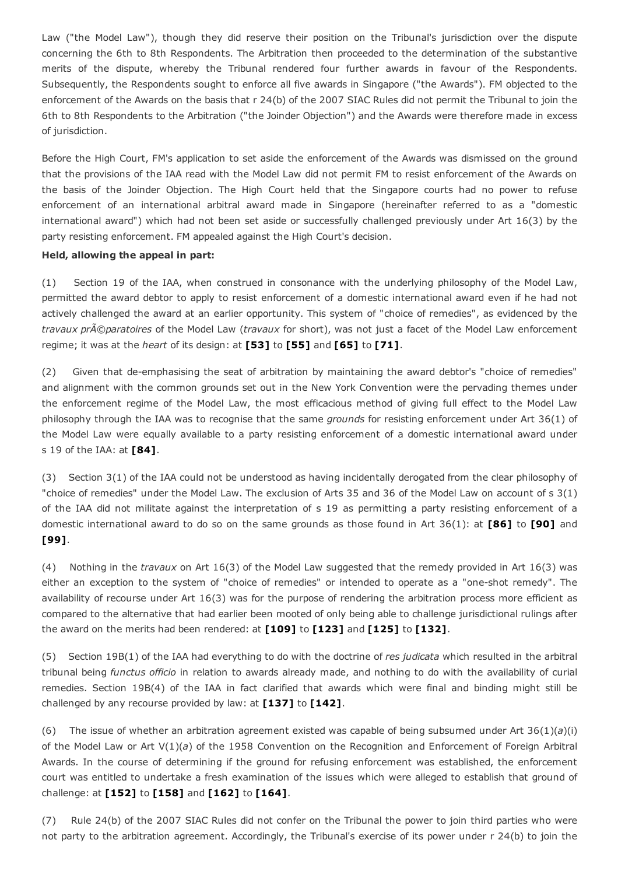Law ("the Model Law"), though they did reserve their position on the Tribunal's jurisdiction over the dispute concerning the 6th to 8th Respondents. The Arbitration then proceeded to the determination of the substantive merits of the dispute, whereby the Tribunal rendered four further awards in favour of the Respondents. Subsequently, the Respondents sought to enforce all five awards in Singapore ("the Awards"). FM objected to the enforcement of the Awards on the basis that r 24(b) of the 2007 SIAC Rules did not permit the Tribunal to join the 6th to 8th Respondents to the Arbitration ("the Joinder Objection") and the Awards were therefore made in excess of jurisdiction.

Before the High Court, FM's application to set aside the enforcement of the Awards was dismissed on the ground that the provisions of the IAA read with the Model Law did not permit FM to resist enforcement of the Awards on the basis of the Joinder Objection. The High Court held that the Singapore courts had no power to refuse enforcement of an international arbitral award made in Singapore (hereinafter referred to as a "domestic international award") which had not been set aside or successfully challenged previously under Art 16(3) by the party resisting enforcement. FM appealed against the High Court's decision.

# Held, allowing the appeal in part:

(1) Section 19 of the IAA, when construed in consonance with the underlying philosophy of the Model Law, permitted the award debtor to apply to resist enforcement of a domestic international award even if he had not actively challenged the award at an earlier opportunity. This system of "choice of remedies", as evidenced by the travaux pr©paratoires of the Model Law (travaux for short), was not just a facet of the Model Law enforcement regime; it was at the *heart* of its design: at  $[53]$  to  $[55]$  and  $[65]$  to  $[71]$ .

(2) Given that de-emphasising the seat of arbitration by maintaining the award debtor's "choice of remedies" and alignment with the common grounds set out in the New York Convention were the pervading themes under the enforcement regime of the Model Law, the most efficacious method of giving full effect to the Model Law philosophy through the IAA was to recognise that the same grounds for resisting enforcement under Art 36(1) of the Model Law were equally available to a party resisting enforcement of a domestic international award under s 19 of the IAA: at **[84]**.

(3) Section 3(1) of the IAA could not be understood as having incidentally derogated from the clear philosophy of "choice of remedies" under the Model Law. The exclusion of Arts 35 and 36 of the Model Law on account of s 3(1) of the IAA did not militate against the interpretation of s 19 as permitting a party resisting enforcement of a domestic international award to do so on the same grounds as those found in Art  $36(1)$ : at [\[86\]](#page-21-0) to [\[90\]](#page-22-0) and [\[99\]](#page-23-0).

(4) Nothing in the travaux on Art 16(3) of the Model Law suggested that the remedy provided in Art 16(3) was either an exception to the system of "choice of remedies" or intended to operate as a "one-shot remedy". The availability of recourse under Art 16(3) was for the purpose of rendering the arbitration process more efficient as compared to the alternative that had earlier been mooted of only being able to challenge jurisdictional rulings after the award on the merits had been rendered: at [\[109\]](#page-25-0) to [\[123\]](#page-27-0) and [\[125\]](#page-27-1) to [\[132\]](#page-29-0).

(5) Section 19B(1) of the IAA had everything to do with the doctrine of res judicata which resulted in the arbitral tribunal being functus officio in relation to awards already made, and nothing to do with the availability of curial remedies. Section 19B(4) of the IAA in fact clarified that awards which were final and binding might still be challenged by any recourse provided by law: at [\[137\]](#page-30-0) to [\[142\]](#page-31-0).

(6) The issue of whether an arbitration agreement existed was capable of being subsumed under Art  $36(1)(a)(i)$ of the Model Law or Art V(1)(a) of the 1958 Convention on the Recognition and Enforcement of Foreign Arbitral Awards. In the course of determining if the ground for refusing enforcement was established, the enforcement court was entitled to undertake a fresh examination of the issues which were alleged to establish that ground of challenge: at [\[152\]](#page-34-0) to [\[158\]](#page-35-0) and [\[162\]](#page-36-0) to [\[164\].](#page-36-1)

(7) Rule 24(b) of the 2007 SIAC Rules did not confer on the Tribunal the power to join third parties who were not party to the arbitration agreement. Accordingly, the Tribunal's exercise of its power under r 24(b) to join the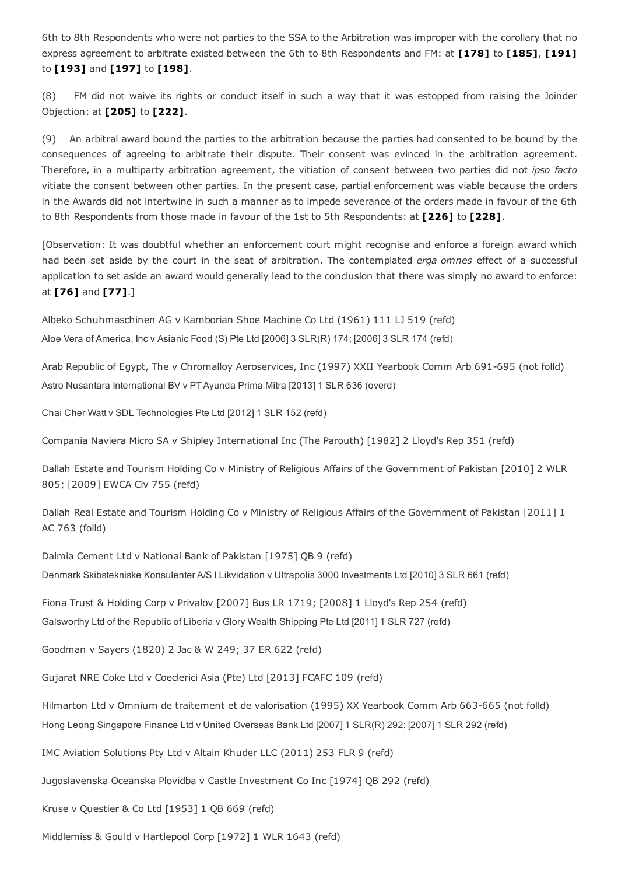6th to 8th Respondents who were not parties to the SSA to the Arbitration was improper with the corollary that no express agreement to arbitrate existed between the 6th to 8th Respondents and FM: at [\[178\]](#page-39-0) to [\[185\]](#page-41-0), [\[191\]](#page-42-0) to [\[193\]](#page-43-0) and [\[197\]](#page-43-1) to [\[198\]](#page-44-0).

(8) FM did not waive its rights or conduct itself in such a way that it was estopped from raising the Joinder Objection: at [\[205\]](#page-45-0) to [\[222\].](#page-48-0)

(9) An arbitral award bound the parties to the arbitration because the parties had consented to be bound by the consequences of agreeing to arbitrate their dispute. Their consent was evinced in the arbitration agreement. Therefore, in a multiparty arbitration agreement, the vitiation of consent between two parties did not ipso facto vitiate the consent between other parties. In the present case, partial enforcement was viable because the orders in the Awards did not intertwine in such a manner as to impede severance of the orders made in favour of the 6th to 8th Respondents from those made in favour of the 1st to 5th Respondents: at [\[226\]](#page-49-0) to [\[228\].](#page-50-0)

[Observation: It was doubtful whether an enforcement court might recognise and enforce a foreign award which had been set aside by the court in the seat of arbitration. The contemplated erga omnes effect of a successful application to set aside an award would generally lead to the conclusion that there was simply no award to enforce: at [\[76\]](#page-18-0) and [\[77\].](#page-19-0)]

Albeko Schuhmaschinen AG v Kamborian Shoe Machine Co Ltd (1961) 111 LJ 519 (refd) Aloe Vera of America, Inc v Asianic Food (S) Pte Ltd [2006] 3 SLR(R) 174; [2006] 3 SLR 174 (refd)

Arab Republic of Egypt, The v Chromalloy Aeroservices, Inc (1997) XXII Yearbook Comm Arb 691-695 (not folld) Astro Nusantara International BV v PTAyunda Prima Mitra [2013] 1 SLR 636 (overd)

Chai Cher Watt v SDL Technologies Pte Ltd [2012] 1 SLR 152 (refd)

Compania Naviera Micro SA v Shipley International Inc (The Parouth) [1982] 2 Lloyd's Rep 351 (refd)

Dallah Estate and Tourism Holding Co v Ministry of Religious Affairs of the Government of Pakistan [2010] 2 WLR 805; [2009] EWCA Civ 755 (refd)

Dallah Real Estate and Tourism Holding Co v Ministry of Religious Affairs of the Government of Pakistan [2011] 1 AC 763 (folld)

Dalmia Cement Ltd v National Bank of Pakistan [1975] QB 9 (refd)

Denmark Skibstekniske Konsulenter A/S I Likvidation v Ultrapolis 3000 Investments Ltd [2010] 3 SLR 661 (refd)

Fiona Trust & Holding Corp v Privalov [2007] Bus LR 1719; [2008] 1 Lloyd's Rep 254 (refd) Galsworthy Ltd of the Republic of Liberia v Glory Wealth Shipping Pte Ltd [2011] 1 SLR 727 (refd)

Goodman v Sayers (1820) 2 Jac & W 249; 37 ER 622 (refd)

Gujarat NRE Coke Ltd v Coeclerici Asia (Pte) Ltd [2013] FCAFC 109 (refd)

Hilmarton Ltd v Omnium de traitement et de valorisation (1995) XX Yearbook Comm Arb 663-665 (not folld) Hong Leong Singapore Finance Ltd v United Overseas Bank Ltd [2007] 1 SLR(R) 292; [2007] 1 SLR 292 (refd)

IMC Aviation Solutions Pty Ltd v Altain Khuder LLC (2011) 253 FLR 9 (refd)

Jugoslavenska Oceanska Plovidba v Castle Investment Co Inc [1974] QB 292 (refd)

Kruse v Questier & Co Ltd [1953] 1 QB 669 (refd)

Middlemiss & Gould v Hartlepool Corp [1972] 1 WLR 1643 (refd)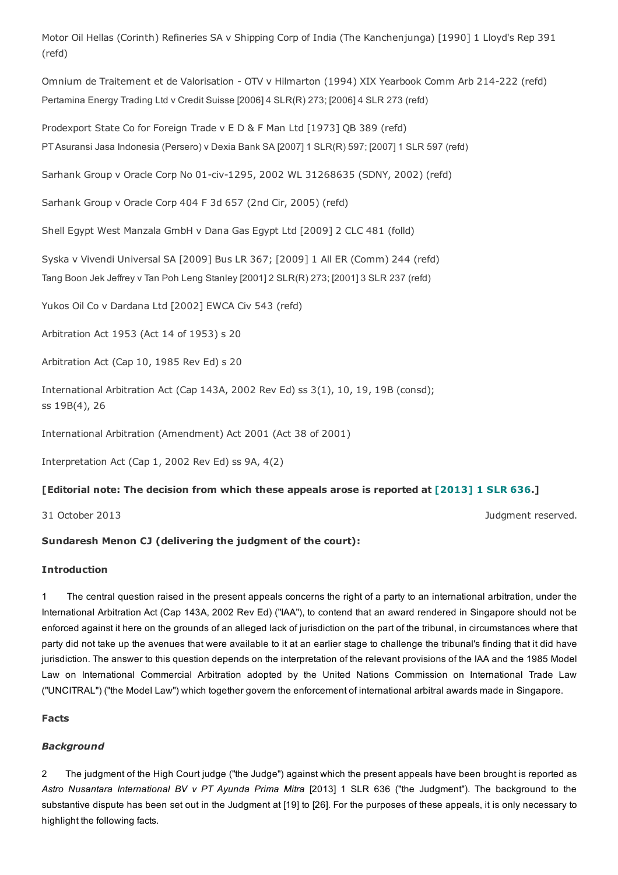Motor Oil Hellas (Corinth) Refineries SA v Shipping Corp of India (The Kanchenjunga) [1990] 1 Lloyd's Rep 391 (refd)

Omnium de Traitement et de Valorisation - OTV v Hilmarton (1994) XIX Yearbook Comm Arb 214-222 (refd) Pertamina Energy Trading Ltd v Credit Suisse [2006] 4 SLR(R) 273; [2006] 4 SLR 273 (refd)

Prodexport State Co for Foreign Trade v E D & F Man Ltd [1973] QB 389 (refd) PTAsuransi Jasa Indonesia (Persero) v Dexia Bank SA [2007] 1 SLR(R) 597; [2007] 1 SLR 597 (refd)

Sarhank Group v Oracle Corp No 01-civ-1295, 2002 WL 31268635 (SDNY, 2002) (refd)

Sarhank Group v Oracle Corp 404 F 3d 657 (2nd Cir, 2005) (refd)

Shell Egypt West Manzala GmbH v Dana Gas Egypt Ltd [2009] 2 CLC 481 (folld)

Syska v Vivendi Universal SA [2009] Bus LR 367; [2009] 1 All ER (Comm) 244 (refd) Tang Boon Jek Jeffrey v Tan Poh Leng Stanley [2001] 2 SLR(R) 273; [2001] 3 SLR 237 (refd)

Yukos Oil Co v Dardana Ltd [2002] EWCA Civ 543 (refd)

Arbitration Act 1953 (Act 14 of 1953) s 20

Arbitration Act (Cap 10, 1985 Rev Ed) s 20

International Arbitration Act (Cap 143A, 2002 Rev Ed) ss 3(1), 10, 19, 19B (consd); ss 19B(4), 26

International Arbitration (Amendment) Act 2001 (Act 38 of 2001)

Interpretation Act (Cap 1, 2002 Rev Ed) ss 9A, 4(2)

# [Editorial note: The decision from which these appeals arose is reported at [2013] 1 SLR 636.]

31 October 2013 Judgment reserved.

### Sundaresh Menon CJ (delivering the judgment of the court):

# Introduction

1 The central question raised in the present appeals concerns the right of a party to an international arbitration, under the International Arbitration Act (Cap 143A, 2002 Rev Ed) ("IAA"), to contend that an award rendered in Singapore should not be enforced against it here on the grounds of an alleged lack of jurisdiction on the part of the tribunal, in circumstances where that party did not take up the avenues that were available to it at an earlier stage to challenge the tribunal's finding that it did have jurisdiction. The answer to this question depends on the interpretation of the relevant provisions of the IAA and the 1985 Model Law on International Commercial Arbitration adopted by the United Nations Commission on International Trade Law ("UNCITRAL") ("the Model Law") which together govern the enforcement of international arbitral awards made in Singapore.

### Facts

# **Background**

<span id="page-3-0"></span>2 The judgment of the High Court judge ("the Judge") against which the present appeals have been brought is reported as Astro Nusantara International BV v PT Ayunda Prima Mitra [2013] 1 SLR 636 ("the Judgment"). The background to the substantive dispute has been set out in the Judgment at [19] to [26]. For the purposes of these appeals, it is only necessary to highlight the following facts.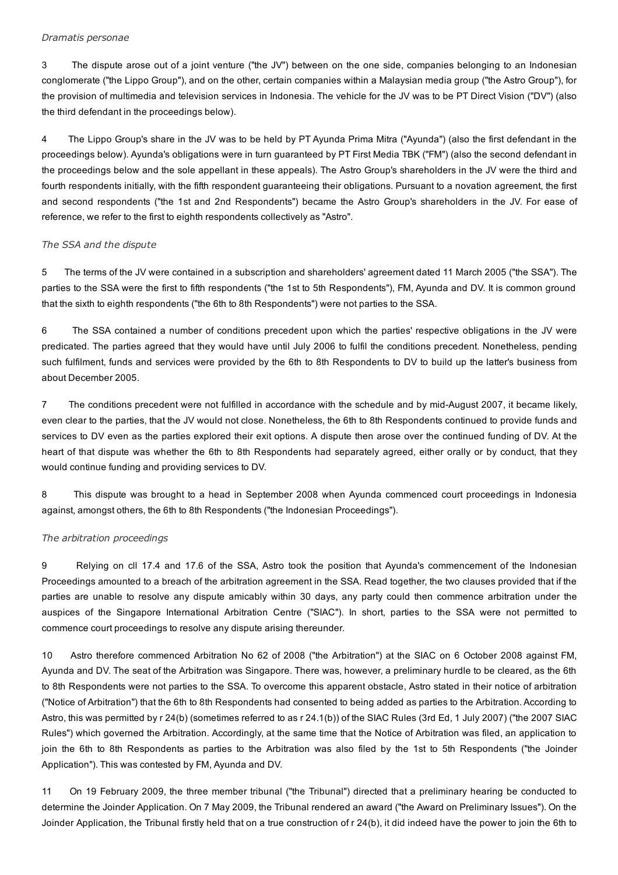### Dramatis personae

3 The dispute arose out of a joint venture ("the JV") between on the one side, companies belonging to an Indonesian conglomerate ("the Lippo Group"), and on the other, certain companies within a Malaysian media group ("the Astro Group"), for the provision of multimedia and television services in Indonesia. The vehicle for the JV was to be PT Direct Vision ("DV") (also the third defendant in the proceedings below).

4 The Lippo Group's share in the JV was to be held by PT Ayunda Prima Mitra ("Ayunda") (also the first defendant in the proceedings below). Ayunda's obligations were in turn guaranteed by PT First Media TBK ("FM") (also the second defendant in the proceedings below and the sole appellant in these appeals). The Astro Group's shareholders in the JV were the third and fourth respondents initially, with the fifth respondent guaranteeing their obligations. Pursuant to a novation agreement, the first and second respondents ("the 1st and 2nd Respondents") became the Astro Group's shareholders in the JV. For ease of reference, we refer to the first to eighth respondents collectively as "Astro".

# The SSA and the dispute

5 The terms of the JV were contained in a subscription and shareholders' agreement dated 11 March 2005 ("the SSA"). The parties to the SSA were the first to fifth respondents ("the 1st to 5th Respondents"), FM, Ayunda and DV. It is common ground that the sixth to eighth respondents ("the 6th to 8th Respondents") were not parties to the SSA.

6 The SSA contained a number of conditions precedent upon which the parties' respective obligations in the JV were predicated. The parties agreed that they would have until July 2006 to fulfil the conditions precedent. Nonetheless, pending such fulfilment, funds and services were provided by the 6th to 8th Respondents to DV to build up the latter's business from about December 2005.

7 The conditions precedent were not fulfilled in accordance with the schedule and by mid-August 2007, it became likely, even clear to the parties, that the JV would not close. Nonetheless, the 6th to 8th Respondents continued to provide funds and services to DV even as the parties explored their exit options. A dispute then arose over the continued funding of DV. At the heart of that dispute was whether the 6th to 8th Respondents had separately agreed, either orally or by conduct, that they would continue funding and providing services to DV.

8 This dispute was brought to a head in September 2008 when Ayunda commenced court proceedings in Indonesia against, amongst others, the 6th to 8th Respondents ("the Indonesian Proceedings").

# The arbitration proceedings

9 Relying on cll 17.4 and 17.6 of the SSA, Astro took the position that Ayunda's commencement of the Indonesian Proceedings amounted to a breach of the arbitration agreement in the SSA. Read together, the two clauses provided that if the parties are unable to resolve any dispute amicably within 30 days, any party could then commence arbitration under the auspices of the Singapore International Arbitration Centre ("SIAC"). In short, parties to the SSA were not permitted to commence court proceedings to resolve any dispute arising thereunder.

10 Astro therefore commenced Arbitration No 62 of 2008 ("the Arbitration") at the SIAC on 6 October 2008 against FM, Ayunda and DV. The seat of the Arbitration was Singapore. There was, however, a preliminary hurdle to be cleared, as the 6th to 8th Respondents were not parties to the SSA. To overcome this apparent obstacle, Astro stated in their notice of arbitration ("Notice of Arbitration") that the 6th to 8th Respondents had consented to being added as parties to the Arbitration. According to Astro, this was permitted by r 24(b) (sometimes referred to as r 24.1(b)) of the SIAC Rules (3rd Ed, 1 July 2007) ("the 2007 SIAC Rules") which governed the Arbitration. Accordingly, at the same time that the Notice of Arbitration was filed, an application to join the 6th to 8th Respondents as parties to the Arbitration was also filed by the 1st to 5th Respondents ("the Joinder Application"). This was contested by FM, Ayunda and DV.

11 On 19 February 2009, the three member tribunal ("the Tribunal") directed that a preliminary hearing be conducted to determine the Joinder Application. On 7 May 2009, the Tribunal rendered an award ("the Award on Preliminary Issues"). On the Joinder Application, the Tribunal firstly held that on a true construction of r 24(b), it did indeed have the power to join the 6th to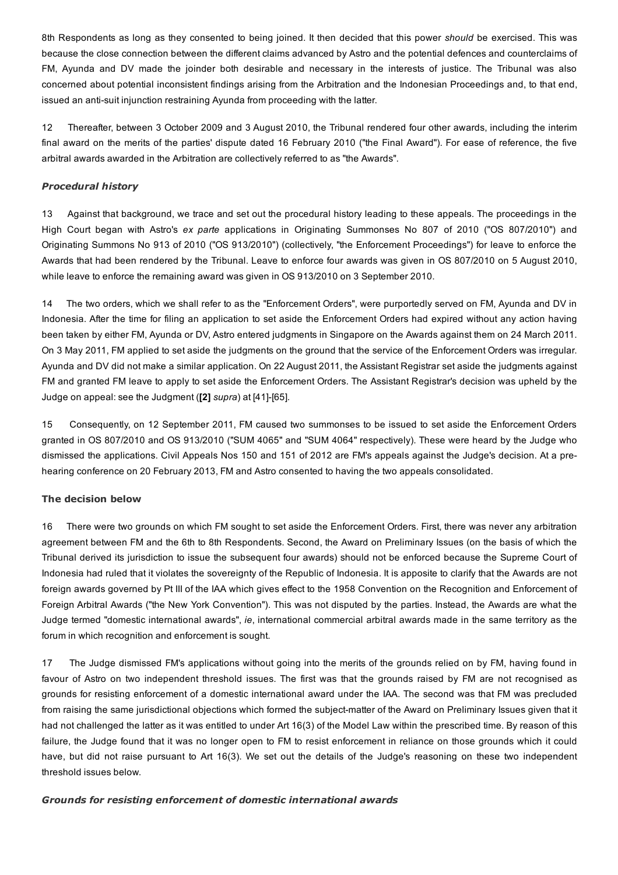8th Respondents as long as they consented to being joined. It then decided that this power should be exercised. This was because the close connection between the different claims advanced by Astro and the potential defences and counterclaims of FM, Ayunda and DV made the joinder both desirable and necessary in the interests of justice. The Tribunal was also concerned about potential inconsistent findings arising from the Arbitration and the Indonesian Proceedings and, to that end, issued an anti-suit injunction restraining Ayunda from proceeding with the latter.

12 Thereafter, between 3 October 2009 and 3 August 2010, the Tribunal rendered four other awards, including the interim final award on the merits of the parties' dispute dated 16 February 2010 ("the Final Award"). For ease of reference, the five arbitral awards awarded in the Arbitration are collectively referred to as "the Awards".

# Procedural history

13 Against that background, we trace and set out the procedural history leading to these appeals. The proceedings in the High Court began with Astro's ex parte applications in Originating Summonses No 807 of 2010 ("OS 807/2010") and Originating Summons No 913 of 2010 ("OS 913/2010") (collectively, "the Enforcement Proceedings") for leave to enforce the Awards that had been rendered by the Tribunal. Leave to enforce four awards was given in OS 807/2010 on 5 August 2010, while leave to enforce the remaining award was given in OS 913/2010 on 3 September 2010.

14 The two orders, which we shall refer to as the "Enforcement Orders", were purportedly served on FM, Ayunda and DV in Indonesia. After the time for filing an application to set aside the Enforcement Orders had expired without any action having been taken by either FM, Ayunda or DV, Astro entered judgments in Singapore on the Awards against them on 24 March 2011. On 3 May 2011, FM applied to set aside the judgments on the ground that the service of the Enforcement Orders was irregular. Ayunda and DV did not make a similar application. On 22 August 2011, the Assistant Registrar set aside the judgments against FM and granted FM leave to apply to set aside the Enforcement Orders. The Assistant Registrar's decision was upheld by the Judge on appeal: see the Judgment ([\[2\]](#page-3-0) supra) at [41]-[65].

15 Consequently, on 12 September 2011, FM caused two summonses to be issued to set aside the Enforcement Orders granted in OS 807/2010 and OS 913/2010 ("SUM 4065" and "SUM 4064" respectively). These were heard by the Judge who dismissed the applications. Civil Appeals Nos 150 and 151 of 2012 are FM's appeals against the Judge's decision. At a prehearing conference on 20 February 2013, FM and Astro consented to having the two appeals consolidated.

# The decision below

16 There were two grounds on which FM sought to set aside the Enforcement Orders. First, there was never any arbitration agreement between FM and the 6th to 8th Respondents. Second, the Award on Preliminary Issues (on the basis of which the Tribunal derived its jurisdiction to issue the subsequent four awards) should not be enforced because the Supreme Court of Indonesia had ruled that it violates the sovereignty of the Republic of Indonesia. It is apposite to clarify that the Awards are not foreign awards governed by Pt III of the IAA which gives effect to the 1958 Convention on the Recognition and Enforcement of Foreign Arbitral Awards ("the New York Convention"). This was not disputed by the parties. Instead, the Awards are what the Judge termed "domestic international awards", ie, international commercial arbitral awards made in the same territory as the forum in which recognition and enforcement is sought.

17 The Judge dismissed FM's applications without going into the merits of the grounds relied on by FM, having found in favour of Astro on two independent threshold issues. The first was that the grounds raised by FM are not recognised as grounds for resisting enforcement of a domestic international award under the IAA. The second was that FM was precluded from raising the same jurisdictional objections which formed the subject-matter of the Award on Preliminary Issues given that it had not challenged the latter as it was entitled to under Art 16(3) of the Model Law within the prescribed time. By reason of this failure, the Judge found that it was no longer open to FM to resist enforcement in reliance on those grounds which it could have, but did not raise pursuant to Art 16(3). We set out the details of the Judge's reasoning on these two independent threshold issues below.

# Grounds for resisting enforcement of domestic international awards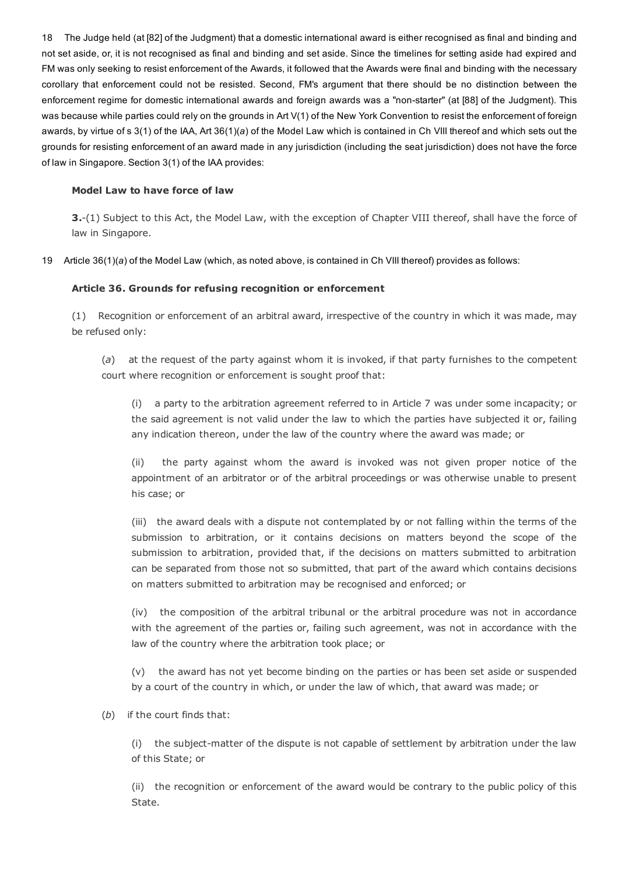18 The Judge held (at [82] of the Judgment) that a domestic international award is either recognised as final and binding and not set aside, or, it is not recognised as final and binding and set aside. Since the timelines for setting aside had expired and FM was only seeking to resist enforcement of the Awards, it followed that the Awards were final and binding with the necessary corollary that enforcement could not be resisted. Second, FM's argument that there should be no distinction between the enforcement regime for domestic international awards and foreign awards was a "non-starter" (at [88] of the Judgment). This was because while parties could rely on the grounds in Art V(1) of the New York Convention to resist the enforcement of foreign awards, by virtue of s 3(1) of the IAA, Art 36(1)(a) of the Model Law which is contained in Ch VIII thereof and which sets out the grounds for resisting enforcement of an award made in any jurisdiction (including the seat jurisdiction) does not have the force of law in Singapore. Section 3(1) of the IAA provides:

# Model Law to have force of law

3.(1) Subject to this Act, the Model Law, with the exception of Chapter VIII thereof, shall have the force of law in Singapore.

19 Article 36(1)(a) of the Model Law (which, as noted above, is contained in Ch VIII thereof) provides as follows:

# Article 36. Grounds for refusing recognition or enforcement

(1) Recognition or enforcement of an arbitral award, irrespective of the country in which it was made, may be refused only:

(a) at the request of the party against whom it is invoked, if that party furnishes to the competent court where recognition or enforcement is sought proof that:

(i) a party to the arbitration agreement referred to in Article 7 was under some incapacity; or the said agreement is not valid under the law to which the parties have subjected it or, failing any indication thereon, under the law of the country where the award was made; or

(ii) the party against whom the award is invoked was not given proper notice of the appointment of an arbitrator or of the arbitral proceedings or was otherwise unable to present his case; or

(iii) the award deals with a dispute not contemplated by or not falling within the terms of the submission to arbitration, or it contains decisions on matters beyond the scope of the submission to arbitration, provided that, if the decisions on matters submitted to arbitration can be separated from those not so submitted, that part of the award which contains decisions on matters submitted to arbitration may be recognised and enforced; or

(iv) the composition of the arbitral tribunal or the arbitral procedure was not in accordance with the agreement of the parties or, failing such agreement, was not in accordance with the law of the country where the arbitration took place; or

(v) the award has not yet become binding on the parties or has been set aside or suspended by a court of the country in which, or under the law of which, that award was made; or

(b) if the court finds that:

(i) the subject-matter of the dispute is not capable of settlement by arbitration under the law of this State; or

(ii) the recognition or enforcement of the award would be contrary to the public policy of this State.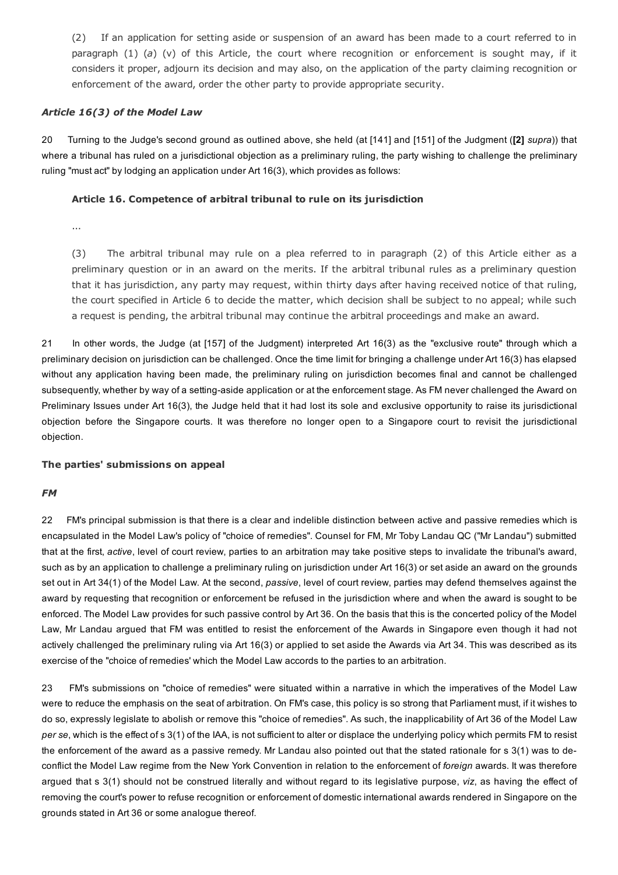(2) If an application for setting aside or suspension of an award has been made to a court referred to in paragraph (1) (a) (v) of this Article, the court where recognition or enforcement is sought may, if it considers it proper, adjourn its decision and may also, on the application of the party claiming recognition or enforcement of the award, order the other party to provide appropriate security.

# Article 16(3) of the Model Law

20 Turning to the Judge's second ground as outlined above, she held (at [141] and [151] of the Judgment [\(\[2\]](#page-3-0) supra)) that where a tribunal has ruled on a jurisdictional objection as a preliminary ruling, the party wishing to challenge the preliminary ruling "must act" by lodging an application under Art 16(3), which provides as follows:

# Article 16. Competence of arbitral tribunal to rule on its jurisdiction

...

(3) The arbitral tribunal may rule on a plea referred to in paragraph (2) of this Article either as a preliminary question or in an award on the merits. If the arbitral tribunal rules as a preliminary question that it has jurisdiction, any party may request, within thirty days after having received notice of that ruling, the court specified in Article 6 to decide the matter, which decision shall be subject to no appeal; while such a request is pending, the arbitral tribunal may continue the arbitral proceedings and make an award.

21 In other words, the Judge (at [157] of the Judgment) interpreted Art 16(3) as the "exclusive route" through which a preliminary decision on jurisdiction can be challenged. Once the time limit for bringing a challenge under Art 16(3) has elapsed without any application having been made, the preliminary ruling on jurisdiction becomes final and cannot be challenged subsequently, whether by way of a setting-aside application or at the enforcement stage. As FM never challenged the Award on Preliminary Issues under Art 16(3), the Judge held that it had lost its sole and exclusive opportunity to raise its jurisdictional objection before the Singapore courts. It was therefore no longer open to a Singapore court to revisit the jurisdictional objection.

# The parties' submissions on appeal

# FM

22 FM's principal submission is that there is a clear and indelible distinction between active and passive remedies which is encapsulated in the Model Law's policy of "choice of remedies". Counsel for FM, Mr Toby Landau QC ("Mr Landau") submitted that at the first, active, level of court review, parties to an arbitration may take positive steps to invalidate the tribunal's award, such as by an application to challenge a preliminary ruling on jurisdiction under Art 16(3) or set aside an award on the grounds set out in Art 34(1) of the Model Law. At the second, passive, level of court review, parties may defend themselves against the award by requesting that recognition or enforcement be refused in the jurisdiction where and when the award is sought to be enforced. The Model Law provides for such passive control by Art 36. On the basis that this is the concerted policy of the Model Law, Mr Landau argued that FM was entitled to resist the enforcement of the Awards in Singapore even though it had not actively challenged the preliminary ruling via Art 16(3) or applied to set aside the Awards via Art 34. This was described as its exercise of the "choice of remedies' which the Model Law accords to the parties to an arbitration.

23 FM's submissions on "choice of remedies" were situated within a narrative in which the imperatives of the Model Law were to reduce the emphasis on the seat of arbitration. On FM's case, this policy is so strong that Parliament must, if it wishes to do so, expressly legislate to abolish or remove this "choice of remedies". As such, the inapplicability of Art 36 of the Model Law per se, which is the effect of s 3(1) of the IAA, is not sufficient to alter or displace the underlying policy which permits FM to resist the enforcement of the award as a passive remedy. Mr Landau also pointed out that the stated rationale for s 3(1) was to deconflict the Model Law regime from the New York Convention in relation to the enforcement of foreign awards. It was therefore argued that s 3(1) should not be construed literally and without regard to its legislative purpose, viz, as having the effect of removing the court's power to refuse recognition or enforcement of domestic international awards rendered in Singapore on the grounds stated in Art 36 or some analogue thereof.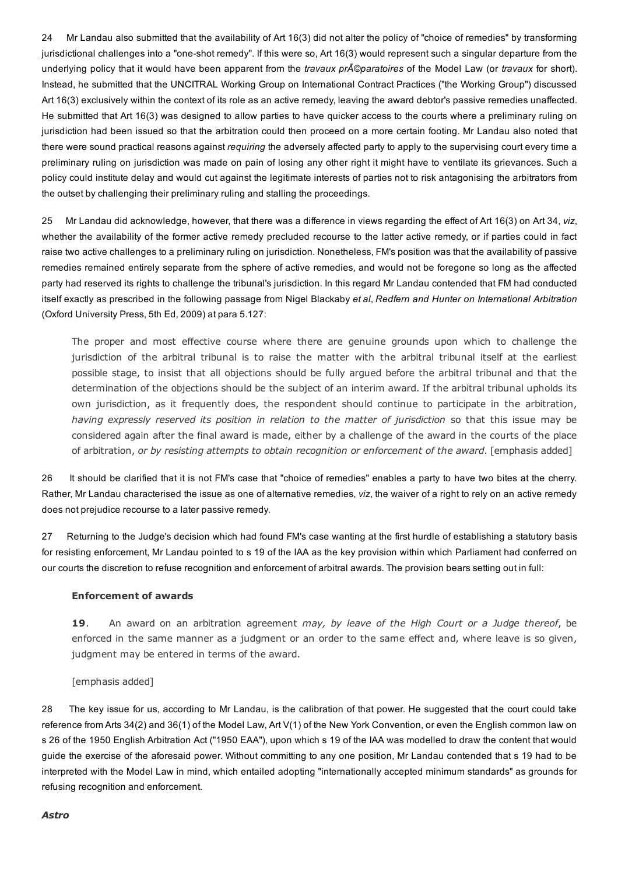24 Mr Landau also submitted that the availability of Art 16(3) did not alter the policy of "choice of remedies" by transforming jurisdictional challenges into a "one-shot remedy". If this were so, Art 16(3) would represent such a singular departure from the underlying policy that it would have been apparent from the *travaux pr* $\tilde{A}$ ©paratoires of the Model Law (or travaux for short). Instead, he submitted that the UNCITRAL Working Group on International Contract Practices ("the Working Group") discussed Art 16(3) exclusively within the context of its role as an active remedy, leaving the award debtor's passive remedies unaffected. He submitted that Art 16(3) was designed to allow parties to have quicker access to the courts where a preliminary ruling on jurisdiction had been issued so that the arbitration could then proceed on a more certain footing. Mr Landau also noted that there were sound practical reasons against requiring the adversely affected party to apply to the supervising court every time a preliminary ruling on jurisdiction was made on pain of losing any other right it might have to ventilate its grievances. Such a policy could institute delay and would cut against the legitimate interests of parties not to risk antagonising the arbitrators from the outset by challenging their preliminary ruling and stalling the proceedings.

25 Mr Landau did acknowledge, however, that there was a difference in views regarding the effect of Art 16(3) on Art 34, viz, whether the availability of the former active remedy precluded recourse to the latter active remedy, or if parties could in fact raise two active challenges to a preliminary ruling on jurisdiction. Nonetheless, FM's position was that the availability of passive remedies remained entirely separate from the sphere of active remedies, and would not be foregone so long as the affected party had reserved its rights to challenge the tribunal's jurisdiction. In this regard Mr Landau contended that FM had conducted itself exactly as prescribed in the following passage from Nigel Blackaby et al, Redfern and Hunter on International Arbitration (Oxford University Press, 5th Ed, 2009) at para 5.127:

The proper and most effective course where there are genuine grounds upon which to challenge the jurisdiction of the arbitral tribunal is to raise the matter with the arbitral tribunal itself at the earliest possible stage, to insist that all objections should be fully argued before the arbitral tribunal and that the determination of the objections should be the subject of an interim award. If the arbitral tribunal upholds its own jurisdiction, as it frequently does, the respondent should continue to participate in the arbitration, having expressly reserved its position in relation to the matter of jurisdiction so that this issue may be considered again after the final award is made, either by a challenge of the award in the courts of the place of arbitration, or by resisting attempts to obtain recognition or enforcement of the award. [emphasis added]

26 It should be clarified that it is not FM's case that "choice of remedies" enables a party to have two bites at the cherry. Rather, Mr Landau characterised the issue as one of alternative remedies, viz, the waiver of a right to rely on an active remedy does not prejudice recourse to a later passive remedy.

27 Returning to the Judge's decision which had found FM's case wanting at the first hurdle of establishing a statutory basis for resisting enforcement, Mr Landau pointed to s 19 of the IAA as the key provision within which Parliament had conferred on our courts the discretion to refuse recognition and enforcement of arbitral awards. The provision bears setting out in full:

# Enforcement of awards

19. An award on an arbitration agreement may, by leave of the High Court or a Judge thereof, be enforced in the same manner as a judgment or an order to the same effect and, where leave is so given, judgment may be entered in terms of the award.

[emphasis added]

28 The key issue for us, according to Mr Landau, is the calibration of that power. He suggested that the court could take reference from Arts 34(2) and 36(1) of the Model Law, Art V(1) of the New York Convention, or even the English common law on s 26 of the 1950 English Arbitration Act ("1950 EAA"), upon which s 19 of the IAA was modelled to draw the content that would guide the exercise of the aforesaid power. Without committing to any one position, Mr Landau contended that s 19 had to be interpreted with the Model Law in mind, which entailed adopting "internationally accepted minimum standards" as grounds for refusing recognition and enforcement.

### Astro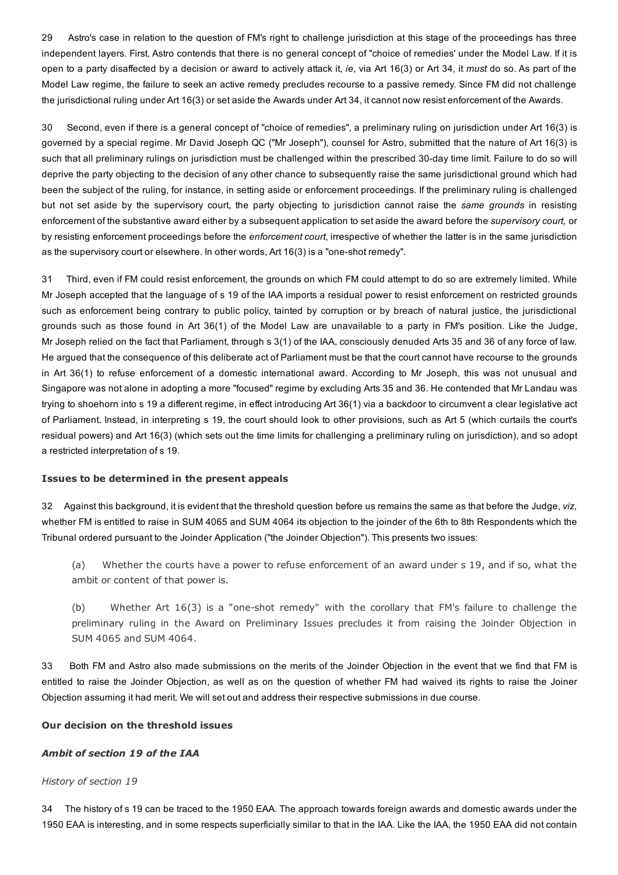29 Astro's case in relation to the question of FM's right to challenge jurisdiction at this stage of the proceedings has three independent layers. First, Astro contends that there is no general concept of "choice of remedies' under the Model Law. If it is open to a party disaffected by a decision or award to actively attack it, ie, via Art 16(3) or Art 34, it must do so. As part of the Model Law regime, the failure to seek an active remedy precludes recourse to a passive remedy. Since FM did not challenge the jurisdictional ruling under Art 16(3) or set aside the Awards under Art 34, it cannot now resist enforcement of the Awards.

30 Second, even if there is a general concept of "choice of remedies", a preliminary ruling on jurisdiction under Art 16(3) is governed by a special regime. Mr David Joseph QC ("Mr Joseph"), counsel for Astro, submitted that the nature of Art 16(3) is such that all preliminary rulings on jurisdiction must be challenged within the prescribed 30-day time limit. Failure to do so will deprive the party objecting to the decision of any other chance to subsequently raise the same jurisdictional ground which had been the subject of the ruling, for instance, in setting aside or enforcement proceedings. If the preliminary ruling is challenged but not set aside by the supervisory court, the party objecting to jurisdiction cannot raise the same grounds in resisting enforcement of the substantive award either by a subsequent application to set aside the award before the supervisory court, or by resisting enforcement proceedings before the enforcement court, irrespective of whether the latter is in the same jurisdiction as the supervisory court or elsewhere. In other words, Art 16(3) is a "one-shot remedy".

31 Third, even if FM could resist enforcement, the grounds on which FM could attempt to do so are extremely limited. While Mr Joseph accepted that the language of s 19 of the IAA imports a residual power to resist enforcement on restricted grounds such as enforcement being contrary to public policy, tainted by corruption or by breach of natural justice, the jurisdictional grounds such as those found in Art 36(1) of the Model Law are unavailable to a party in FM's position. Like the Judge, Mr Joseph relied on the fact that Parliament, through s 3(1) of the IAA, consciously denuded Arts 35 and 36 of any force of law. He argued that the consequence of this deliberate act of Parliament must be that the court cannot have recourse to the grounds in Art 36(1) to refuse enforcement of a domestic international award. According to Mr Joseph, this was not unusual and Singapore was not alone in adopting a more "focused" regime by excluding Arts 35 and 36. He contended that Mr Landau was trying to shoehorn into s 19 a different regime, in effect introducing Art 36(1) via a backdoor to circumvent a clear legislative act of Parliament. Instead, in interpreting s 19, the court should look to other provisions, such as Art 5 (which curtails the court's residual powers) and Art 16(3) (which sets out the time limits for challenging a preliminary ruling on jurisdiction), and so adopt a restricted interpretation of s 19.

# Issues to be determined in the present appeals

32 Against this background, it is evident that the threshold question before us remains the same as that before the Judge, viz, whether FM is entitled to raise in SUM 4065 and SUM 4064 its objection to the joinder of the 6th to 8th Respondents which the Tribunal ordered pursuant to the Joinder Application ("the Joinder Objection"). This presents two issues:

(a) Whether the courts have a power to refuse enforcement of an award under s 19, and if so, what the ambit or content of that power is.

(b) Whether Art 16(3) is a "one-shot remedy" with the corollary that FM's failure to challenge the preliminary ruling in the Award on Preliminary Issues precludes it from raising the Joinder Objection in SUM 4065 and SUM 4064.

33 Both FM and Astro also made submissions on the merits of the Joinder Objection in the event that we find that FM is entitled to raise the Joinder Objection, as well as on the question of whether FM had waived its rights to raise the Joiner Objection assuming it had merit. We will set out and address their respective submissions in due course.

# Our decision on the threshold issues

# Ambit of section 19 of the IAA

### History of section 19

34 The history of s 19 can be traced to the 1950 EAA. The approach towards foreign awards and domestic awards under the 1950 EAA is interesting, and in some respects superficially similar to that in the IAA. Like the IAA, the 1950 EAA did not contain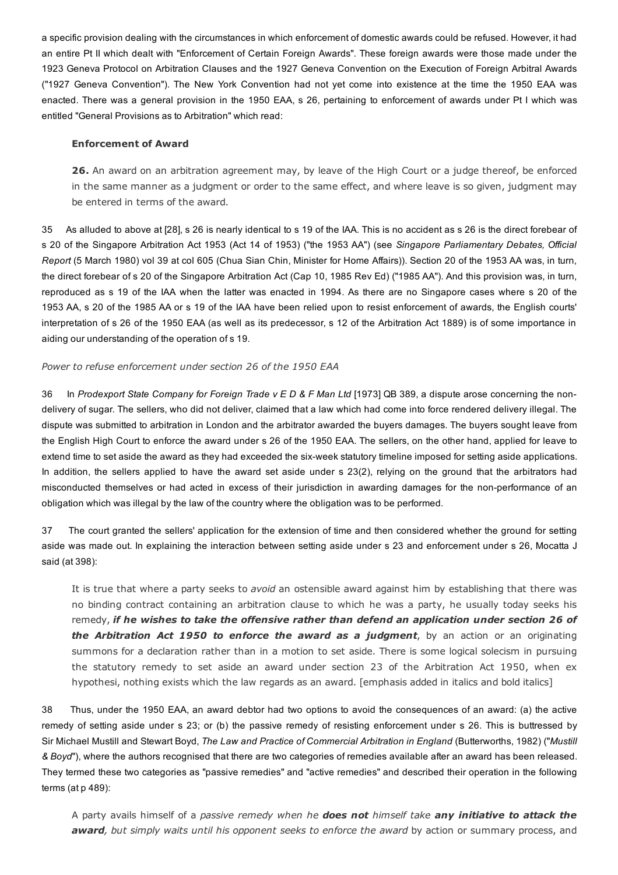a specific provision dealing with the circumstances in which enforcement of domestic awards could be refused. However, it had an entire Pt II which dealt with "Enforcement of Certain Foreign Awards". These foreign awards were those made under the 1923 Geneva Protocol on Arbitration Clauses and the 1927 Geneva Convention on the Execution of Foreign Arbitral Awards ("1927 Geneva Convention"). The New York Convention had not yet come into existence at the time the 1950 EAA was enacted. There was a general provision in the 1950 EAA, s 26, pertaining to enforcement of awards under Pt I which was entitled "General Provisions as to Arbitration" which read:

### Enforcement of Award

26. An award on an arbitration agreement may, by leave of the High Court or a judge thereof, be enforced in the same manner as a judgment or order to the same effect, and where leave is so given, judgment may be entered in terms of the award.

35 As alluded to above at [28], s 26 is nearly identical to s 19 of the IAA. This is no accident as s 26 is the direct forebear of s 20 of the Singapore Arbitration Act 1953 (Act 14 of 1953) ("the 1953 AA") (see Singapore Parliamentary Debates, Official Report (5 March 1980) vol 39 at col 605 (Chua Sian Chin, Minister for Home Affairs)). Section 20 of the 1953 AA was, in turn, the direct forebear of s 20 of the Singapore Arbitration Act (Cap 10, 1985 Rev Ed) ("1985 AA"). And this provision was, in turn, reproduced as s 19 of the IAA when the latter was enacted in 1994. As there are no Singapore cases where s 20 of the 1953 AA, s 20 of the 1985 AA or s 19 of the IAA have been relied upon to resist enforcement of awards, the English courts' interpretation of s 26 of the 1950 EAA (as well as its predecessor, s 12 of the Arbitration Act 1889) is of some importance in aiding our understanding of the operation of s 19.

### Power to refuse enforcement under section 26 of the 1950 EAA

36 In Prodexport State Company for Foreign Trade v E D & F Man Ltd [1973] QB 389, a dispute arose concerning the nondelivery of sugar. The sellers, who did not deliver, claimed that a law which had come into force rendered delivery illegal. The dispute was submitted to arbitration in London and the arbitrator awarded the buyers damages. The buyers sought leave from the English High Court to enforce the award under s 26 of the 1950 EAA. The sellers, on the other hand, applied for leave to extend time to set aside the award as they had exceeded the six-week statutory timeline imposed for setting aside applications. In addition, the sellers applied to have the award set aside under s 23(2), relying on the ground that the arbitrators had misconducted themselves or had acted in excess of their jurisdiction in awarding damages for the non-performance of an obligation which was illegal by the law of the country where the obligation was to be performed.

37 The court granted the sellers' application for the extension of time and then considered whether the ground for setting aside was made out. In explaining the interaction between setting aside under s 23 and enforcement under s 26, Mocatta J said (at 398):

It is true that where a party seeks to *avoid* an ostensible award against him by establishing that there was no binding contract containing an arbitration clause to which he was a party, he usually today seeks his remedy, if he wishes to take the offensive rather than defend an application under section 26 of the Arbitration Act 1950 to enforce the award as a judgment, by an action or an originating summons for a declaration rather than in a motion to set aside. There is some logical solecism in pursuing the statutory remedy to set aside an award under section 23 of the Arbitration Act 1950, when ex hypothesi, nothing exists which the law regards as an award. [emphasis added in italics and bold italics]

<span id="page-10-0"></span>38 Thus, under the 1950 EAA, an award debtor had two options to avoid the consequences of an award: (a) the active remedy of setting aside under s 23; or (b) the passive remedy of resisting enforcement under s 26. This is buttressed by Sir Michael Mustill and Stewart Boyd, The Law and Practice of Commercial Arbitration in England (Butterworths, 1982) ("Mustill & Boyd"), where the authors recognised that there are two categories of remedies available after an award has been released. They termed these two categories as "passive remedies" and "active remedies" and described their operation in the following terms (at p 489):

A party avails himself of a passive remedy when he **does not** himself take any initiative to attack the award, but simply waits until his opponent seeks to enforce the award by action or summary process, and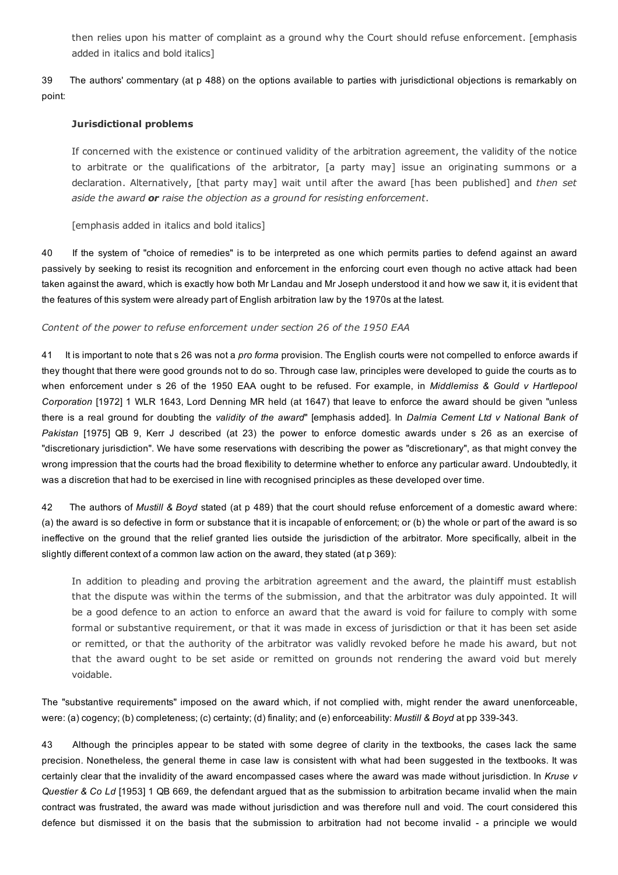then relies upon his matter of complaint as a ground why the Court should refuse enforcement. [emphasis added in italics and bold italics]

39 The authors' commentary (at p 488) on the options available to parties with jurisdictional objections is remarkably on point:

### Jurisdictional problems

If concerned with the existence or continued validity of the arbitration agreement, the validity of the notice to arbitrate or the qualifications of the arbitrator, [a party may] issue an originating summons or a declaration. Alternatively, [that party may] wait until after the award [has been published] and then set aside the award or raise the objection as a ground for resisting enforcement.

[emphasis added in italics and bold italics]

40 If the system of "choice of remedies" is to be interpreted as one which permits parties to defend against an award passively by seeking to resist its recognition and enforcement in the enforcing court even though no active attack had been taken against the award, which is exactly how both Mr Landau and Mr Joseph understood it and how we saw it, it is evident that the features of this system were already part of English arbitration law by the 1970s at the latest.

### Content of the power to refuse enforcement under section 26 of the 1950 EAA

41 It is important to note that s 26 was not a *pro forma* provision. The English courts were not compelled to enforce awards if they thought that there were good grounds not to do so. Through case law, principles were developed to guide the courts as to when enforcement under s 26 of the 1950 EAA ought to be refused. For example, in Middlemiss & Gould v Hartlepool Corporation [1972] 1 WLR 1643, Lord Denning MR held (at 1647) that leave to enforce the award should be given "unless there is a real ground for doubting the validity of the award" [emphasis added]. In Dalmia Cement Ltd v National Bank of Pakistan [1975] QB 9, Kerr J described (at 23) the power to enforce domestic awards under s 26 as an exercise of "discretionary jurisdiction". We have some reservations with describing the power as "discretionary", as that might convey the wrong impression that the courts had the broad flexibility to determine whether to enforce any particular award. Undoubtedly, it was a discretion that had to be exercised in line with recognised principles as these developed over time.

42 The authors of Mustill & Boyd stated (at p 489) that the court should refuse enforcement of a domestic award where: (a) the award is so defective in form or substance that it is incapable of enforcement; or (b) the whole or part of the award is so ineffective on the ground that the relief granted lies outside the jurisdiction of the arbitrator. More specifically, albeit in the slightly different context of a common law action on the award, they stated (at p 369):

In addition to pleading and proving the arbitration agreement and the award, the plaintiff must establish that the dispute was within the terms of the submission, and that the arbitrator was duly appointed. It will be a good defence to an action to enforce an award that the award is void for failure to comply with some formal or substantive requirement, or that it was made in excess of jurisdiction or that it has been set aside or remitted, or that the authority of the arbitrator was validly revoked before he made his award, but not that the award ought to be set aside or remitted on grounds not rendering the award void but merely voidable.

The "substantive requirements" imposed on the award which, if not complied with, might render the award unenforceable, were: (a) cogency; (b) completeness; (c) certainty; (d) finality; and (e) enforceability: Mustill & Boyd at pp 339-343.

43 Although the principles appear to be stated with some degree of clarity in the textbooks, the cases lack the same precision. Nonetheless, the general theme in case law is consistent with what had been suggested in the textbooks. It was certainly clear that the invalidity of the award encompassed cases where the award was made without jurisdiction. In Kruse v Questier & Co Ld [1953] 1 QB 669, the defendant argued that as the submission to arbitration became invalid when the main contract was frustrated, the award was made without jurisdiction and was therefore null and void. The court considered this defence but dismissed it on the basis that the submission to arbitration had not become invalid - a principle we would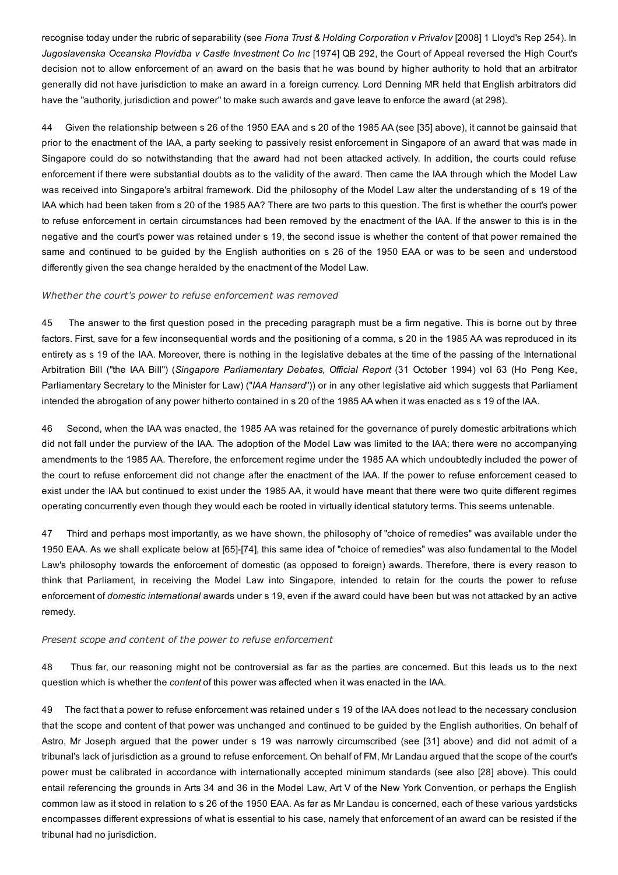recognise today under the rubric of separability (see Fiona Trust & Holding Corporation v Privalov [2008] 1 Lloyd's Rep 254). In Jugoslavenska Oceanska Plovidba v Castle Investment Co Inc [1974] QB 292, the Court of Appeal reversed the High Court's decision not to allow enforcement of an award on the basis that he was bound by higher authority to hold that an arbitrator generally did not have jurisdiction to make an award in a foreign currency. Lord Denning MR held that English arbitrators did have the "authority, jurisdiction and power" to make such awards and gave leave to enforce the award (at 298).

44 Given the relationship between s 26 of the 1950 EAA and s 20 of the 1985 AA (see [35] above), it cannot be gainsaid that prior to the enactment of the IAA, a party seeking to passively resist enforcement in Singapore of an award that was made in Singapore could do so notwithstanding that the award had not been attacked actively. In addition, the courts could refuse enforcement if there were substantial doubts as to the validity of the award. Then came the IAA through which the Model Law was received into Singapore's arbitral framework. Did the philosophy of the Model Law alter the understanding of s 19 of the IAA which had been taken from s 20 of the 1985 AA? There are two parts to this question. The first is whether the court's power to refuse enforcement in certain circumstances had been removed by the enactment of the IAA. If the answer to this is in the negative and the court's power was retained under s 19, the second issue is whether the content of that power remained the same and continued to be guided by the English authorities on s 26 of the 1950 EAA or was to be seen and understood differently given the sea change heralded by the enactment of the Model Law.

### Whether the court's power to refuse enforcement was removed

<span id="page-12-0"></span>45 The answer to the first question posed in the preceding paragraph must be a firm negative. This is borne out by three factors. First, save for a few inconsequential words and the positioning of a comma, s 20 in the 1985 AA was reproduced in its entirety as s 19 of the IAA. Moreover, there is nothing in the legislative debates at the time of the passing of the International Arbitration Bill ("the IAA Bill") (Singapore Parliamentary Debates, Official Report (31 October 1994) vol 63 (Ho Peng Kee, Parliamentary Secretary to the Minister for Law) ("IAA Hansard")) or in any other legislative aid which suggests that Parliament intended the abrogation of any power hitherto contained in s 20 of the 1985 AA when it was enacted as s 19 of the IAA.

46 Second, when the IAA was enacted, the 1985 AA was retained for the governance of purely domestic arbitrations which did not fall under the purview of the IAA. The adoption of the Model Law was limited to the IAA; there were no accompanying amendments to the 1985 AA. Therefore, the enforcement regime under the 1985 AA which undoubtedly included the power of the court to refuse enforcement did not change after the enactment of the IAA. If the power to refuse enforcement ceased to exist under the IAA but continued to exist under the 1985 AA, it would have meant that there were two quite different regimes operating concurrently even though they would each be rooted in virtually identical statutory terms. This seems untenable.

47 Third and perhaps most importantly, as we have shown, the philosophy of "choice of remedies" was available under the 1950 EAA. As we shall explicate below at [65]-[74], this same idea of "choice of remedies" was also fundamental to the Model Law's philosophy towards the enforcement of domestic (as opposed to foreign) awards. Therefore, there is every reason to think that Parliament, in receiving the Model Law into Singapore, intended to retain for the courts the power to refuse enforcement of domestic international awards under s 19, even if the award could have been but was not attacked by an active remedy.

#### Present scope and content of the power to refuse enforcement

48 Thus far, our reasoning might not be controversial as far as the parties are concerned. But this leads us to the next question which is whether the *content* of this power was affected when it was enacted in the IAA.

49 The fact that a power to refuse enforcement was retained under s 19 of the IAA does not lead to the necessary conclusion that the scope and content of that power was unchanged and continued to be guided by the English authorities. On behalf of Astro, Mr Joseph argued that the power under s 19 was narrowly circumscribed (see [31] above) and did not admit of a tribunal's lack of jurisdiction as a ground to refuse enforcement. On behalf of FM, Mr Landau argued that the scope of the court's power must be calibrated in accordance with internationally accepted minimum standards (see also [28] above). This could entail referencing the grounds in Arts 34 and 36 in the Model Law, Art V of the New York Convention, or perhaps the English common law as it stood in relation to s 26 of the 1950 EAA. As far as Mr Landau is concerned, each of these various yardsticks encompasses different expressions of what is essential to his case, namely that enforcement of an award can be resisted if the tribunal had no jurisdiction.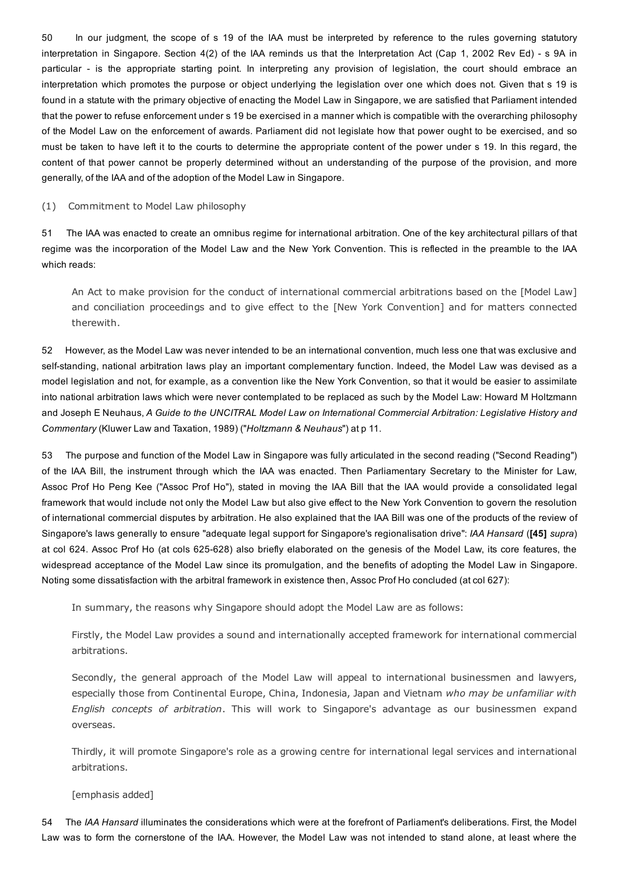50 In our judgment, the scope of s 19 of the IAA must be interpreted by reference to the rules governing statutory interpretation in Singapore. Section 4(2) of the IAA reminds us that the Interpretation Act (Cap 1, 2002 Rev Ed) - s 9A in particular - is the appropriate starting point. In interpreting any provision of legislation, the court should embrace an interpretation which promotes the purpose or object underlying the legislation over one which does not. Given that s 19 is found in a statute with the primary objective of enacting the Model Law in Singapore, we are satisfied that Parliament intended that the power to refuse enforcement under s 19 be exercised in a manner which is compatible with the overarching philosophy of the Model Law on the enforcement of awards. Parliament did not legislate how that power ought to be exercised, and so must be taken to have left it to the courts to determine the appropriate content of the power under s 19. In this regard, the content of that power cannot be properly determined without an understanding of the purpose of the provision, and more generally, of the IAA and of the adoption of the Model Law in Singapore.

### (1) Commitment to Model Law philosophy

51 The IAA was enacted to create an omnibus regime for international arbitration. One of the key architectural pillars of that regime was the incorporation of the Model Law and the New York Convention. This is reflected in the preamble to the IAA which reads:

An Act to make provision for the conduct of international commercial arbitrations based on the [Model Law] and conciliation proceedings and to give effect to the [New York Convention] and for matters connected therewith.

<span id="page-13-1"></span>52 However, as the Model Law was never intended to be an international convention, much less one that was exclusive and self-standing, national arbitration laws play an important complementary function. Indeed, the Model Law was devised as a model legislation and not, for example, as a convention like the New York Convention, so that it would be easier to assimilate into national arbitration laws which were never contemplated to be replaced as such by the Model Law: Howard M Holtzmann and Joseph E Neuhaus, A Guide to the UNCITRAL Model Law on International Commercial Arbitration: Legislative History and Commentary (Kluwer Law and Taxation, 1989) ("Holtzmann & Neuhaus") at p 11.

<span id="page-13-0"></span>53 The purpose and function of the Model Law in Singapore was fully articulated in the second reading ("Second Reading") of the IAA Bill, the instrument through which the IAA was enacted. Then Parliamentary Secretary to the Minister for Law, Assoc Prof Ho Peng Kee ("Assoc Prof Ho"), stated in moving the IAA Bill that the IAA would provide a consolidated legal framework that would include not only the Model Law but also give effect to the New York Convention to govern the resolution of international commercial disputes by arbitration. He also explained that the IAA Bill was one of the products of the review of Singapore's laws generally to ensure "adequate legal support for Singapore's regionalisation drive": IAA Hansard ([\[45\]](#page-12-0) supra) at col 624. Assoc Prof Ho (at cols 625-628) also briefly elaborated on the genesis of the Model Law, its core features, the widespread acceptance of the Model Law since its promulgation, and the benefits of adopting the Model Law in Singapore. Noting some dissatisfaction with the arbitral framework in existence then, Assoc Prof Ho concluded (at col 627):

In summary, the reasons why Singapore should adopt the Model Law are as follows:

Firstly, the Model Law provides a sound and internationally accepted framework for international commercial arbitrations.

Secondly, the general approach of the Model Law will appeal to international businessmen and lawyers, especially those from Continental Europe, China, Indonesia, Japan and Vietnam who may be unfamiliar with English concepts of arbitration. This will work to Singapore's advantage as our businessmen expand overseas.

Thirdly, it will promote Singapore's role as a growing centre for international legal services and international arbitrations.

[emphasis added]

54 The IAA Hansard illuminates the considerations which were at the forefront of Parliament's deliberations. First, the Model Law was to form the cornerstone of the IAA. However, the Model Law was not intended to stand alone, at least where the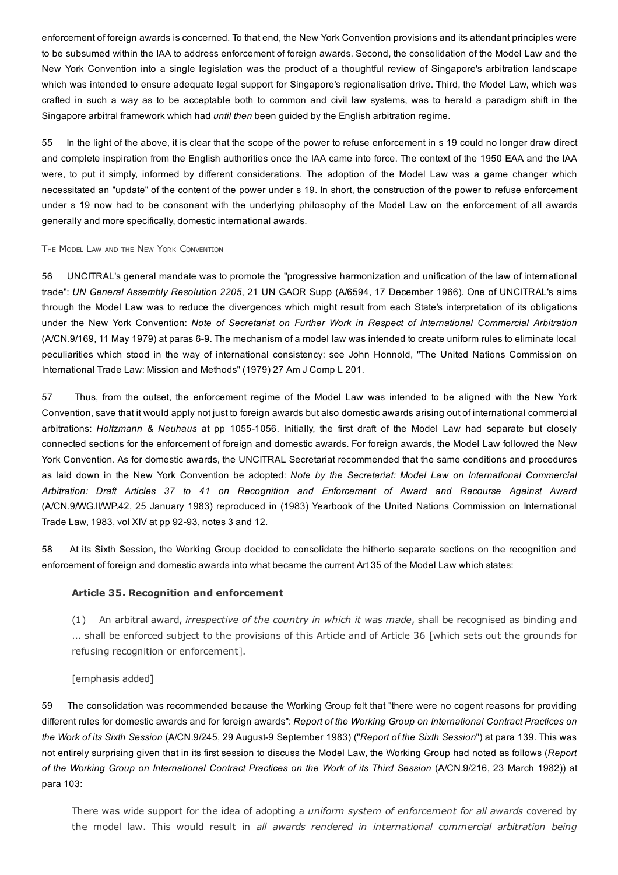enforcement of foreign awards is concerned. To that end, the New York Convention provisions and its attendant principles were to be subsumed within the IAA to address enforcement of foreign awards. Second, the consolidation of the Model Law and the New York Convention into a single legislation was the product of a thoughtful review of Singapore's arbitration landscape which was intended to ensure adequate legal support for Singapore's regionalisation drive. Third, the Model Law, which was crafted in such a way as to be acceptable both to common and civil law systems, was to herald a paradigm shift in the Singapore arbitral framework which had until then been guided by the English arbitration regime.

<span id="page-14-0"></span>55 In the light of the above, it is clear that the scope of the power to refuse enforcement in s 19 could no longer draw direct and complete inspiration from the English authorities once the IAA came into force. The context of the 1950 EAA and the IAA were, to put it simply, informed by different considerations. The adoption of the Model Law was a game changer which necessitated an "update" of the content of the power under s 19. In short, the construction of the power to refuse enforcement under s 19 now had to be consonant with the underlying philosophy of the Model Law on the enforcement of all awards generally and more specifically, domestic international awards.

#### THE MODEL LAW AND THE NEW YORK CONVENTION

56 UNCITRAL's general mandate was to promote the "progressive harmonization and unification of the law of international trade": UN General Assembly Resolution 2205, 21 UN GAOR Supp (A/6594, 17 December 1966). One of UNCITRAL's aims through the Model Law was to reduce the divergences which might result from each State's interpretation of its obligations under the New York Convention: Note of Secretariat on Further Work in Respect of International Commercial Arbitration (A/CN.9/169, 11 May 1979) at paras 69. The mechanism of a model law was intended to create uniform rules to eliminate local peculiarities which stood in the way of international consistency: see John Honnold, "The United Nations Commission on International Trade Law: Mission and Methods" (1979) 27 Am J Comp L 201.

57 Thus, from the outset, the enforcement regime of the Model Law was intended to be aligned with the New York Convention, save that it would apply not just to foreign awards but also domestic awards arising out of international commercial arbitrations: Holtzmann & Neuhaus at pp 1055-1056. Initially, the first draft of the Model Law had separate but closely connected sections for the enforcement of foreign and domestic awards. For foreign awards, the Model Law followed the New York Convention. As for domestic awards, the UNCITRAL Secretariat recommended that the same conditions and procedures as laid down in the New York Convention be adopted: Note by the Secretariat: Model Law on International Commercial Arbitration: Draft Articles 37 to 41 on Recognition and Enforcement of Award and Recourse Against Award (A/CN.9/WG.II/WP.42, 25 January 1983) reproduced in (1983) Yearbook of the United Nations Commission on International Trade Law, 1983, vol XIV at pp 92-93, notes 3 and 12.

58 At its Sixth Session, the Working Group decided to consolidate the hitherto separate sections on the recognition and enforcement of foreign and domestic awards into what became the current Art 35 of the Model Law which states:

### Article 35. Recognition and enforcement

(1) An arbitral award, irrespective of the country in which it was made, shall be recognised as binding and ... shall be enforced subject to the provisions of this Article and of Article 36 [which sets out the grounds for refusing recognition or enforcement].

### [emphasis added]

<span id="page-14-1"></span>59 The consolidation was recommended because the Working Group felt that "there were no cogent reasons for providing different rules for domestic awards and for foreign awards": Report of the Working Group on International Contract Practices on the Work of its Sixth Session (A/CN.9/245, 29 August-9 September 1983) ("Report of the Sixth Session") at para 139. This was not entirely surprising given that in its first session to discuss the Model Law, the Working Group had noted as follows (Report of the Working Group on International Contract Practices on the Work of its Third Session (A/CN.9/216, 23 March 1982)) at para 103:

There was wide support for the idea of adopting a *uniform system of enforcement for all awards* covered by the model law. This would result in all awards rendered in international commercial arbitration being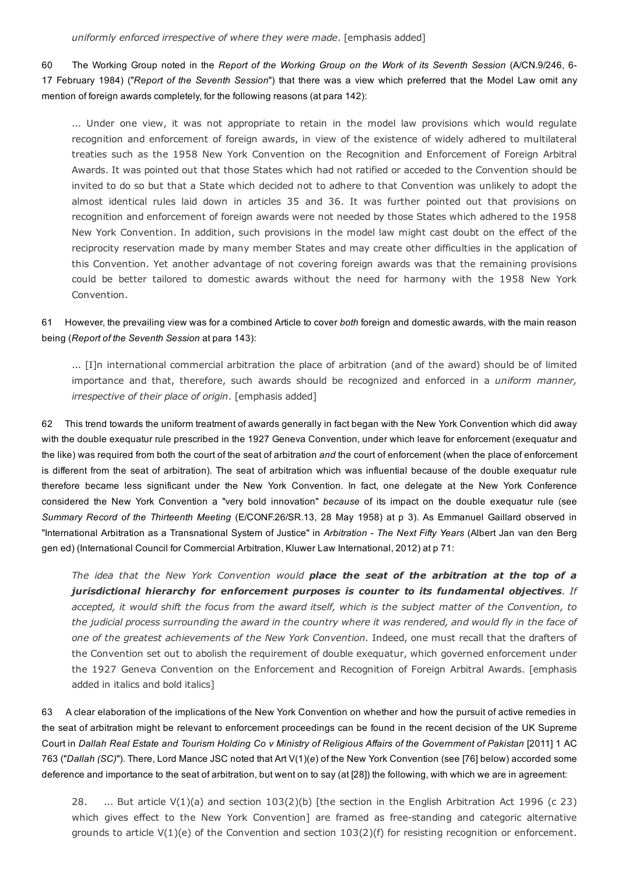<span id="page-15-0"></span>60 The Working Group noted in the Report of the Working Group on the Work of its Seventh Session (A/CN.9/246, 6 17 February 1984) ("Report of the Seventh Session") that there was a view which preferred that the Model Law omit any mention of foreign awards completely, for the following reasons (at para 142):

... Under one view, it was not appropriate to retain in the model law provisions which would regulate recognition and enforcement of foreign awards, in view of the existence of widely adhered to multilateral treaties such as the 1958 New York Convention on the Recognition and Enforcement of Foreign Arbitral Awards. It was pointed out that those States which had not ratified or acceded to the Convention should be invited to do so but that a State which decided not to adhere to that Convention was unlikely to adopt the almost identical rules laid down in articles 35 and 36. It was further pointed out that provisions on recognition and enforcement of foreign awards were not needed by those States which adhered to the 1958 New York Convention. In addition, such provisions in the model law might cast doubt on the effect of the reciprocity reservation made by many member States and may create other difficulties in the application of this Convention. Yet another advantage of not covering foreign awards was that the remaining provisions could be better tailored to domestic awards without the need for harmony with the 1958 New York Convention.

# 61 However, the prevailing view was for a combined Article to cover both foreign and domestic awards, with the main reason being (Report of the Seventh Session at para 143):

... [I]n international commercial arbitration the place of arbitration (and of the award) should be of limited importance and that, therefore, such awards should be recognized and enforced in a *uniform manner*, irrespective of their place of origin. [emphasis added]

62 This trend towards the uniform treatment of awards generally in fact began with the New York Convention which did away with the double exequatur rule prescribed in the 1927 Geneva Convention, under which leave for enforcement (exequatur and the like) was required from both the court of the seat of arbitration and the court of enforcement (when the place of enforcement is different from the seat of arbitration). The seat of arbitration which was influential because of the double exequatur rule therefore became less significant under the New York Convention. In fact, one delegate at the New York Conference considered the New York Convention a "very bold innovation" because of its impact on the double exequatur rule (see Summary Record of the Thirteenth Meeting (E/CONF.26/SR.13, 28 May 1958) at p 3). As Emmanuel Gaillard observed in "International Arbitration as a Transnational System of Justice" in Arbitration - The Next Fifty Years (Albert Jan van den Berg gen ed) (International Council for Commercial Arbitration, Kluwer Law International, 2012) at p 71:

The idea that the New York Convention would **place the seat of the arbitration at the top of a** jurisdictional hierarchy for enforcement purposes is counter to its fundamental objectives. If accepted, it would shift the focus from the award itself, which is the subject matter of the Convention, to the judicial process surrounding the award in the country where it was rendered, and would fly in the face of one of the greatest achievements of the New York Convention. Indeed, one must recall that the drafters of the Convention set out to abolish the requirement of double exequatur, which governed enforcement under the 1927 Geneva Convention on the Enforcement and Recognition of Foreign Arbitral Awards. [emphasis added in italics and bold italics]

<span id="page-15-1"></span>63 A clear elaboration of the implications of the New York Convention on whether and how the pursuit of active remedies in the seat of arbitration might be relevant to enforcement proceedings can be found in the recent decision of the UK Supreme Court in Dallah Real Estate and Tourism Holding Co v Ministry of Religious Affairs of the Government of Pakistan [2011] 1 AC 763 ("Dallah (SC)"). There, Lord Mance JSC noted that Art V(1)(e) of the New York Convention (see [76] below) accorded some deference and importance to the seat of arbitration, but went on to say (at [28]) the following, with which we are in agreement:

28. ... But article V(1)(a) and section 103(2)(b) [the section in the English Arbitration Act 1996 (c 23) which gives effect to the New York Convention] are framed as free-standing and categoric alternative grounds to article  $V(1)(e)$  of the Convention and section  $103(2)(f)$  for resisting recognition or enforcement.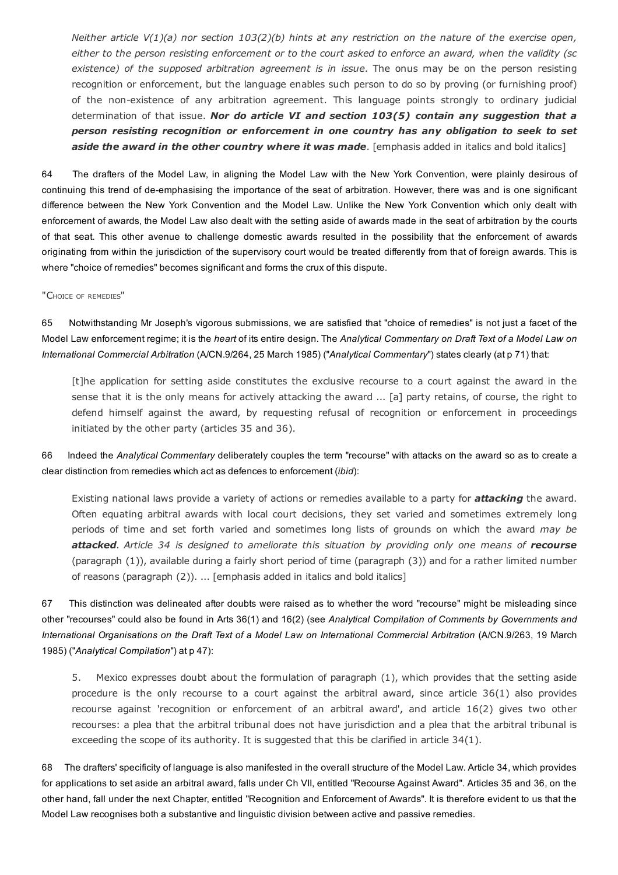Neither article  $V(1)(a)$  nor section 103(2)(b) hints at any restriction on the nature of the exercise open, either to the person resisting enforcement or to the court asked to enforce an award, when the validity (sc existence) of the supposed arbitration agreement is in issue. The onus may be on the person resisting recognition or enforcement, but the language enables such person to do so by proving (or furnishing proof) of the non-existence of any arbitration agreement. This language points strongly to ordinary judicial determination of that issue. Nor do article VI and section 103(5) contain any suggestion that a person resisting recognition or enforcement in one country has any obligation to seek to set aside the award in the other country where it was made. [emphasis added in italics and bold italics]

64 The drafters of the Model Law, in aligning the Model Law with the New York Convention, were plainly desirous of continuing this trend of deemphasising the importance of the seat of arbitration. However, there was and is one significant difference between the New York Convention and the Model Law. Unlike the New York Convention which only dealt with enforcement of awards, the Model Law also dealt with the setting aside of awards made in the seat of arbitration by the courts of that seat. This other avenue to challenge domestic awards resulted in the possibility that the enforcement of awards originating from within the jurisdiction of the supervisory court would be treated differently from that of foreign awards. This is where "choice of remedies" becomes significant and forms the crux of this dispute.

"CHOICE OF REMEDIES"

<span id="page-16-0"></span>65 Notwithstanding Mr Joseph's vigorous submissions, we are satisfied that "choice of remedies" is not just a facet of the Model Law enforcement regime; it is the heart of its entire design. The Analytical Commentary on Draft Text of a Model Law on International Commercial Arbitration (A/CN.9/264, 25 March 1985) ("Analytical Commentary") states clearly (at p 71) that:

[t]he application for setting aside constitutes the exclusive recourse to a court against the award in the sense that it is the only means for actively attacking the award ... [a] party retains, of course, the right to defend himself against the award, by requesting refusal of recognition or enforcement in proceedings initiated by the other party (articles 35 and 36).

66 Indeed the Analytical Commentary deliberately couples the term "recourse" with attacks on the award so as to create a clear distinction from remedies which act as defences to enforcement (ibid):

Existing national laws provide a variety of actions or remedies available to a party for **attacking** the award. Often equating arbitral awards with local court decisions, they set varied and sometimes extremely long periods of time and set forth varied and sometimes long lists of grounds on which the award may be attacked. Article 34 is designed to ameliorate this situation by providing only one means of recourse (paragraph (1)), available during a fairly short period of time (paragraph (3)) and for a rather limited number of reasons (paragraph (2)). ... [emphasis added in italics and bold italics]

<span id="page-16-1"></span>67 This distinction was delineated after doubts were raised as to whether the word "recourse" might be misleading since other "recourses" could also be found in Arts 36(1) and 16(2) (see Analytical Compilation of Comments by Governments and International Organisations on the Draft Text of a Model Law on International Commercial Arbitration (A/CN.9/263, 19 March 1985) ("Analytical Compilation") at p 47):

5. Mexico expresses doubt about the formulation of paragraph (1), which provides that the setting aside procedure is the only recourse to a court against the arbitral award, since article 36(1) also provides recourse against 'recognition or enforcement of an arbitral award', and article 16(2) gives two other recourses: a plea that the arbitral tribunal does not have jurisdiction and a plea that the arbitral tribunal is exceeding the scope of its authority. It is suggested that this be clarified in article 34(1).

68 The drafters' specificity of language is also manifested in the overall structure of the Model Law. Article 34, which provides for applications to set aside an arbitral award, falls under Ch VII, entitled "Recourse Against Award". Articles 35 and 36, on the other hand, fall under the next Chapter, entitled "Recognition and Enforcement of Awards". It is therefore evident to us that the Model Law recognises both a substantive and linguistic division between active and passive remedies.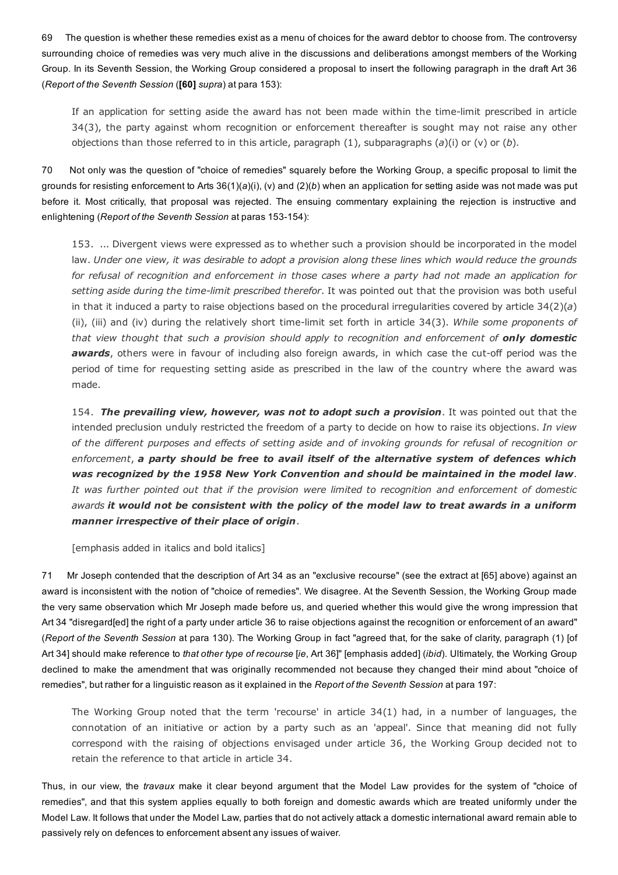69 The question is whether these remedies exist as a menu of choices for the award debtor to choose from. The controversy surrounding choice of remedies was very much alive in the discussions and deliberations amongst members of the Working Group. In its Seventh Session, the Working Group considered a proposal to insert the following paragraph in the draft Art 36 (Report of the Seventh Session [\(\[60\]](#page-15-0) supra) at para 153):

If an application for setting aside the award has not been made within the time-limit prescribed in article 34(3), the party against whom recognition or enforcement thereafter is sought may not raise any other objections than those referred to in this article, paragraph  $(1)$ , subparagraphs  $(a)(i)$  or  $(v)$  or  $(b)$ .

70 Not only was the question of "choice of remedies" squarely before the Working Group, a specific proposal to limit the grounds for resisting enforcement to Arts  $36(1)(a)(i)$ , (v) and  $(2)(b)$  when an application for setting aside was not made was put before it. Most critically, that proposal was rejected. The ensuing commentary explaining the rejection is instructive and enlightening (Report of the Seventh Session at paras 153-154):

153. ... Divergent views were expressed as to whether such a provision should be incorporated in the model law. Under one view, it was desirable to adopt a provision along these lines which would reduce the grounds for refusal of recognition and enforcement in those cases where a party had not made an application for setting aside during the time-limit prescribed therefor. It was pointed out that the provision was both useful in that it induced a party to raise objections based on the procedural irregularities covered by article  $34(2)(a)$ (ii), (iii) and (iv) during the relatively short time-limit set forth in article 34(3). While some proponents of that view thought that such a provision should apply to recognition and enforcement of **only domestic** awards, others were in favour of including also foreign awards, in which case the cut-off period was the period of time for requesting setting aside as prescribed in the law of the country where the award was made.

154. The prevailing view, however, was not to adopt such a provision. It was pointed out that the intended preclusion unduly restricted the freedom of a party to decide on how to raise its objections. In view of the different purposes and effects of setting aside and of invoking grounds for refusal of recognition or enforcement, a party should be free to avail itself of the alternative system of defences which was recognized by the 1958 New York Convention and should be maintained in the model law. It was further pointed out that if the provision were limited to recognition and enforcement of domestic awards it would not be consistent with the policy of the model law to treat awards in a uniform manner irrespective of their place of origin.

[emphasis added in italics and bold italics]

<span id="page-17-0"></span>71 Mr Joseph contended that the description of Art 34 as an "exclusive recourse" (see the extract at [65] above) against an award is inconsistent with the notion of "choice of remedies". We disagree. At the Seventh Session, the Working Group made the very same observation which Mr Joseph made before us, and queried whether this would give the wrong impression that Art 34 "disregard[ed] the right of a party under article 36 to raise objections against the recognition or enforcement of an award" (Report of the Seventh Session at para 130). The Working Group in fact "agreed that, for the sake of clarity, paragraph (1) [of Art 34] should make reference to that other type of recourse [ie, Art 36]" [emphasis added] (ibid). Ultimately, the Working Group declined to make the amendment that was originally recommended not because they changed their mind about "choice of remedies", but rather for a linguistic reason as it explained in the Report of the Seventh Session at para 197:

The Working Group noted that the term 'recourse' in article 34(1) had, in a number of languages, the connotation of an initiative or action by a party such as an 'appeal'. Since that meaning did not fully correspond with the raising of objections envisaged under article 36, the Working Group decided not to retain the reference to that article in article 34.

Thus, in our view, the travaux make it clear beyond argument that the Model Law provides for the system of "choice of remedies", and that this system applies equally to both foreign and domestic awards which are treated uniformly under the Model Law. It follows that under the Model Law, parties that do not actively attack a domestic international award remain able to passively rely on defences to enforcement absent any issues of waiver.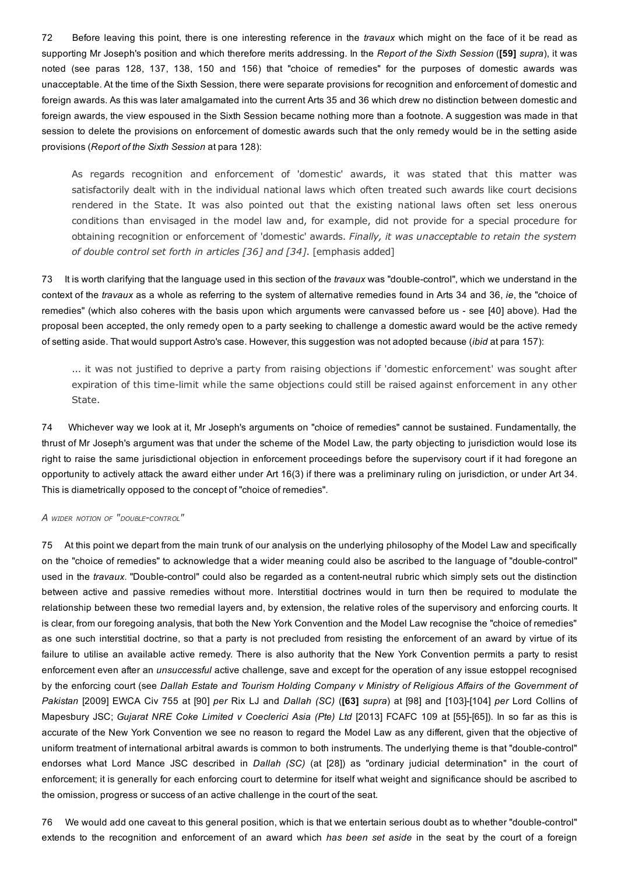72 Before leaving this point, there is one interesting reference in the travaux which might on the face of it be read as supporting Mr Joseph's position and which therefore merits addressing. In the Report of the Sixth Session ([\[59\]](#page-14-1) supra), it was noted (see paras 128, 137, 138, 150 and 156) that "choice of remedies" for the purposes of domestic awards was unacceptable. At the time of the Sixth Session, there were separate provisions for recognition and enforcement of domestic and foreign awards. As this was later amalgamated into the current Arts 35 and 36 which drew no distinction between domestic and foreign awards, the view espoused in the Sixth Session became nothing more than a footnote. A suggestion was made in that session to delete the provisions on enforcement of domestic awards such that the only remedy would be in the setting aside provisions (Report of the Sixth Session at para 128):

As regards recognition and enforcement of 'domestic' awards, it was stated that this matter was satisfactorily dealt with in the individual national laws which often treated such awards like court decisions rendered in the State. It was also pointed out that the existing national laws often set less onerous conditions than envisaged in the model law and, for example, did not provide for a special procedure for obtaining recognition or enforcement of 'domestic' awards. Finally, it was unacceptable to retain the system of double control set forth in articles [36] and [34]. [emphasis added]

73 It is worth clarifying that the language used in this section of the *travaux* was "double-control", which we understand in the context of the travaux as a whole as referring to the system of alternative remedies found in Arts 34 and 36, ie, the "choice of remedies" (which also coheres with the basis upon which arguments were canvassed before us - see [40] above). Had the proposal been accepted, the only remedy open to a party seeking to challenge a domestic award would be the active remedy of setting aside. That would support Astro's case. However, this suggestion was not adopted because (ibid at para 157):

... it was not justified to deprive a party from raising objections if 'domestic enforcement' was sought after expiration of this time-limit while the same objections could still be raised against enforcement in any other State.

74 Whichever way we look at it, Mr Joseph's arguments on "choice of remedies" cannot be sustained. Fundamentally, the thrust of Mr Joseph's argument was that under the scheme of the Model Law, the party objecting to jurisdiction would lose its right to raise the same jurisdictional objection in enforcement proceedings before the supervisory court if it had foregone an opportunity to actively attack the award either under Art 16(3) if there was a preliminary ruling on jurisdiction, or under Art 34. This is diametrically opposed to the concept of "choice of remedies".

#### A WIDER NOTION OF "DOUBLE-CONTROL"

75 At this point we depart from the main trunk of our analysis on the underlying philosophy of the Model Law and specifically on the "choice of remedies" to acknowledge that a wider meaning could also be ascribed to the language of "double-control" used in the travaux. "Double-control" could also be regarded as a content-neutral rubric which simply sets out the distinction between active and passive remedies without more. Interstitial doctrines would in turn then be required to modulate the relationship between these two remedial layers and, by extension, the relative roles of the supervisory and enforcing courts. It is clear, from our foregoing analysis, that both the New York Convention and the Model Law recognise the "choice of remedies" as one such interstitial doctrine, so that a party is not precluded from resisting the enforcement of an award by virtue of its failure to utilise an available active remedy. There is also authority that the New York Convention permits a party to resist enforcement even after an unsuccessful active challenge, save and except for the operation of any issue estoppel recognised by the enforcing court (see Dallah Estate and Tourism Holding Company v Ministry of Religious Affairs of the Government of Pakistan [2009] EWCA Civ 755 at [90] per Rix LJ and Dallah (SC) [\(\[63\]](#page-15-1) supra) at [98] and [103]-[104] per Lord Collins of Mapesbury JSC; Gujarat NRE Coke Limited v Coeclerici Asia (Pte) Ltd [2013] FCAFC 109 at [55]-[65]). In so far as this is accurate of the New York Convention we see no reason to regard the Model Law as any different, given that the objective of uniform treatment of international arbitral awards is common to both instruments. The underlying theme is that "double-control" endorses what Lord Mance JSC described in Dallah (SC) (at [28]) as "ordinary judicial determination" in the court of enforcement; it is generally for each enforcing court to determine for itself what weight and significance should be ascribed to the omission, progress or success of an active challenge in the court of the seat.

<span id="page-18-0"></span>76 We would add one caveat to this general position, which is that we entertain serious doubt as to whether "doublecontrol" extends to the recognition and enforcement of an award which has been set aside in the seat by the court of a foreign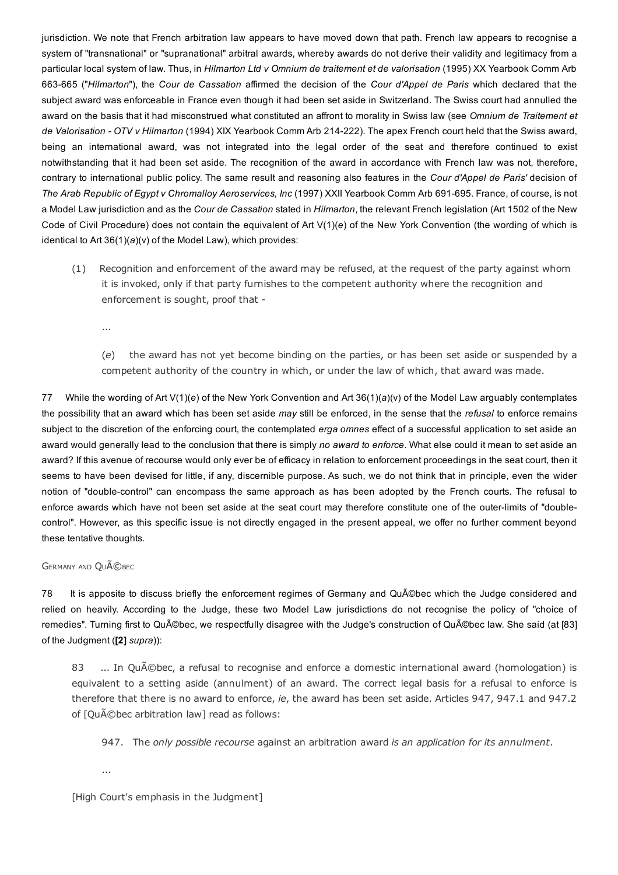jurisdiction. We note that French arbitration law appears to have moved down that path. French law appears to recognise a system of "transnational" or "supranational" arbitral awards, whereby awards do not derive their validity and legitimacy from a particular local system of law. Thus, in Hilmarton Ltd v Omnium de traitement et de valorisation (1995) XX Yearbook Comm Arb 663-665 ("Hilmarton"), the Cour de Cassation affirmed the decision of the Cour d'Appel de Paris which declared that the subject award was enforceable in France even though it had been set aside in Switzerland. The Swiss court had annulled the award on the basis that it had misconstrued what constituted an affront to morality in Swiss law (see Omnium de Traitement et de Valorisation - OTV v Hilmarton (1994) XIX Yearbook Comm Arb 214-222). The apex French court held that the Swiss award, being an international award, was not integrated into the legal order of the seat and therefore continued to exist notwithstanding that it had been set aside. The recognition of the award in accordance with French law was not, therefore, contrary to international public policy. The same result and reasoning also features in the Cour d'Appel de Paris' decision of The Arab Republic of Egypt v Chromalloy Aeroservices, Inc (1997) XXII Yearbook Comm Arb 691-695. France, of course, is not a Model Law jurisdiction and as the Cour de Cassation stated in Hilmarton, the relevant French legislation (Art 1502 of the New Code of Civil Procedure) does not contain the equivalent of Art V(1)(e) of the New York Convention (the wording of which is identical to Art  $36(1)(a)(v)$  of the Model Law), which provides:

- (1) Recognition and enforcement of the award may be refused, at the request of the party against whom it is invoked, only if that party furnishes to the competent authority where the recognition and enforcement is sought, proof that
	- ...
	- (e) the award has not yet become binding on the parties, or has been set aside or suspended by a competent authority of the country in which, or under the law of which, that award was made.

<span id="page-19-0"></span>77 While the wording of Art  $V(1)(e)$  of the New York Convention and Art  $36(1)(a)(v)$  of the Model Law arguably contemplates the possibility that an award which has been set aside may still be enforced, in the sense that the refusal to enforce remains subject to the discretion of the enforcing court, the contemplated erga omnes effect of a successful application to set aside an award would generally lead to the conclusion that there is simply no award to enforce. What else could it mean to set aside an award? If this avenue of recourse would only ever be of efficacy in relation to enforcement proceedings in the seat court, then it seems to have been devised for little, if any, discernible purpose. As such, we do not think that in principle, even the wider notion of "double-control" can encompass the same approach as has been adopted by the French courts. The refusal to enforce awards which have not been set aside at the seat court may therefore constitute one of the outer-limits of "doublecontrol". However, as this specific issue is not directly engaged in the present appeal, we offer no further comment beyond these tentative thoughts.

# GERMANY AND OUAC BEC

78 It is apposite to discuss briefly the enforcement regimes of Germany and Qu©bec which the Judge considered and relied on heavily. According to the Judge, these two Model Law jurisdictions do not recognise the policy of "choice of remedies". Turning first to Qu©bec, we respectfully disagree with the Judge's construction of Québec law. She said (at [83] of the Judgment ([\[2\]](#page-3-0) supra)):

83 ... In Québec, a refusal to recognise and enforce a domestic international award (homologation) is equivalent to a setting aside (annulment) of an award. The correct legal basis for a refusal to enforce is therefore that there is no award to enforce, ie, the award has been set aside. Articles 947, 947.1 and 947.2 of [Québec arbitration law] read as follows:

947. The only possible recourse against an arbitration award is an application for its annulment.

...

[High Court's emphasis in the Judgment]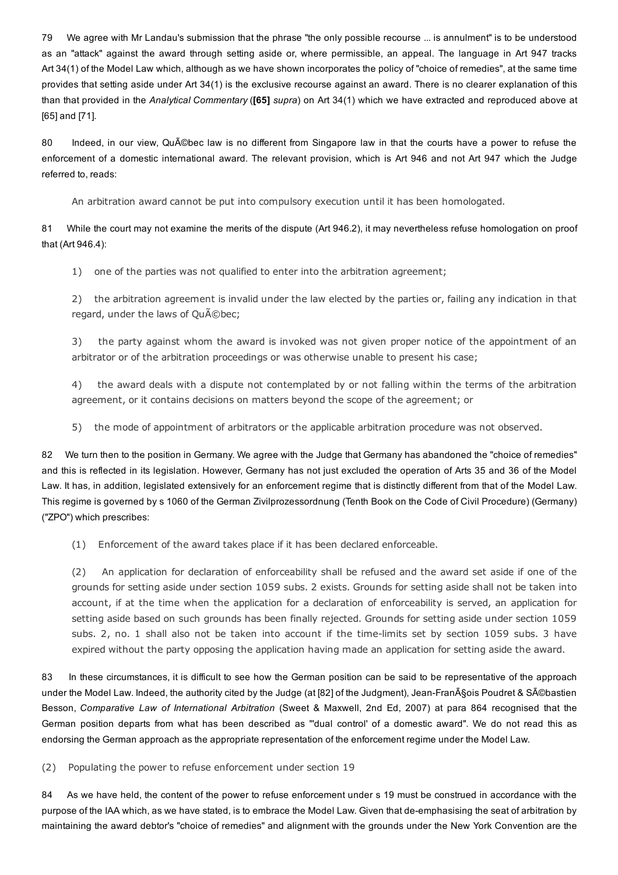79 We agree with Mr Landau's submission that the phrase "the only possible recourse ... is annulment" is to be understood as an "attack" against the award through setting aside or, where permissible, an appeal. The language in Art 947 tracks Art 34(1) of the Model Law which, although as we have shown incorporates the policy of "choice of remedies", at the same time provides that setting aside under Art 34(1) is the exclusive recourse against an award. There is no clearer explanation of this than that provided in the Analytical Commentary ([\[65\]](#page-16-0) supra) on Art 34(1) which we have extracted and reproduced above at [65] and [71].

80 Indeed, in our view, Québec law is no different from Singapore law in that the courts have a power to refuse the enforcement of a domestic international award. The relevant provision, which is Art 946 and not Art 947 which the Judge referred to, reads:

An arbitration award cannot be put into compulsory execution until it has been homologated.

81 While the court may not examine the merits of the dispute (Art 946.2), it may nevertheless refuse homologation on proof that (Art 946.4):

1) one of the parties was not qualified to enter into the arbitration agreement;

2) the arbitration agreement is invalid under the law elected by the parties or, failing any indication in that regard, under the laws of QuACbec;

3) the party against whom the award is invoked was not given proper notice of the appointment of an arbitrator or of the arbitration proceedings or was otherwise unable to present his case;

4) the award deals with a dispute not contemplated by or not falling within the terms of the arbitration agreement, or it contains decisions on matters beyond the scope of the agreement; or

5) the mode of appointment of arbitrators or the applicable arbitration procedure was not observed.

82 We turn then to the position in Germany. We agree with the Judge that Germany has abandoned the "choice of remedies" and this is reflected in its legislation. However, Germany has not just excluded the operation of Arts 35 and 36 of the Model Law. It has, in addition, legislated extensively for an enforcement regime that is distinctly different from that of the Model Law. This regime is governed by s 1060 of the German Zivilprozessordnung (Tenth Book on the Code of Civil Procedure) (Germany) ("ZPO") which prescribes:

(1) Enforcement of the award takes place if it has been declared enforceable.

(2) An application for declaration of enforceability shall be refused and the award set aside if one of the grounds for setting aside under section 1059 subs. 2 exists. Grounds for setting aside shall not be taken into account, if at the time when the application for a declaration of enforceability is served, an application for setting aside based on such grounds has been finally rejected. Grounds for setting aside under section 1059 subs. 2, no. 1 shall also not be taken into account if the time-limits set by section 1059 subs. 3 have expired without the party opposing the application having made an application for setting aside the award.

83 In these circumstances, it is difficult to see how the German position can be said to be representative of the approach under the Model Law. Indeed, the authority cited by the Judge (at [82] of the Judgment), Jean-Fran§ois Poudret & S©bastien Besson, Comparative Law of International Arbitration (Sweet & Maxwell, 2nd Ed, 2007) at para 864 recognised that the German position departs from what has been described as "'dual control' of a domestic award". We do not read this as endorsing the German approach as the appropriate representation of the enforcement regime under the Model Law.

(2) Populating the power to refuse enforcement under section 19

<span id="page-20-0"></span>84 As we have held, the content of the power to refuse enforcement under s 19 must be construed in accordance with the purpose of the IAA which, as we have stated, is to embrace the Model Law. Given that de-emphasising the seat of arbitration by maintaining the award debtor's "choice of remedies" and alignment with the grounds under the New York Convention are the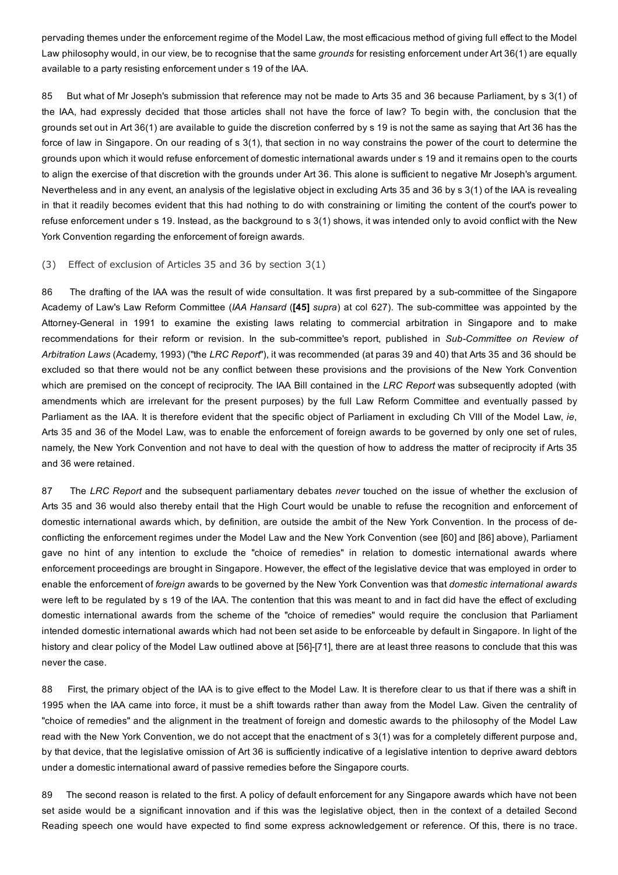pervading themes under the enforcement regime of the Model Law, the most efficacious method of giving full effect to the Model Law philosophy would, in our view, be to recognise that the same grounds for resisting enforcement under Art 36(1) are equally available to a party resisting enforcement under s 19 of the IAA.

85 But what of Mr Joseph's submission that reference may not be made to Arts 35 and 36 because Parliament, by s 3(1) of the IAA, had expressly decided that those articles shall not have the force of law? To begin with, the conclusion that the grounds set out in Art 36(1) are available to guide the discretion conferred by s 19 is not the same as saying that Art 36 has the force of law in Singapore. On our reading of s 3(1), that section in no way constrains the power of the court to determine the grounds upon which it would refuse enforcement of domestic international awards under s 19 and it remains open to the courts to align the exercise of that discretion with the grounds under Art 36. This alone is sufficient to negative Mr Joseph's argument. Nevertheless and in any event, an analysis of the legislative object in excluding Arts 35 and 36 by s 3(1) of the IAA is revealing in that it readily becomes evident that this had nothing to do with constraining or limiting the content of the court's power to refuse enforcement under s 19. Instead, as the background to s 3(1) shows, it was intended only to avoid conflict with the New York Convention regarding the enforcement of foreign awards.

### (3) Effect of exclusion of Articles 35 and 36 by section 3(1)

<span id="page-21-0"></span>86 The drafting of the IAA was the result of wide consultation. It was first prepared by a sub-committee of the Singapore Academy of Law's Law Reform Committee (IAA Hansard ([\[45\]](#page-12-0) supra) at col 627). The sub-committee was appointed by the Attorney-General in 1991 to examine the existing laws relating to commercial arbitration in Singapore and to make recommendations for their reform or revision. In the sub-committee's report, published in Sub-Committee on Review of Arbitration Laws (Academy, 1993) ("the LRC Report"), it was recommended (at paras 39 and 40) that Arts 35 and 36 should be excluded so that there would not be any conflict between these provisions and the provisions of the New York Convention which are premised on the concept of reciprocity. The IAA Bill contained in the LRC Report was subsequently adopted (with amendments which are irrelevant for the present purposes) by the full Law Reform Committee and eventually passed by Parliament as the IAA. It is therefore evident that the specific object of Parliament in excluding Ch VIII of the Model Law, ie, Arts 35 and 36 of the Model Law, was to enable the enforcement of foreign awards to be governed by only one set of rules, namely, the New York Convention and not have to deal with the question of how to address the matter of reciprocity if Arts 35 and 36 were retained.

87 The LRC Report and the subsequent parliamentary debates never touched on the issue of whether the exclusion of Arts 35 and 36 would also thereby entail that the High Court would be unable to refuse the recognition and enforcement of domestic international awards which, by definition, are outside the ambit of the New York Convention. In the process of deconflicting the enforcement regimes under the Model Law and the New York Convention (see [60] and [86] above), Parliament gave no hint of any intention to exclude the "choice of remedies" in relation to domestic international awards where enforcement proceedings are brought in Singapore. However, the effect of the legislative device that was employed in order to enable the enforcement of foreign awards to be governed by the New York Convention was that domestic international awards were left to be regulated by s 19 of the IAA. The contention that this was meant to and in fact did have the effect of excluding domestic international awards from the scheme of the "choice of remedies" would require the conclusion that Parliament intended domestic international awards which had not been set aside to be enforceable by default in Singapore. In light of the history and clear policy of the Model Law outlined above at [56]-[71], there are at least three reasons to conclude that this was never the case.

88 First, the primary object of the IAA is to give effect to the Model Law. It is therefore clear to us that if there was a shift in 1995 when the IAA came into force, it must be a shift towards rather than away from the Model Law. Given the centrality of "choice of remedies" and the alignment in the treatment of foreign and domestic awards to the philosophy of the Model Law read with the New York Convention, we do not accept that the enactment of s 3(1) was for a completely different purpose and, by that device, that the legislative omission of Art 36 is sufficiently indicative of a legislative intention to deprive award debtors under a domestic international award of passive remedies before the Singapore courts.

89 The second reason is related to the first. A policy of default enforcement for any Singapore awards which have not been set aside would be a significant innovation and if this was the legislative object, then in the context of a detailed Second Reading speech one would have expected to find some express acknowledgement or reference. Of this, there is no trace.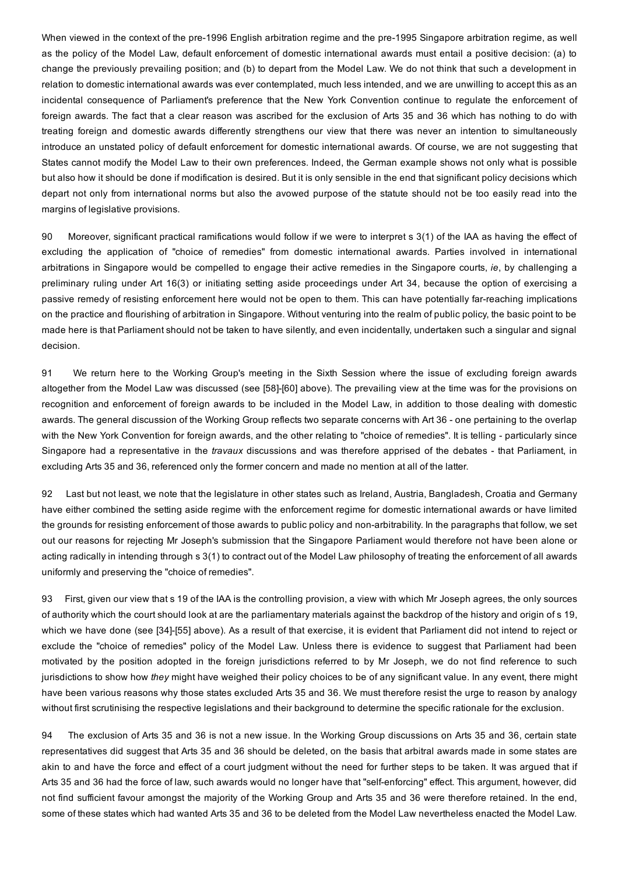When viewed in the context of the pre-1996 English arbitration regime and the pre-1995 Singapore arbitration regime, as well as the policy of the Model Law, default enforcement of domestic international awards must entail a positive decision: (a) to change the previously prevailing position; and (b) to depart from the Model Law. We do not think that such a development in relation to domestic international awards was ever contemplated, much less intended, and we are unwilling to accept this as an incidental consequence of Parliament's preference that the New York Convention continue to regulate the enforcement of foreign awards. The fact that a clear reason was ascribed for the exclusion of Arts 35 and 36 which has nothing to do with treating foreign and domestic awards differently strengthens our view that there was never an intention to simultaneously introduce an unstated policy of default enforcement for domestic international awards. Of course, we are not suggesting that States cannot modify the Model Law to their own preferences. Indeed, the German example shows not only what is possible but also how it should be done if modification is desired. But it is only sensible in the end that significant policy decisions which depart not only from international norms but also the avowed purpose of the statute should not be too easily read into the margins of legislative provisions.

<span id="page-22-0"></span>90 Moreover, significant practical ramifications would follow if we were to interpret s 3(1) of the IAA as having the effect of excluding the application of "choice of remedies" from domestic international awards. Parties involved in international arbitrations in Singapore would be compelled to engage their active remedies in the Singapore courts, ie, by challenging a preliminary ruling under Art 16(3) or initiating setting aside proceedings under Art 34, because the option of exercising a passive remedy of resisting enforcement here would not be open to them. This can have potentially far-reaching implications on the practice and flourishing of arbitration in Singapore. Without venturing into the realm of public policy, the basic point to be made here is that Parliament should not be taken to have silently, and even incidentally, undertaken such a singular and signal decision.

91 We return here to the Working Group's meeting in the Sixth Session where the issue of excluding foreign awards altogether from the Model Law was discussed (see [58]-[60] above). The prevailing view at the time was for the provisions on recognition and enforcement of foreign awards to be included in the Model Law, in addition to those dealing with domestic awards. The general discussion of the Working Group reflects two separate concerns with Art 36 - one pertaining to the overlap with the New York Convention for foreign awards, and the other relating to "choice of remedies". It is telling - particularly since Singapore had a representative in the *travaux* discussions and was therefore apprised of the debates - that Parliament, in excluding Arts 35 and 36, referenced only the former concern and made no mention at all of the latter.

92 Last but not least, we note that the legislature in other states such as Ireland, Austria, Bangladesh, Croatia and Germany have either combined the setting aside regime with the enforcement regime for domestic international awards or have limited the grounds for resisting enforcement of those awards to public policy and non-arbitrability. In the paragraphs that follow, we set out our reasons for rejecting Mr Joseph's submission that the Singapore Parliament would therefore not have been alone or acting radically in intending through s 3(1) to contract out of the Model Law philosophy of treating the enforcement of all awards uniformly and preserving the "choice of remedies".

93 First, given our view that s 19 of the IAA is the controlling provision, a view with which Mr Joseph agrees, the only sources of authority which the court should look at are the parliamentary materials against the backdrop of the history and origin of s 19, which we have done (see [34]-[55] above). As a result of that exercise, it is evident that Parliament did not intend to reject or exclude the "choice of remedies" policy of the Model Law. Unless there is evidence to suggest that Parliament had been motivated by the position adopted in the foreign jurisdictions referred to by Mr Joseph, we do not find reference to such jurisdictions to show how they might have weighed their policy choices to be of any significant value. In any event, there might have been various reasons why those states excluded Arts 35 and 36. We must therefore resist the urge to reason by analogy without first scrutinising the respective legislations and their background to determine the specific rationale for the exclusion.

94 The exclusion of Arts 35 and 36 is not a new issue. In the Working Group discussions on Arts 35 and 36, certain state representatives did suggest that Arts 35 and 36 should be deleted, on the basis that arbitral awards made in some states are akin to and have the force and effect of a court judgment without the need for further steps to be taken. It was argued that if Arts 35 and 36 had the force of law, such awards would no longer have that "self-enforcing" effect. This argument, however, did not find sufficient favour amongst the majority of the Working Group and Arts 35 and 36 were therefore retained. In the end, some of these states which had wanted Arts 35 and 36 to be deleted from the Model Law nevertheless enacted the Model Law.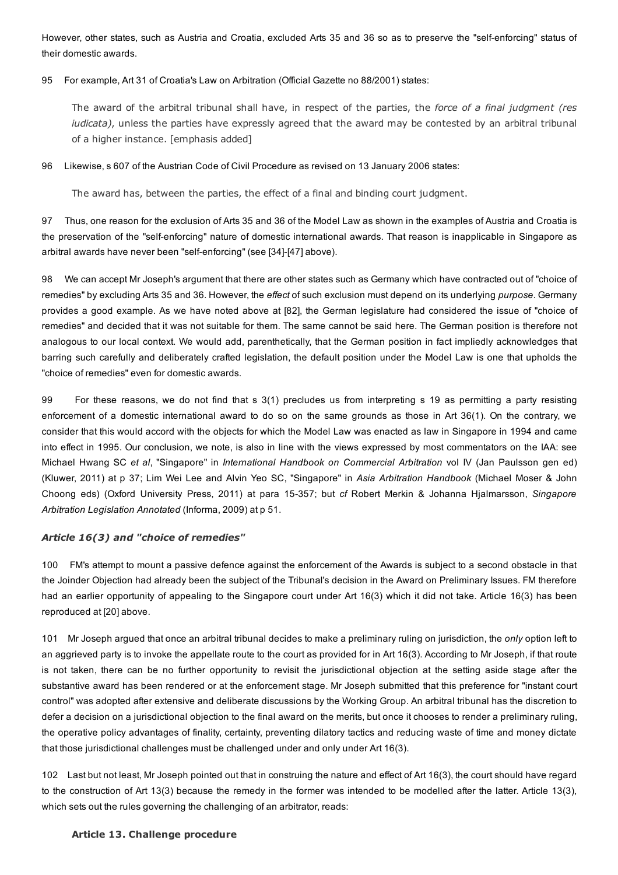However, other states, such as Austria and Croatia, excluded Arts 35 and 36 so as to preserve the "self-enforcing" status of their domestic awards.

### 95 For example, Art 31 of Croatia's Law on Arbitration (Official Gazette no 88/2001) states:

The award of the arbitral tribunal shall have, in respect of the parties, the force of a final judgment (res iudicata), unless the parties have expressly agreed that the award may be contested by an arbitral tribunal of a higher instance. [emphasis added]

### 96 Likewise, s 607 of the Austrian Code of Civil Procedure as revised on 13 January 2006 states:

The award has, between the parties, the effect of a final and binding court judgment.

97 Thus, one reason for the exclusion of Arts 35 and 36 of the Model Law as shown in the examples of Austria and Croatia is the preservation of the "selfenforcing" nature of domestic international awards. That reason is inapplicable in Singapore as arbitral awards have never been "self-enforcing" (see [34]-[47] above).

98 We can accept Mr Joseph's argument that there are other states such as Germany which have contracted out of "choice of remedies" by excluding Arts 35 and 36. However, the effect of such exclusion must depend on its underlying purpose. Germany provides a good example. As we have noted above at [82], the German legislature had considered the issue of "choice of remedies" and decided that it was not suitable for them. The same cannot be said here. The German position is therefore not analogous to our local context. We would add, parenthetically, that the German position in fact impliedly acknowledges that barring such carefully and deliberately crafted legislation, the default position under the Model Law is one that upholds the "choice of remedies" even for domestic awards.

<span id="page-23-0"></span>99 For these reasons, we do not find that s 3(1) precludes us from interpreting s 19 as permitting a party resisting enforcement of a domestic international award to do so on the same grounds as those in Art 36(1). On the contrary, we consider that this would accord with the objects for which the Model Law was enacted as law in Singapore in 1994 and came into effect in 1995. Our conclusion, we note, is also in line with the views expressed by most commentators on the IAA: see Michael Hwang SC et al, "Singapore" in International Handbook on Commercial Arbitration vol IV (Jan Paulsson gen ed) (Kluwer, 2011) at p 37; Lim Wei Lee and Alvin Yeo SC, "Singapore" in Asia Arbitration Handbook (Michael Moser & John Choong eds) (Oxford University Press, 2011) at para 15-357; but cf Robert Merkin & Johanna Hjalmarsson, Singapore Arbitration Legislation Annotated (Informa, 2009) at p 51.

# Article 16(3) and "choice of remedies"

100 FM's attempt to mount a passive defence against the enforcement of the Awards is subject to a second obstacle in that the Joinder Objection had already been the subject of the Tribunal's decision in the Award on Preliminary Issues. FM therefore had an earlier opportunity of appealing to the Singapore court under Art 16(3) which it did not take. Article 16(3) has been reproduced at [20] above.

101 Mr Joseph argued that once an arbitral tribunal decides to make a preliminary ruling on jurisdiction, the only option left to an aggrieved party is to invoke the appellate route to the court as provided for in Art 16(3). According to Mr Joseph, if that route is not taken, there can be no further opportunity to revisit the jurisdictional objection at the setting aside stage after the substantive award has been rendered or at the enforcement stage. Mr Joseph submitted that this preference for "instant court control" was adopted after extensive and deliberate discussions by the Working Group. An arbitral tribunal has the discretion to defer a decision on a jurisdictional objection to the final award on the merits, but once it chooses to render a preliminary ruling, the operative policy advantages of finality, certainty, preventing dilatory tactics and reducing waste of time and money dictate that those jurisdictional challenges must be challenged under and only under Art 16(3).

102 Last but not least, Mr Joseph pointed out that in construing the nature and effect of Art 16(3), the court should have regard to the construction of Art 13(3) because the remedy in the former was intended to be modelled after the latter. Article 13(3), which sets out the rules governing the challenging of an arbitrator, reads:

### Article 13. Challenge procedure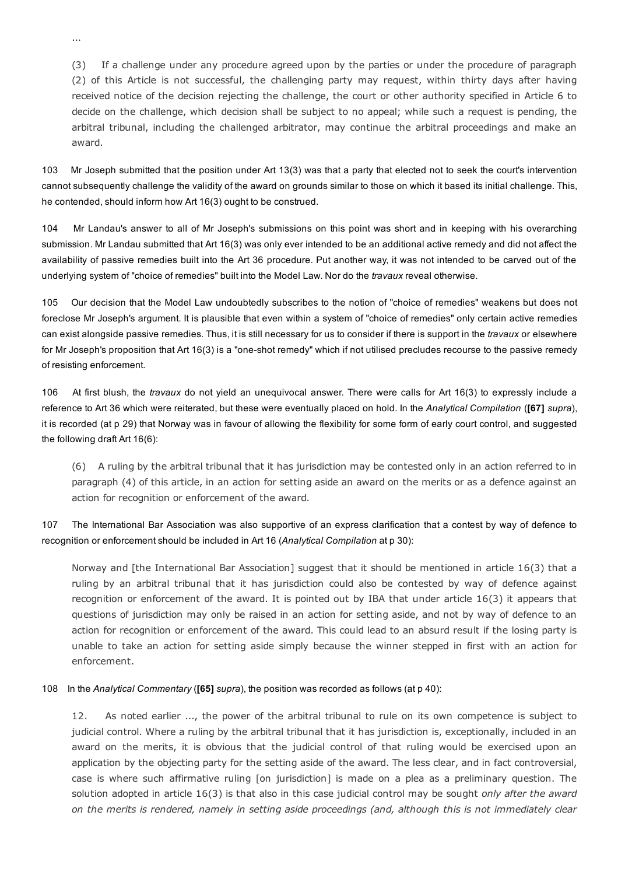(3) If a challenge under any procedure agreed upon by the parties or under the procedure of paragraph (2) of this Article is not successful, the challenging party may request, within thirty days after having received notice of the decision rejecting the challenge, the court or other authority specified in Article 6 to decide on the challenge, which decision shall be subject to no appeal; while such a request is pending, the arbitral tribunal, including the challenged arbitrator, may continue the arbitral proceedings and make an award.

103 Mr Joseph submitted that the position under Art 13(3) was that a party that elected not to seek the court's intervention cannot subsequently challenge the validity of the award on grounds similar to those on which it based its initial challenge. This, he contended, should inform how Art 16(3) ought to be construed.

104 Mr Landau's answer to all of Mr Joseph's submissions on this point was short and in keeping with his overarching submission. Mr Landau submitted that Art 16(3) was only ever intended to be an additional active remedy and did not affect the availability of passive remedies built into the Art 36 procedure. Put another way, it was not intended to be carved out of the underlying system of "choice of remedies" built into the Model Law. Nor do the travaux reveal otherwise.

105 Our decision that the Model Law undoubtedly subscribes to the notion of "choice of remedies" weakens but does not foreclose Mr Joseph's argument. It is plausible that even within a system of "choice of remedies" only certain active remedies can exist alongside passive remedies. Thus, it is still necessary for us to consider if there is support in the travaux or elsewhere for Mr Joseph's proposition that Art 16(3) is a "one-shot remedy" which if not utilised precludes recourse to the passive remedy of resisting enforcement.

106 At first blush, the travaux do not yield an unequivocal answer. There were calls for Art 16(3) to expressly include a reference to Art 36 which were reiterated, but these were eventually placed on hold. In the Analytical Compilation ([\[67\]](#page-16-1) supra), it is recorded (at p 29) that Norway was in favour of allowing the flexibility for some form of early court control, and suggested the following draft Art 16(6):

(6) A ruling by the arbitral tribunal that it has jurisdiction may be contested only in an action referred to in paragraph (4) of this article, in an action for setting aside an award on the merits or as a defence against an action for recognition or enforcement of the award.

107 The International Bar Association was also supportive of an express clarification that a contest by way of defence to recognition or enforcement should be included in Art 16 (Analytical Compilation at p 30):

Norway and [the International Bar Association] suggest that it should be mentioned in article 16(3) that a ruling by an arbitral tribunal that it has jurisdiction could also be contested by way of defence against recognition or enforcement of the award. It is pointed out by IBA that under article 16(3) it appears that questions of jurisdiction may only be raised in an action for setting aside, and not by way of defence to an action for recognition or enforcement of the award. This could lead to an absurd result if the losing party is unable to take an action for setting aside simply because the winner stepped in first with an action for enforcement.

# 108 In the Analytical Commentary (**[\[65\]](#page-16-0)** supra), the position was recorded as follows (at p 40):

12. As noted earlier ..., the power of the arbitral tribunal to rule on its own competence is subject to judicial control. Where a ruling by the arbitral tribunal that it has jurisdiction is, exceptionally, included in an award on the merits, it is obvious that the judicial control of that ruling would be exercised upon an application by the objecting party for the setting aside of the award. The less clear, and in fact controversial, case is where such affirmative ruling [on jurisdiction] is made on a plea as a preliminary question. The solution adopted in article 16(3) is that also in this case judicial control may be sought only after the award on the merits is rendered, namely in setting aside proceedings (and, although this is not immediately clear

...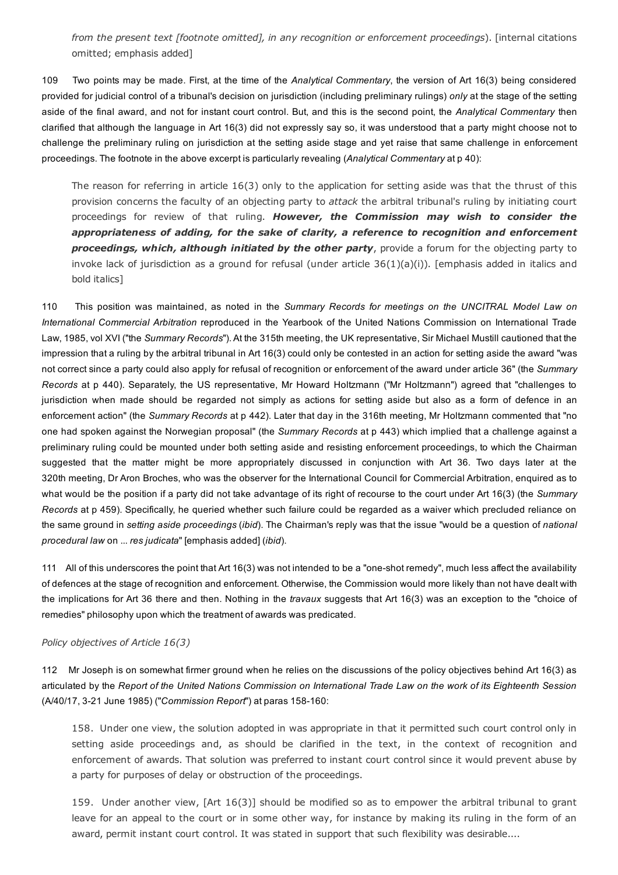from the present text [footnote omitted], in any recognition or enforcement proceedings). [internal citations omitted; emphasis added]

<span id="page-25-0"></span>109 Two points may be made. First, at the time of the Analytical Commentary, the version of Art 16(3) being considered provided for judicial control of a tribunal's decision on jurisdiction (including preliminary rulings) only at the stage of the setting aside of the final award, and not for instant court control. But, and this is the second point, the Analytical Commentary then clarified that although the language in Art 16(3) did not expressly say so, it was understood that a party might choose not to challenge the preliminary ruling on jurisdiction at the setting aside stage and yet raise that same challenge in enforcement proceedings. The footnote in the above excerpt is particularly revealing (Analytical Commentary at p 40):

The reason for referring in article 16(3) only to the application for setting aside was that the thrust of this provision concerns the faculty of an objecting party to *attack* the arbitral tribunal's ruling by initiating court proceedings for review of that ruling. However, the Commission may wish to consider the appropriateness of adding, for the sake of clarity, a reference to recognition and enforcement proceedings, which, although initiated by the other party, provide a forum for the objecting party to invoke lack of jurisdiction as a ground for refusal (under article  $36(1)(a)(i)$ ). [emphasis added in italics and bold italics]

110 This position was maintained, as noted in the Summary Records for meetings on the UNCITRAL Model Law on International Commercial Arbitration reproduced in the Yearbook of the United Nations Commission on International Trade Law, 1985, vol XVI ("the Summary Records"). At the 315th meeting, the UK representative, Sir Michael Mustill cautioned that the impression that a ruling by the arbitral tribunal in Art 16(3) could only be contested in an action for setting aside the award "was not correct since a party could also apply for refusal of recognition or enforcement of the award under article 36" (the Summary Records at p 440). Separately, the US representative, Mr Howard Holtzmann ("Mr Holtzmann") agreed that "challenges to jurisdiction when made should be regarded not simply as actions for setting aside but also as a form of defence in an enforcement action" (the Summary Records at p 442). Later that day in the 316th meeting, Mr Holtzmann commented that "no one had spoken against the Norwegian proposal" (the Summary Records at p 443) which implied that a challenge against a preliminary ruling could be mounted under both setting aside and resisting enforcement proceedings, to which the Chairman suggested that the matter might be more appropriately discussed in conjunction with Art 36. Two days later at the 320th meeting, Dr Aron Broches, who was the observer for the International Council for Commercial Arbitration, enquired as to what would be the position if a party did not take advantage of its right of recourse to the court under Art 16(3) (the Summary Records at p 459). Specifically, he queried whether such failure could be regarded as a waiver which precluded reliance on the same ground in setting aside proceedings (ibid). The Chairman's reply was that the issue "would be a question of national procedural law on ... res judicata" [emphasis added] (ibid).

111 All of this underscores the point that Art 16(3) was not intended to be a "oneshot remedy", much less affect the availability of defences at the stage of recognition and enforcement. Otherwise, the Commission would more likely than not have dealt with the implications for Art 36 there and then. Nothing in the travaux suggests that Art 16(3) was an exception to the "choice of remedies" philosophy upon which the treatment of awards was predicated.

# Policy objectives of Article 16(3)

<span id="page-25-1"></span>112 Mr Joseph is on somewhat firmer ground when he relies on the discussions of the policy objectives behind Art 16(3) as articulated by the Report of the United Nations Commission on International Trade Law on the work of its Eighteenth Session (A/40/17, 3-21 June 1985) ("Commission Report") at paras 158-160:

158. Under one view, the solution adopted in was appropriate in that it permitted such court control only in setting aside proceedings and, as should be clarified in the text, in the context of recognition and enforcement of awards. That solution was preferred to instant court control since it would prevent abuse by a party for purposes of delay or obstruction of the proceedings.

159. Under another view, [Art 16(3)] should be modified so as to empower the arbitral tribunal to grant leave for an appeal to the court or in some other way, for instance by making its ruling in the form of an award, permit instant court control. It was stated in support that such flexibility was desirable....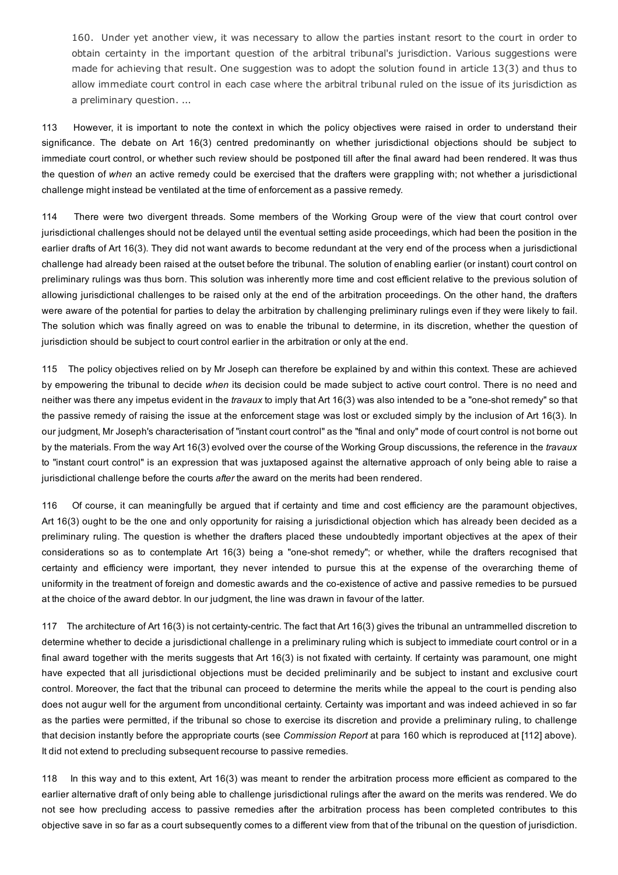160. Under yet another view, it was necessary to allow the parties instant resort to the court in order to obtain certainty in the important question of the arbitral tribunal's jurisdiction. Various suggestions were made for achieving that result. One suggestion was to adopt the solution found in article 13(3) and thus to allow immediate court control in each case where the arbitral tribunal ruled on the issue of its jurisdiction as a preliminary question. ...

113 However, it is important to note the context in which the policy objectives were raised in order to understand their significance. The debate on Art 16(3) centred predominantly on whether jurisdictional objections should be subject to immediate court control, or whether such review should be postponed till after the final award had been rendered. It was thus the question of when an active remedy could be exercised that the drafters were grappling with; not whether a jurisdictional challenge might instead be ventilated at the time of enforcement as a passive remedy.

114 There were two divergent threads. Some members of the Working Group were of the view that court control over jurisdictional challenges should not be delayed until the eventual setting aside proceedings, which had been the position in the earlier drafts of Art 16(3). They did not want awards to become redundant at the very end of the process when a jurisdictional challenge had already been raised at the outset before the tribunal. The solution of enabling earlier (or instant) court control on preliminary rulings was thus born. This solution was inherently more time and cost efficient relative to the previous solution of allowing jurisdictional challenges to be raised only at the end of the arbitration proceedings. On the other hand, the drafters were aware of the potential for parties to delay the arbitration by challenging preliminary rulings even if they were likely to fail. The solution which was finally agreed on was to enable the tribunal to determine, in its discretion, whether the question of jurisdiction should be subject to court control earlier in the arbitration or only at the end.

115 The policy objectives relied on by Mr Joseph can therefore be explained by and within this context. These are achieved by empowering the tribunal to decide when its decision could be made subject to active court control. There is no need and neither was there any impetus evident in the travaux to imply that Art 16(3) was also intended to be a "one-shot remedy" so that the passive remedy of raising the issue at the enforcement stage was lost or excluded simply by the inclusion of Art 16(3). In our judgment, Mr Joseph's characterisation of "instant court control" as the "final and only" mode of court control is not borne out by the materials. From the way Art 16(3) evolved over the course of the Working Group discussions, the reference in the travaux to "instant court control" is an expression that was juxtaposed against the alternative approach of only being able to raise a jurisdictional challenge before the courts after the award on the merits had been rendered.

116 Of course, it can meaningfully be argued that if certainty and time and cost efficiency are the paramount objectives, Art 16(3) ought to be the one and only opportunity for raising a jurisdictional objection which has already been decided as a preliminary ruling. The question is whether the drafters placed these undoubtedly important objectives at the apex of their considerations so as to contemplate Art 16(3) being a "one-shot remedy"; or whether, while the drafters recognised that certainty and efficiency were important, they never intended to pursue this at the expense of the overarching theme of uniformity in the treatment of foreign and domestic awards and the co-existence of active and passive remedies to be pursued at the choice of the award debtor. In our judgment, the line was drawn in favour of the latter.

117 The architecture of Art 16(3) is not certaintycentric. The fact that Art 16(3) gives the tribunal an untrammelled discretion to determine whether to decide a jurisdictional challenge in a preliminary ruling which is subject to immediate court control or in a final award together with the merits suggests that Art 16(3) is not fixated with certainty. If certainty was paramount, one might have expected that all jurisdictional objections must be decided preliminarily and be subject to instant and exclusive court control. Moreover, the fact that the tribunal can proceed to determine the merits while the appeal to the court is pending also does not augur well for the argument from unconditional certainty. Certainty was important and was indeed achieved in so far as the parties were permitted, if the tribunal so chose to exercise its discretion and provide a preliminary ruling, to challenge that decision instantly before the appropriate courts (see Commission Report at para 160 which is reproduced at [112] above). It did not extend to precluding subsequent recourse to passive remedies.

118 In this way and to this extent, Art 16(3) was meant to render the arbitration process more efficient as compared to the earlier alternative draft of only being able to challenge jurisdictional rulings after the award on the merits was rendered. We do not see how precluding access to passive remedies after the arbitration process has been completed contributes to this objective save in so far as a court subsequently comes to a different view from that of the tribunal on the question of jurisdiction.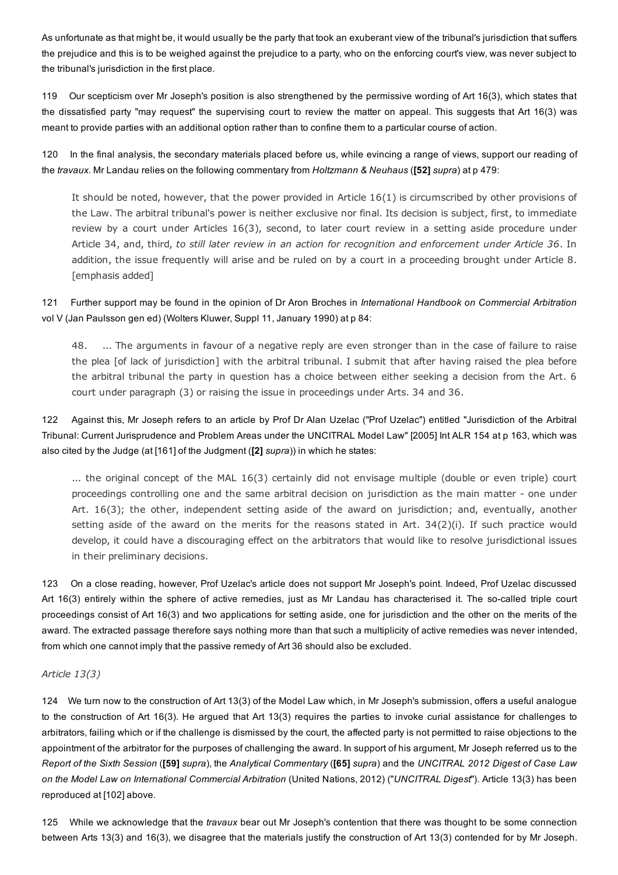As unfortunate as that might be, it would usually be the party that took an exuberant view of the tribunal's jurisdiction that suffers the prejudice and this is to be weighed against the prejudice to a party, who on the enforcing court's view, was never subject to the tribunal's jurisdiction in the first place.

119 Our scepticism over Mr Joseph's position is also strengthened by the permissive wording of Art 16(3), which states that the dissatisfied party "may request" the supervising court to review the matter on appeal. This suggests that Art 16(3) was meant to provide parties with an additional option rather than to confine them to a particular course of action.

120 In the final analysis, the secondary materials placed before us, while evincing a range of views, support our reading of the travaux. Mr Landau relies on the following commentary from Holtzmann & Neuhaus [\(\[52\]](#page-13-1) supra) at p 479:

It should be noted, however, that the power provided in Article 16(1) is circumscribed by other provisions of the Law. The arbitral tribunal's power is neither exclusive nor final. Its decision is subject, first, to immediate review by a court under Articles 16(3), second, to later court review in a setting aside procedure under Article 34, and, third, to still later review in an action for recognition and enforcement under Article 36. In addition, the issue frequently will arise and be ruled on by a court in a proceeding brought under Article 8. [emphasis added]

121 Further support may be found in the opinion of Dr Aron Broches in International Handbook on Commercial Arbitration vol V (Jan Paulsson gen ed) (Wolters Kluwer, Suppl 11, January 1990) at p 84:

48. ... The arguments in favour of a negative reply are even stronger than in the case of failure to raise the plea [of lack of jurisdiction] with the arbitral tribunal. I submit that after having raised the plea before the arbitral tribunal the party in question has a choice between either seeking a decision from the Art. 6 court under paragraph (3) or raising the issue in proceedings under Arts. 34 and 36.

122 Against this, Mr Joseph refers to an article by Prof Dr Alan Uzelac ("Prof Uzelac") entitled "Jurisdiction of the Arbitral Tribunal: Current Jurisprudence and Problem Areas under the UNCITRAL Model Law" [2005] Int ALR 154 at p 163, which was also cited by the Judge (at [161] of the Judgment [\(\[2\]](#page-3-0) supra)) in which he states:

... the original concept of the MAL 16(3) certainly did not envisage multiple (double or even triple) court proceedings controlling one and the same arbitral decision on jurisdiction as the main matter - one under Art. 16(3); the other, independent setting aside of the award on jurisdiction; and, eventually, another setting aside of the award on the merits for the reasons stated in Art. 34(2)(i). If such practice would develop, it could have a discouraging effect on the arbitrators that would like to resolve jurisdictional issues in their preliminary decisions.

<span id="page-27-0"></span>123 On a close reading, however, Prof Uzelac's article does not support Mr Joseph's point. Indeed, Prof Uzelac discussed Art 16(3) entirely within the sphere of active remedies, just as Mr Landau has characterised it. The socalled triple court proceedings consist of Art 16(3) and two applications for setting aside, one for jurisdiction and the other on the merits of the award. The extracted passage therefore says nothing more than that such a multiplicity of active remedies was never intended, from which one cannot imply that the passive remedy of Art 36 should also be excluded.

# Article 13(3)

<span id="page-27-2"></span>124 We turn now to the construction of Art 13(3) of the Model Law which, in Mr Joseph's submission, offers a useful analogue to the construction of Art 16(3). He argued that Art 13(3) requires the parties to invoke curial assistance for challenges to arbitrators, failing which or if the challenge is dismissed by the court, the affected party is not permitted to raise objections to the appointment of the arbitrator for the purposes of challenging the award. In support of his argument, Mr Joseph referred us to the Report of the Sixth Session ([\[59\]](#page-14-1) supra), the Analytical Commentary ([\[65\]](#page-16-0) supra) and the UNCITRAL 2012 Digest of Case Law on the Model Law on International Commercial Arbitration (United Nations, 2012) ("UNCITRAL Digest"). Article 13(3) has been reproduced at [102] above.

<span id="page-27-1"></span>125 While we acknowledge that the travaux bear out Mr Joseph's contention that there was thought to be some connection between Arts 13(3) and 16(3), we disagree that the materials justify the construction of Art 13(3) contended for by Mr Joseph.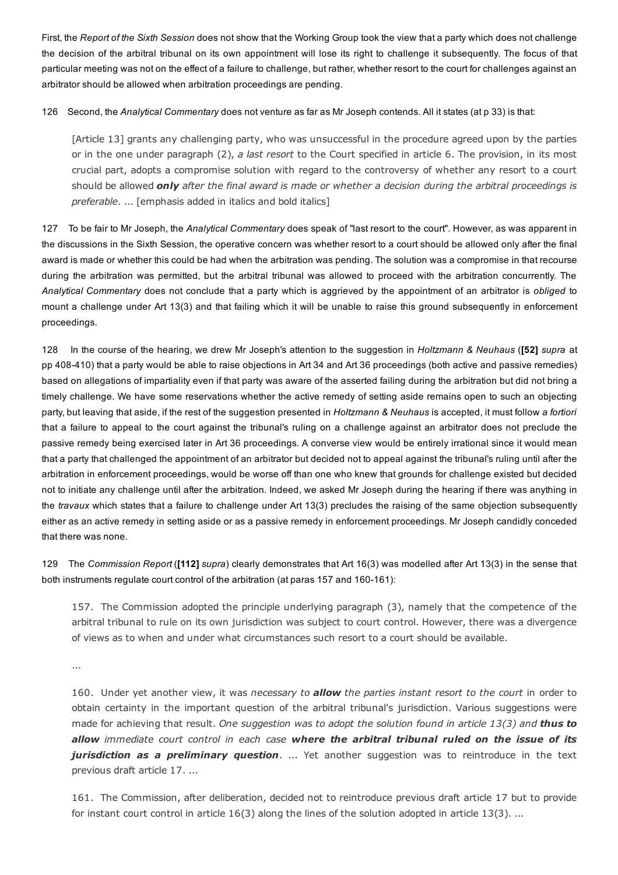First, the Report of the Sixth Session does not show that the Working Group took the view that a party which does not challenge the decision of the arbitral tribunal on its own appointment will lose its right to challenge it subsequently. The focus of that particular meeting was not on the effect of a failure to challenge, but rather, whether resort to the court for challenges against an arbitrator should be allowed when arbitration proceedings are pending.

126 Second, the Analytical Commentary does not venture as far as Mr Joseph contends. All it states (at p 33) is that:

[Article 13] grants any challenging party, who was unsuccessful in the procedure agreed upon by the parties or in the one under paragraph (2), a last resort to the Court specified in article 6. The provision, in its most crucial part, adopts a compromise solution with regard to the controversy of whether any resort to a court should be allowed *only after the final award is made or whether a decision during the arbitral proceedings is* preferable. ... [emphasis added in italics and bold italics]

127 To be fair to Mr Joseph, the Analytical Commentary does speak of "last resort to the court". However, as was apparent in the discussions in the Sixth Session, the operative concern was whether resort to a court should be allowed only after the final award is made or whether this could be had when the arbitration was pending. The solution was a compromise in that recourse during the arbitration was permitted, but the arbitral tribunal was allowed to proceed with the arbitration concurrently. The Analytical Commentary does not conclude that a party which is aggrieved by the appointment of an arbitrator is obliged to mount a challenge under Art 13(3) and that failing which it will be unable to raise this ground subsequently in enforcement proceedings.

128 In the course of the hearing, we drew Mr Joseph's attention to the suggestion in Holtzmann & Neuhaus ([\[52\]](#page-13-1) supra at pp 408410) that a party would be able to raise objections in Art 34 and Art 36 proceedings (both active and passive remedies) based on allegations of impartiality even if that party was aware of the asserted failing during the arbitration but did not bring a timely challenge. We have some reservations whether the active remedy of setting aside remains open to such an objecting party, but leaving that aside, if the rest of the suggestion presented in Holtzmann & Neuhaus is accepted, it must follow a fortiori that a failure to appeal to the court against the tribunal's ruling on a challenge against an arbitrator does not preclude the passive remedy being exercised later in Art 36 proceedings. A converse view would be entirely irrational since it would mean that a party that challenged the appointment of an arbitrator but decided not to appeal against the tribunal's ruling until after the arbitration in enforcement proceedings, would be worse off than one who knew that grounds for challenge existed but decided not to initiate any challenge until after the arbitration. Indeed, we asked Mr Joseph during the hearing if there was anything in the travaux which states that a failure to challenge under Art 13(3) precludes the raising of the same objection subsequently either as an active remedy in setting aside or as a passive remedy in enforcement proceedings. Mr Joseph candidly conceded that there was none.

129 The Commission Report ([\[112\]](#page-25-1) supra) clearly demonstrates that Art 16(3) was modelled after Art 13(3) in the sense that both instruments regulate court control of the arbitration (at paras 157 and 160-161):

157. The Commission adopted the principle underlying paragraph (3), namely that the competence of the arbitral tribunal to rule on its own jurisdiction was subject to court control. However, there was a divergence of views as to when and under what circumstances such resort to a court should be available.

...

160. Under yet another view, it was necessary to **allow** the parties instant resort to the court in order to obtain certainty in the important question of the arbitral tribunal's jurisdiction. Various suggestions were made for achieving that result. One suggestion was to adopt the solution found in article 13(3) and thus to allow immediate court control in each case where the arbitral tribunal ruled on the issue of its jurisdiction as a preliminary question. ... Yet another suggestion was to reintroduce in the text previous draft article 17. ...

161. The Commission, after deliberation, decided not to reintroduce previous draft article 17 but to provide for instant court control in article 16(3) along the lines of the solution adopted in article 13(3). ...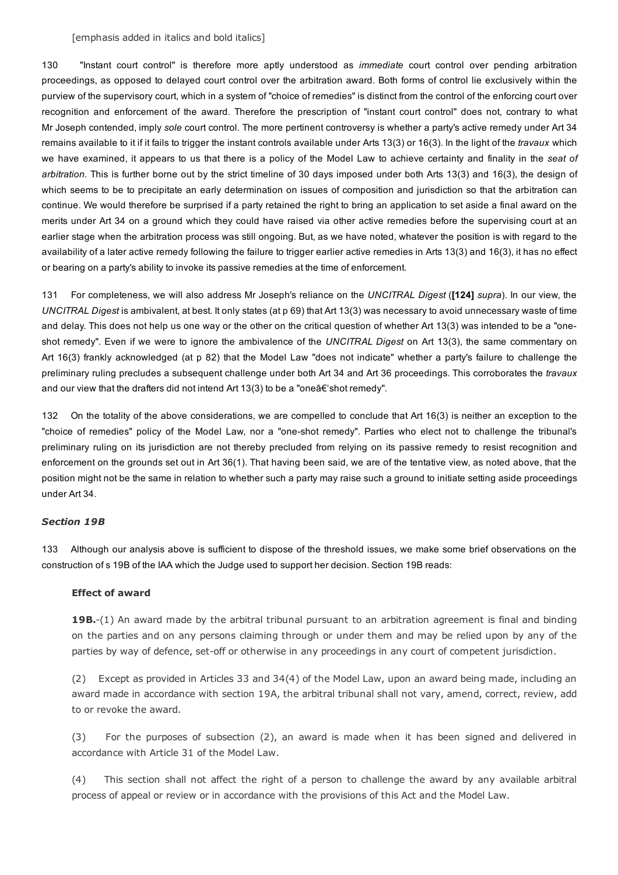[emphasis added in italics and bold italics]

130 "Instant court control" is therefore more aptly understood as *immediate* court control over pending arbitration proceedings, as opposed to delayed court control over the arbitration award. Both forms of control lie exclusively within the purview of the supervisory court, which in a system of "choice of remedies" is distinct from the control of the enforcing court over recognition and enforcement of the award. Therefore the prescription of "instant court control" does not, contrary to what Mr Joseph contended, imply sole court control. The more pertinent controversy is whether a party's active remedy under Art 34 remains available to it if it fails to trigger the instant controls available under Arts 13(3) or 16(3). In the light of the *travaux* which we have examined, it appears to us that there is a policy of the Model Law to achieve certainty and finality in the seat of arbitration. This is further borne out by the strict timeline of 30 days imposed under both Arts 13(3) and 16(3), the design of which seems to be to precipitate an early determination on issues of composition and jurisdiction so that the arbitration can continue. We would therefore be surprised if a party retained the right to bring an application to set aside a final award on the merits under Art 34 on a ground which they could have raised via other active remedies before the supervising court at an earlier stage when the arbitration process was still ongoing. But, as we have noted, whatever the position is with regard to the availability of a later active remedy following the failure to trigger earlier active remedies in Arts 13(3) and 16(3), it has no effect or bearing on a party's ability to invoke its passive remedies at the time of enforcement.

131 For completeness, we will also address Mr Joseph's reliance on the UNCITRAL Digest ([\[124\]](#page-27-2) supra). In our view, the UNCITRAL Digest is ambivalent, at best. It only states (at p 69) that Art 13(3) was necessary to avoid unnecessary waste of time and delay. This does not help us one way or the other on the critical question of whether Art 13(3) was intended to be a "oneshot remedy". Even if we were to ignore the ambivalence of the UNCITRAL Digest on Art 13(3), the same commentary on Art 16(3) frankly acknowledged (at p 82) that the Model Law "does not indicate" whether a party's failure to challenge the preliminary ruling precludes a subsequent challenge under both Art 34 and Art 36 proceedings. This corroborates the travaux and our view that the drafters did not intend Art 13(3) to be a "one  $\hat{a} \in \hat{a}$  shot remedy".

<span id="page-29-0"></span>132 On the totality of the above considerations, we are compelled to conclude that Art 16(3) is neither an exception to the "choice of remedies" policy of the Model Law, nor a "oneshot remedy". Parties who elect not to challenge the tribunal's preliminary ruling on its jurisdiction are not thereby precluded from relying on its passive remedy to resist recognition and enforcement on the grounds set out in Art 36(1). That having been said, we are of the tentative view, as noted above, that the position might not be the same in relation to whether such a party may raise such a ground to initiate setting aside proceedings under Art 34.

# Section 19B

133 Although our analysis above is sufficient to dispose of the threshold issues, we make some brief observations on the construction of s 19B of the IAA which the Judge used to support her decision. Section 19B reads:

# Effect of award

**19B.**-(1) An award made by the arbitral tribunal pursuant to an arbitration agreement is final and binding on the parties and on any persons claiming through or under them and may be relied upon by any of the parties by way of defence, set-off or otherwise in any proceedings in any court of competent jurisdiction.

(2) Except as provided in Articles 33 and 34(4) of the Model Law, upon an award being made, including an award made in accordance with section 19A, the arbitral tribunal shall not vary, amend, correct, review, add to or revoke the award.

(3) For the purposes of subsection (2), an award is made when it has been signed and delivered in accordance with Article 31 of the Model Law.

(4) This section shall not affect the right of a person to challenge the award by any available arbitral process of appeal or review or in accordance with the provisions of this Act and the Model Law.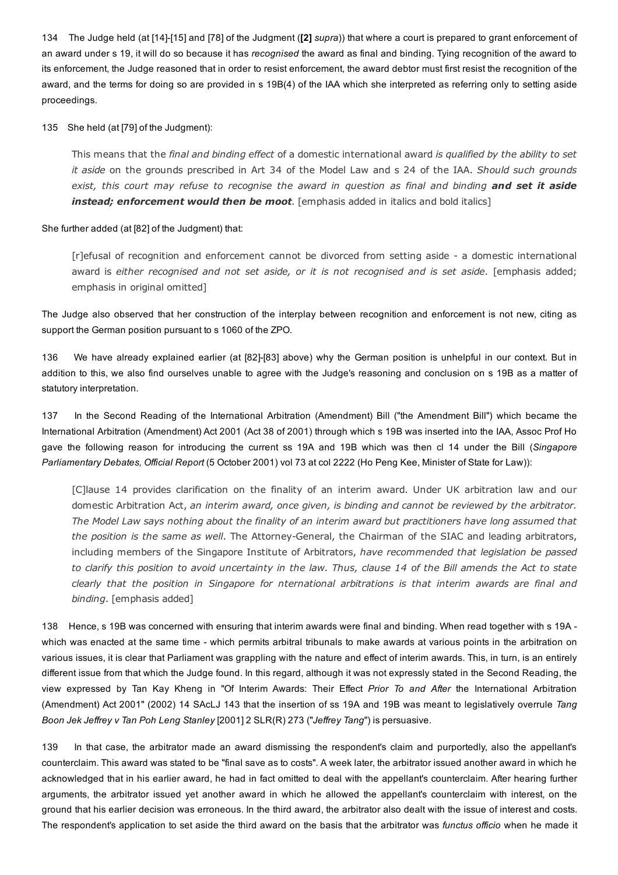134 The Judge held (at [14]-[15] and [78] of the Judgment [\(\[2\]](#page-3-0) supra)) that where a court is prepared to grant enforcement of an award under s 19, it will do so because it has recognised the award as final and binding. Tying recognition of the award to its enforcement, the Judge reasoned that in order to resist enforcement, the award debtor must first resist the recognition of the award, and the terms for doing so are provided in s 19B(4) of the IAA which she interpreted as referring only to setting aside proceedings.

135 She held (at [79] of the Judgment):

This means that the final and binding effect of a domestic international award is qualified by the ability to set it aside on the grounds prescribed in Art 34 of the Model Law and s 24 of the IAA. Should such grounds exist, this court may refuse to recognise the award in question as final and binding and set it aside instead; enforcement would then be moot. [emphasis added in italics and bold italics]

She further added (at [82] of the Judgment) that:

[r]efusal of recognition and enforcement cannot be divorced from setting aside - a domestic international award is either recognised and not set aside, or it is not recognised and is set aside. [emphasis added; emphasis in original omitted]

The Judge also observed that her construction of the interplay between recognition and enforcement is not new, citing as support the German position pursuant to s 1060 of the ZPO.

136 We have already explained earlier (at [82]-[83] above) why the German position is unhelpful in our context. But in addition to this, we also find ourselves unable to agree with the Judge's reasoning and conclusion on s 19B as a matter of statutory interpretation.

<span id="page-30-0"></span>137 In the Second Reading of the International Arbitration (Amendment) Bill ("the Amendment Bill") which became the International Arbitration (Amendment) Act 2001 (Act 38 of 2001) through which s 19B was inserted into the IAA, Assoc Prof Ho gave the following reason for introducing the current ss 19A and 19B which was then cl 14 under the Bill (Singapore Parliamentary Debates, Official Report (5 October 2001) vol 73 at col 2222 (Ho Peng Kee, Minister of State for Law)):

[C]lause 14 provides clarification on the finality of an interim award. Under UK arbitration law and our domestic Arbitration Act, an interim award, once given, is binding and cannot be reviewed by the arbitrator. The Model Law says nothing about the finality of an interim award but practitioners have long assumed that the position is the same as well. The Attorney-General, the Chairman of the SIAC and leading arbitrators, including members of the Singapore Institute of Arbitrators, have recommended that legislation be passed to clarify this position to avoid uncertainty in the law. Thus, clause 14 of the Bill amends the Act to state clearly that the position in Singapore for nternational arbitrations is that interim awards are final and binding. [emphasis added]

138 Hence, s 19B was concerned with ensuring that interim awards were final and binding. When read together with s 19A which was enacted at the same time - which permits arbitral tribunals to make awards at various points in the arbitration on various issues, it is clear that Parliament was grappling with the nature and effect of interim awards. This, in turn, is an entirely different issue from that which the Judge found. In this regard, although it was not expressly stated in the Second Reading, the view expressed by Tan Kay Kheng in "Of Interim Awards: Their Effect Prior To and After the International Arbitration (Amendment) Act 2001" (2002) 14 SAcLJ 143 that the insertion of ss 19A and 19B was meant to legislatively overrule Tang Boon Jek Jeffrey v Tan Poh Leng Stanley [2001] 2 SLR(R) 273 ("Jeffrey Tang") is persuasive.

139 In that case, the arbitrator made an award dismissing the respondent's claim and purportedly, also the appellant's counterclaim. This award was stated to be "final save as to costs". A week later, the arbitrator issued another award in which he acknowledged that in his earlier award, he had in fact omitted to deal with the appellant's counterclaim. After hearing further arguments, the arbitrator issued yet another award in which he allowed the appellant's counterclaim with interest, on the ground that his earlier decision was erroneous. In the third award, the arbitrator also dealt with the issue of interest and costs. The respondent's application to set aside the third award on the basis that the arbitrator was functus officio when he made it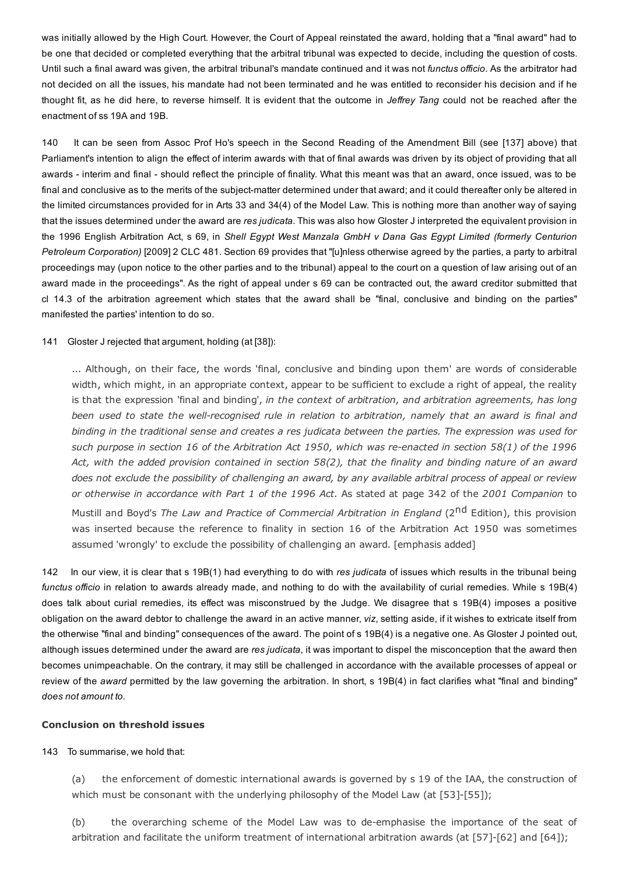was initially allowed by the High Court. However, the Court of Appeal reinstated the award, holding that a "final award" had to be one that decided or completed everything that the arbitral tribunal was expected to decide, including the question of costs. Until such a final award was given, the arbitral tribunal's mandate continued and it was not functus officio. As the arbitrator had not decided on all the issues, his mandate had not been terminated and he was entitled to reconsider his decision and if he thought fit, as he did here, to reverse himself. It is evident that the outcome in Jeffrey Tang could not be reached after the enactment of ss 19A and 19B.

140 It can be seen from Assoc Prof Ho's speech in the Second Reading of the Amendment Bill (see [137] above) that Parliament's intention to align the effect of interim awards with that of final awards was driven by its object of providing that all awards - interim and final - should reflect the principle of finality. What this meant was that an award, once issued, was to be final and conclusive as to the merits of the subject-matter determined under that award; and it could thereafter only be altered in the limited circumstances provided for in Arts 33 and 34(4) of the Model Law. This is nothing more than another way of saying that the issues determined under the award are res judicata. This was also how Gloster J interpreted the equivalent provision in the 1996 English Arbitration Act, s 69, in Shell Egypt West Manzala GmbH v Dana Gas Egypt Limited (formerly Centurion Petroleum Corporation) [2009] 2 CLC 481. Section 69 provides that "[u]nless otherwise agreed by the parties, a party to arbitral proceedings may (upon notice to the other parties and to the tribunal) appeal to the court on a question of law arising out of an award made in the proceedings". As the right of appeal under s 69 can be contracted out, the award creditor submitted that cl 14.3 of the arbitration agreement which states that the award shall be "final, conclusive and binding on the parties" manifested the parties' intention to do so.

### 141 Gloster J rejected that argument, holding (at [38]):

... Although, on their face, the words 'final, conclusive and binding upon them' are words of considerable width, which might, in an appropriate context, appear to be sufficient to exclude a right of appeal, the reality is that the expression 'final and binding', in the context of arbitration, and arbitration agreements, has long been used to state the well-recognised rule in relation to arbitration, namely that an award is final and binding in the traditional sense and creates a res judicata between the parties. The expression was used for such purpose in section 16 of the Arbitration Act 1950, which was re-enacted in section 58(1) of the 1996 Act, with the added provision contained in section 58(2), that the finality and binding nature of an award does not exclude the possibility of challenging an award, by any available arbitral process of appeal or review or otherwise in accordance with Part 1 of the 1996 Act. As stated at page 342 of the 2001 Companion to Mustill and Boyd's *The Law and Practice of Commercial Arbitration in England* (2<sup>nd</sup> Edition), this provision was inserted because the reference to finality in section 16 of the Arbitration Act 1950 was sometimes assumed 'wrongly' to exclude the possibility of challenging an award. [emphasis added]

<span id="page-31-0"></span>142 In our view, it is clear that s 19B(1) had everything to do with res judicata of issues which results in the tribunal being functus officio in relation to awards already made, and nothing to do with the availability of curial remedies. While s 19B(4) does talk about curial remedies, its effect was misconstrued by the Judge. We disagree that s 19B(4) imposes a positive obligation on the award debtor to challenge the award in an active manner, viz, setting aside, if it wishes to extricate itself from the otherwise "final and binding" consequences of the award. The point of s 19B(4) is a negative one. As Gloster J pointed out, although issues determined under the award are res judicata, it was important to dispel the misconception that the award then becomes unimpeachable. On the contrary, it may still be challenged in accordance with the available processes of appeal or review of the award permitted by the law governing the arbitration. In short, s 19B(4) in fact clarifies what "final and binding" does not amount to.

# Conclusion on threshold issues

### 143 To summarise, we hold that:

(a) the enforcement of domestic international awards is governed by s 19 of the IAA, the construction of which must be consonant with the underlying philosophy of the Model Law (at  $[53]$ - $[55]$ );

(b) the overarching scheme of the Model Law was to de-emphasise the importance of the seat of arbitration and facilitate the uniform treatment of international arbitration awards (at [57]-[62] and [64]);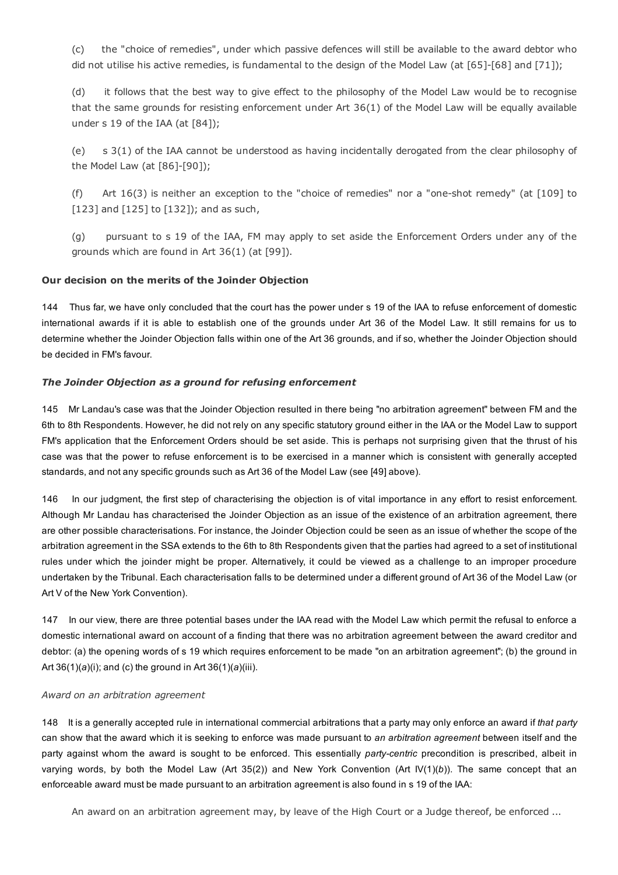(c) the "choice of remedies", under which passive defences will still be available to the award debtor who did not utilise his active remedies, is fundamental to the design of the Model Law (at  $[65]$ - $[68]$  and  $[71]$ );

(d) it follows that the best way to give effect to the philosophy of the Model Law would be to recognise that the same grounds for resisting enforcement under Art 36(1) of the Model Law will be equally available under s 19 of the IAA (at [84]);

(e) s 3(1) of the IAA cannot be understood as having incidentally derogated from the clear philosophy of the Model Law (at  $[86]-[90]$ );

(f) Art  $16(3)$  is neither an exception to the "choice of remedies" nor a "one-shot remedy" (at  $[109]$  to [123] and [125] to [132]); and as such,

(g) pursuant to s 19 of the IAA, FM may apply to set aside the Enforcement Orders under any of the grounds which are found in Art 36(1) (at [99]).

### Our decision on the merits of the Joinder Objection

144 Thus far, we have only concluded that the court has the power under s 19 of the IAA to refuse enforcement of domestic international awards if it is able to establish one of the grounds under Art 36 of the Model Law. It still remains for us to determine whether the Joinder Objection falls within one of the Art 36 grounds, and if so, whether the Joinder Objection should be decided in FM's favour.

### The Joinder Objection as a ground for refusing enforcement

145 Mr Landau's case was that the Joinder Objection resulted in there being "no arbitration agreement" between FM and the 6th to 8th Respondents. However, he did not rely on any specific statutory ground either in the IAA or the Model Law to support FM's application that the Enforcement Orders should be set aside. This is perhaps not surprising given that the thrust of his case was that the power to refuse enforcement is to be exercised in a manner which is consistent with generally accepted standards, and not any specific grounds such as Art 36 of the Model Law (see [49] above).

146 In our judgment, the first step of characterising the objection is of vital importance in any effort to resist enforcement. Although Mr Landau has characterised the Joinder Objection as an issue of the existence of an arbitration agreement, there are other possible characterisations. For instance, the Joinder Objection could be seen as an issue of whether the scope of the arbitration agreement in the SSA extends to the 6th to 8th Respondents given that the parties had agreed to a set of institutional rules under which the joinder might be proper. Alternatively, it could be viewed as a challenge to an improper procedure undertaken by the Tribunal. Each characterisation falls to be determined under a different ground of Art 36 of the Model Law (or Art V of the New York Convention).

147 In our view, there are three potential bases under the IAA read with the Model Law which permit the refusal to enforce a domestic international award on account of a finding that there was no arbitration agreement between the award creditor and debtor: (a) the opening words of s 19 which requires enforcement to be made "on an arbitration agreement"; (b) the ground in Art  $36(1)(a)(i)$ ; and (c) the ground in Art  $36(1)(a)(iii)$ .

### Award on an arbitration agreement

148 It is a generally accepted rule in international commercial arbitrations that a party may only enforce an award if that party can show that the award which it is seeking to enforce was made pursuant to an arbitration agreement between itself and the party against whom the award is sought to be enforced. This essentially party-centric precondition is prescribed, albeit in varying words, by both the Model Law (Art 35(2)) and New York Convention (Art  $\mathsf{IV}(1)(b)$ ). The same concept that an enforceable award must be made pursuant to an arbitration agreement is also found in s 19 of the IAA:

An award on an arbitration agreement may, by leave of the High Court or a Judge thereof, be enforced ...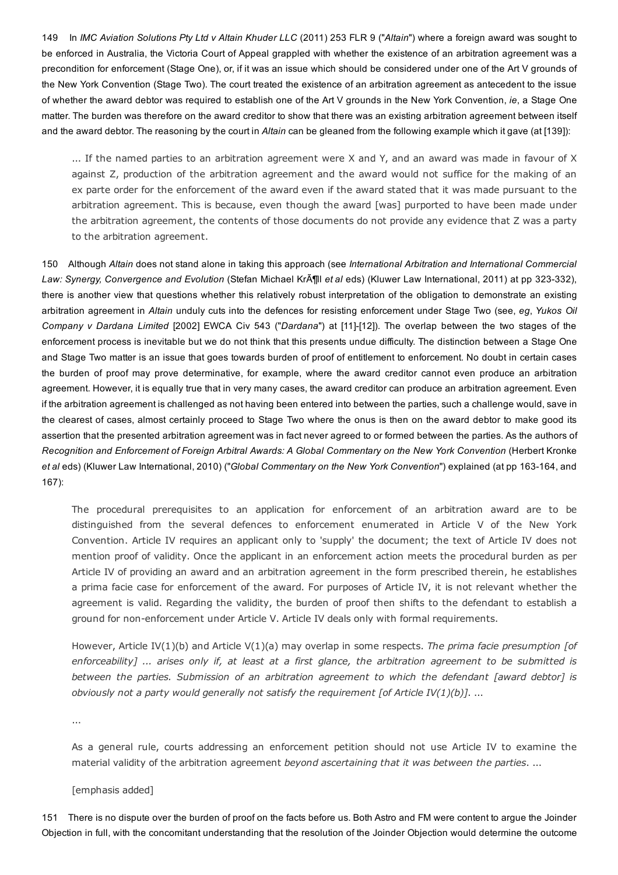149 In IMC Aviation Solutions Pty Ltd v Altain Khuder LLC (2011) 253 FLR 9 ("Altain") where a foreign award was sought to be enforced in Australia, the Victoria Court of Appeal grappled with whether the existence of an arbitration agreement was a precondition for enforcement (Stage One), or, if it was an issue which should be considered under one of the Art V grounds of the New York Convention (Stage Two). The court treated the existence of an arbitration agreement as antecedent to the issue of whether the award debtor was required to establish one of the Art V grounds in the New York Convention, ie, a Stage One matter. The burden was therefore on the award creditor to show that there was an existing arbitration agreement between itself and the award debtor. The reasoning by the court in Altain can be gleaned from the following example which it gave (at [139]):

... If the named parties to an arbitration agreement were X and Y, and an award was made in favour of X against Z, production of the arbitration agreement and the award would not suffice for the making of an ex parte order for the enforcement of the award even if the award stated that it was made pursuant to the arbitration agreement. This is because, even though the award [was] purported to have been made under the arbitration agreement, the contents of those documents do not provide any evidence that Z was a party to the arbitration agreement.

150 Although Altain does not stand alone in taking this approach (see International Arbitration and International Commercial Law: Synergy, Convergence and Evolution (Stefan Michael Kr $\tilde{A}$ fill et al eds) (Kluwer Law International, 2011) at pp 323-332), there is another view that questions whether this relatively robust interpretation of the obligation to demonstrate an existing arbitration agreement in Altain unduly cuts into the defences for resisting enforcement under Stage Two (see, eg, Yukos Oil Company v Dardana Limited [2002] EWCA Civ 543 ("Dardana") at [11]-[12]). The overlap between the two stages of the enforcement process is inevitable but we do not think that this presents undue difficulty. The distinction between a Stage One and Stage Two matter is an issue that goes towards burden of proof of entitlement to enforcement. No doubt in certain cases the burden of proof may prove determinative, for example, where the award creditor cannot even produce an arbitration agreement. However, it is equally true that in very many cases, the award creditor can produce an arbitration agreement. Even if the arbitration agreement is challenged as not having been entered into between the parties, such a challenge would, save in the clearest of cases, almost certainly proceed to Stage Two where the onus is then on the award debtor to make good its assertion that the presented arbitration agreement was in fact never agreed to or formed between the parties. As the authors of Recognition and Enforcement of Foreign Arbitral Awards: A Global Commentary on the New York Convention (Herbert Kronke et al eds) (Kluwer Law International, 2010) ("Global Commentary on the New York Convention") explained (at pp 163-164, and 167):

The procedural prerequisites to an application for enforcement of an arbitration award are to be distinguished from the several defences to enforcement enumerated in Article V of the New York Convention. Article IV requires an applicant only to 'supply' the document; the text of Article IV does not mention proof of validity. Once the applicant in an enforcement action meets the procedural burden as per Article IV of providing an award and an arbitration agreement in the form prescribed therein, he establishes a prima facie case for enforcement of the award. For purposes of Article IV, it is not relevant whether the agreement is valid. Regarding the validity, the burden of proof then shifts to the defendant to establish a ground for non-enforcement under Article V. Article IV deals only with formal requirements.

However, Article IV(1)(b) and Article V(1)(a) may overlap in some respects. The prima facie presumption [of enforceability] ... arises only if, at least at a first glance, the arbitration agreement to be submitted is between the parties. Submission of an arbitration agreement to which the defendant [award debtor] is obviously not a party would generally not satisfy the requirement [of Article  $IV(1)(b)$ ]. ...

...

As a general rule, courts addressing an enforcement petition should not use Article IV to examine the material validity of the arbitration agreement beyond ascertaining that it was between the parties. ...

[emphasis added]

151 There is no dispute over the burden of proof on the facts before us. Both Astro and FM were content to argue the Joinder Objection in full, with the concomitant understanding that the resolution of the Joinder Objection would determine the outcome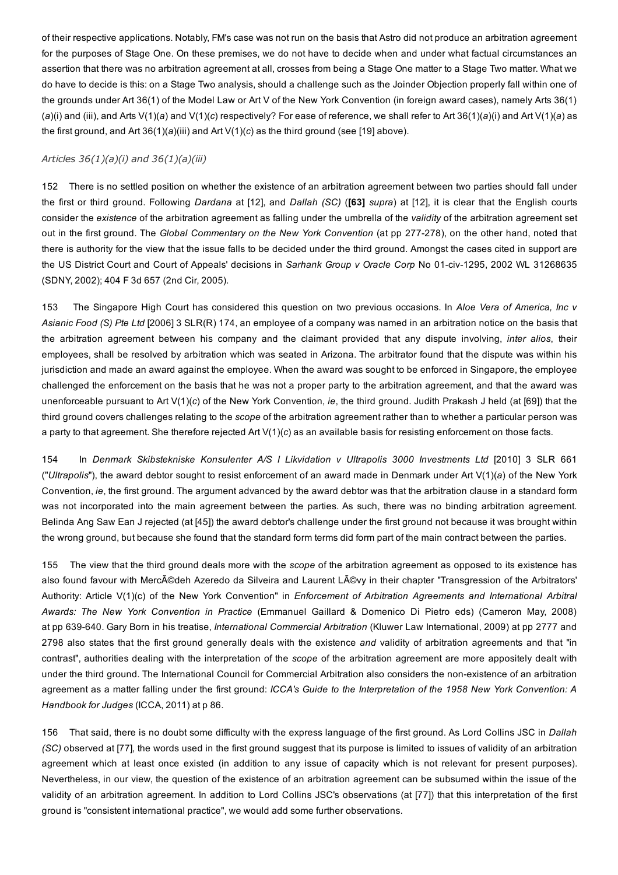of their respective applications. Notably, FM's case was not run on the basis that Astro did not produce an arbitration agreement for the purposes of Stage One. On these premises, we do not have to decide when and under what factual circumstances an assertion that there was no arbitration agreement at all, crosses from being a Stage One matter to a Stage Two matter. What we do have to decide is this: on a Stage Two analysis, should a challenge such as the Joinder Objection properly fall within one of the grounds under Art 36(1) of the Model Law or Art V of the New York Convention (in foreign award cases), namely Arts 36(1) (a)(i) and (iii), and Arts V(1)(a) and V(1)(c) respectively? For ease of reference, we shall refer to Art 36(1)(a)(i) and Art V(1)(a) as the first ground, and Art  $36(1)(a)(iii)$  and Art  $V(1)(c)$  as the third ground (see [19] above).

### Articles 36(1)(a)(i) and 36(1)(a)(iii)

<span id="page-34-0"></span>152 There is no settled position on whether the existence of an arbitration agreement between two parties should fall under the first or third ground. Following Dardana at [12], and Dallah (SC) [\(\[63\]](#page-15-1) supra) at [12], it is clear that the English courts consider the existence of the arbitration agreement as falling under the umbrella of the validity of the arbitration agreement set out in the first ground. The Global Commentary on the New York Convention (at pp 277-278), on the other hand, noted that there is authority for the view that the issue falls to be decided under the third ground. Amongst the cases cited in support are the US District Court and Court of Appeals' decisions in Sarhank Group v Oracle Corp No 01-civ-1295, 2002 WL 31268635 (SDNY, 2002); 404 F 3d 657 (2nd Cir, 2005).

153 The Singapore High Court has considered this question on two previous occasions. In Aloe Vera of America, Inc v Asianic Food (S) Pte Ltd [2006] 3 SLR(R) 174, an employee of a company was named in an arbitration notice on the basis that the arbitration agreement between his company and the claimant provided that any dispute involving, *inter alios*, their employees, shall be resolved by arbitration which was seated in Arizona. The arbitrator found that the dispute was within his jurisdiction and made an award against the employee. When the award was sought to be enforced in Singapore, the employee challenged the enforcement on the basis that he was not a proper party to the arbitration agreement, and that the award was unenforceable pursuant to Art  $V(1)(c)$  of the New York Convention, *ie*, the third ground. Judith Prakash J held (at [69]) that the third ground covers challenges relating to the scope of the arbitration agreement rather than to whether a particular person was a party to that agreement. She therefore rejected Art V(1)(c) as an available basis for resisting enforcement on those facts.

154 In Denmark Skibstekniske Konsulenter A/S I Likvidation v Ultrapolis 3000 Investments Ltd [2010] 3 SLR 661 ("Ultrapolis"), the award debtor sought to resist enforcement of an award made in Denmark under Art  $V(1)(a)$  of the New York Convention, ie, the first ground. The argument advanced by the award debtor was that the arbitration clause in a standard form was not incorporated into the main agreement between the parties. As such, there was no binding arbitration agreement. Belinda Ang Saw Ean J rejected (at [45]) the award debtor's challenge under the first ground not because it was brought within the wrong ground, but because she found that the standard form terms did form part of the main contract between the parties.

155 The view that the third ground deals more with the *scope* of the arbitration agreement as opposed to its existence has also found favour with Mercédeh Azeredo da Silveira and Laurent Lévy in their chapter "Transgression of the Arbitrators' Authority: Article V(1)(c) of the New York Convention" in Enforcement of Arbitration Agreements and International Arbitral Awards: The New York Convention in Practice (Emmanuel Gaillard & Domenico Di Pietro eds) (Cameron May, 2008) at pp 639-640. Gary Born in his treatise, International Commercial Arbitration (Kluwer Law International, 2009) at pp 2777 and 2798 also states that the first ground generally deals with the existence and validity of arbitration agreements and that "in contrast", authorities dealing with the interpretation of the scope of the arbitration agreement are more appositely dealt with under the third ground. The International Council for Commercial Arbitration also considers the nonexistence of an arbitration agreement as a matter falling under the first ground: ICCA's Guide to the Interpretation of the 1958 New York Convention: A Handbook for Judges (ICCA, 2011) at p 86.

156 That said, there is no doubt some difficulty with the express language of the first ground. As Lord Collins JSC in Dallah (SC) observed at [77], the words used in the first ground suggest that its purpose is limited to issues of validity of an arbitration agreement which at least once existed (in addition to any issue of capacity which is not relevant for present purposes). Nevertheless, in our view, the question of the existence of an arbitration agreement can be subsumed within the issue of the validity of an arbitration agreement. In addition to Lord Collins JSC's observations (at [77]) that this interpretation of the first ground is "consistent international practice", we would add some further observations.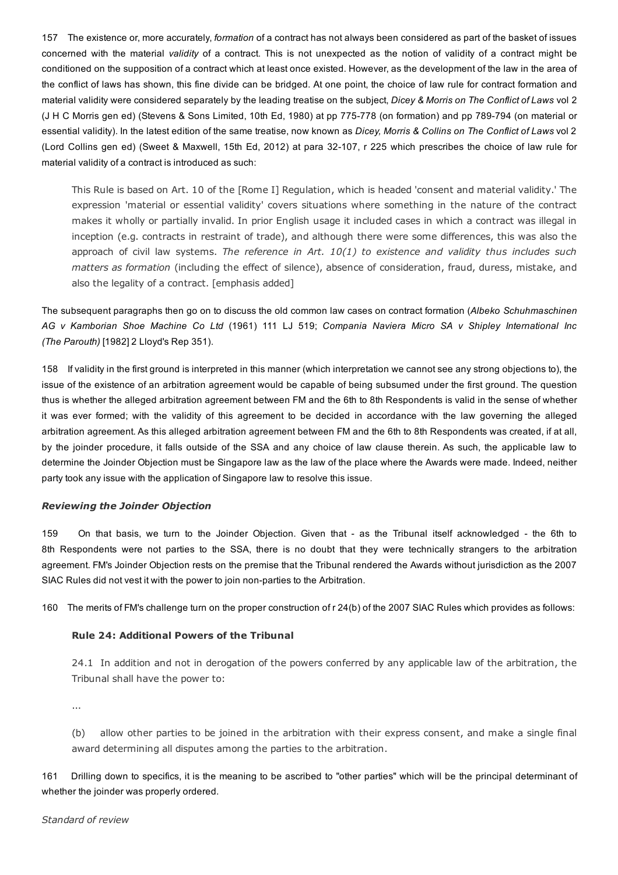157 The existence or, more accurately, formation of a contract has not always been considered as part of the basket of issues concerned with the material validity of a contract. This is not unexpected as the notion of validity of a contract might be conditioned on the supposition of a contract which at least once existed. However, as the development of the law in the area of the conflict of laws has shown, this fine divide can be bridged. At one point, the choice of law rule for contract formation and material validity were considered separately by the leading treatise on the subject, Dicey & Morris on The Conflict of Laws vol 2 (J H C Morris gen ed) (Stevens & Sons Limited, 10th Ed, 1980) at pp 775-778 (on formation) and pp 789-794 (on material or essential validity). In the latest edition of the same treatise, now known as Dicey, Morris & Collins on The Conflict of Laws vol 2 (Lord Collins gen ed) (Sweet & Maxwell, 15th Ed, 2012) at para 32-107, r 225 which prescribes the choice of law rule for material validity of a contract is introduced as such:

This Rule is based on Art. 10 of the [Rome I] Regulation, which is headed 'consent and material validity.' The expression 'material or essential validity' covers situations where something in the nature of the contract makes it wholly or partially invalid. In prior English usage it included cases in which a contract was illegal in inception (e.g. contracts in restraint of trade), and although there were some differences, this was also the approach of civil law systems. The reference in Art.  $10(1)$  to existence and validity thus includes such matters as formation (including the effect of silence), absence of consideration, fraud, duress, mistake, and also the legality of a contract. [emphasis added]

The subsequent paragraphs then go on to discuss the old common law cases on contract formation (Albeko Schuhmaschinen AG v Kamborian Shoe Machine Co Ltd (1961) 111 LJ 519; Compania Naviera Micro SA v Shipley International Inc (The Parouth) [1982] 2 Lloyd's Rep 351).

<span id="page-35-0"></span>158 If validity in the first ground is interpreted in this manner (which interpretation we cannot see any strong objections to), the issue of the existence of an arbitration agreement would be capable of being subsumed under the first ground. The question thus is whether the alleged arbitration agreement between FM and the 6th to 8th Respondents is valid in the sense of whether it was ever formed; with the validity of this agreement to be decided in accordance with the law governing the alleged arbitration agreement. As this alleged arbitration agreement between FM and the 6th to 8th Respondents was created, if at all, by the joinder procedure, it falls outside of the SSA and any choice of law clause therein. As such, the applicable law to determine the Joinder Objection must be Singapore law as the law of the place where the Awards were made. Indeed, neither party took any issue with the application of Singapore law to resolve this issue.

# Reviewing the Joinder Objection

159 On that basis, we turn to the Joinder Objection. Given that - as the Tribunal itself acknowledged - the 6th to 8th Respondents were not parties to the SSA, there is no doubt that they were technically strangers to the arbitration agreement. FM's Joinder Objection rests on the premise that the Tribunal rendered the Awards without jurisdiction as the 2007 SIAC Rules did not vest it with the power to join non-parties to the Arbitration.

160 The merits of FM's challenge turn on the proper construction of r 24(b) of the 2007 SIAC Rules which provides as follows:

# Rule 24: Additional Powers of the Tribunal

24.1 In addition and not in derogation of the powers conferred by any applicable law of the arbitration, the Tribunal shall have the power to:

...

(b) allow other parties to be joined in the arbitration with their express consent, and make a single final award determining all disputes among the parties to the arbitration.

161 Drilling down to specifics, it is the meaning to be ascribed to "other parties" which will be the principal determinant of whether the joinder was properly ordered.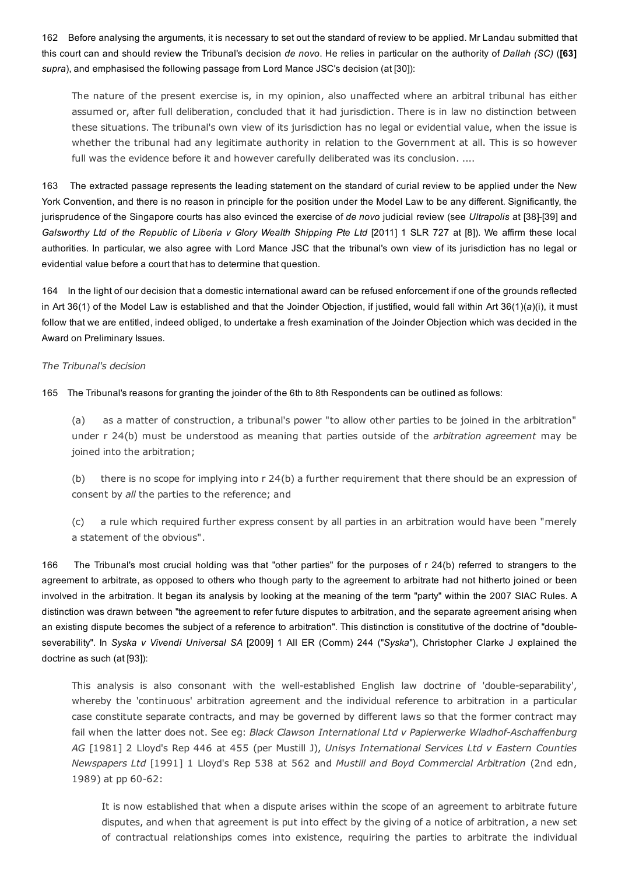<span id="page-36-0"></span>162 Before analysing the arguments, it is necessary to set out the standard of review to be applied. Mr Landau submitted that this court can and should review the Tribunal's decision de novo. He relies in particular on the authority of Dallah (SC) ([\[63\]](#page-15-1) supra), and emphasised the following passage from Lord Mance JSC's decision (at [30]):

The nature of the present exercise is, in my opinion, also unaffected where an arbitral tribunal has either assumed or, after full deliberation, concluded that it had jurisdiction. There is in law no distinction between these situations. The tribunal's own view of its jurisdiction has no legal or evidential value, when the issue is whether the tribunal had any legitimate authority in relation to the Government at all. This is so however full was the evidence before it and however carefully deliberated was its conclusion. ....

163 The extracted passage represents the leading statement on the standard of curial review to be applied under the New York Convention, and there is no reason in principle for the position under the Model Law to be any different. Significantly, the jurisprudence of the Singapore courts has also evinced the exercise of de novo judicial review (see Ultrapolis at [38]-[39] and Galsworthy Ltd of the Republic of Liberia v Glory Wealth Shipping Pte Ltd [2011] 1 SLR 727 at [8]). We affirm these local authorities. In particular, we also agree with Lord Mance JSC that the tribunal's own view of its jurisdiction has no legal or evidential value before a court that has to determine that question.

<span id="page-36-1"></span>164 In the light of our decision that a domestic international award can be refused enforcement if one of the grounds reflected in Art 36(1) of the Model Law is established and that the Joinder Objection, if justified, would fall within Art 36(1)(a)(i), it must follow that we are entitled, indeed obliged, to undertake a fresh examination of the Joinder Objection which was decided in the Award on Preliminary Issues.

### The Tribunal's decision

165 The Tribunal's reasons for granting the joinder of the 6th to 8th Respondents can be outlined as follows:

(a) as a matter of construction, a tribunal's power "to allow other parties to be joined in the arbitration" under r 24(b) must be understood as meaning that parties outside of the *arbitration agreement* may be joined into the arbitration;

(b) there is no scope for implying into r 24(b) a further requirement that there should be an expression of consent by all the parties to the reference; and

(c) a rule which required further express consent by all parties in an arbitration would have been "merely a statement of the obvious".

166 The Tribunal's most crucial holding was that "other parties" for the purposes of r 24(b) referred to strangers to the agreement to arbitrate, as opposed to others who though party to the agreement to arbitrate had not hitherto joined or been involved in the arbitration. It began its analysis by looking at the meaning of the term "party" within the 2007 SIAC Rules. A distinction was drawn between "the agreement to refer future disputes to arbitration, and the separate agreement arising when an existing dispute becomes the subject of a reference to arbitration". This distinction is constitutive of the doctrine of "doubleseverability". In Syska v Vivendi Universal SA [2009] 1 All ER (Comm) 244 ("Syska"), Christopher Clarke J explained the doctrine as such (at [93]):

This analysis is also consonant with the well-established English law doctrine of 'double-separability', whereby the 'continuous' arbitration agreement and the individual reference to arbitration in a particular case constitute separate contracts, and may be governed by different laws so that the former contract may fail when the latter does not. See eg: Black Clawson International Ltd v Papierwerke Wladhof-Aschaffenburg AG [1981] 2 Lloyd's Rep 446 at 455 (per Mustill J), Unisys International Services Ltd v Eastern Counties Newspapers Ltd [1991] 1 Lloyd's Rep 538 at 562 and Mustill and Boyd Commercial Arbitration (2nd edn, 1989) at pp 60-62:

It is now established that when a dispute arises within the scope of an agreement to arbitrate future disputes, and when that agreement is put into effect by the giving of a notice of arbitration, a new set of contractual relationships comes into existence, requiring the parties to arbitrate the individual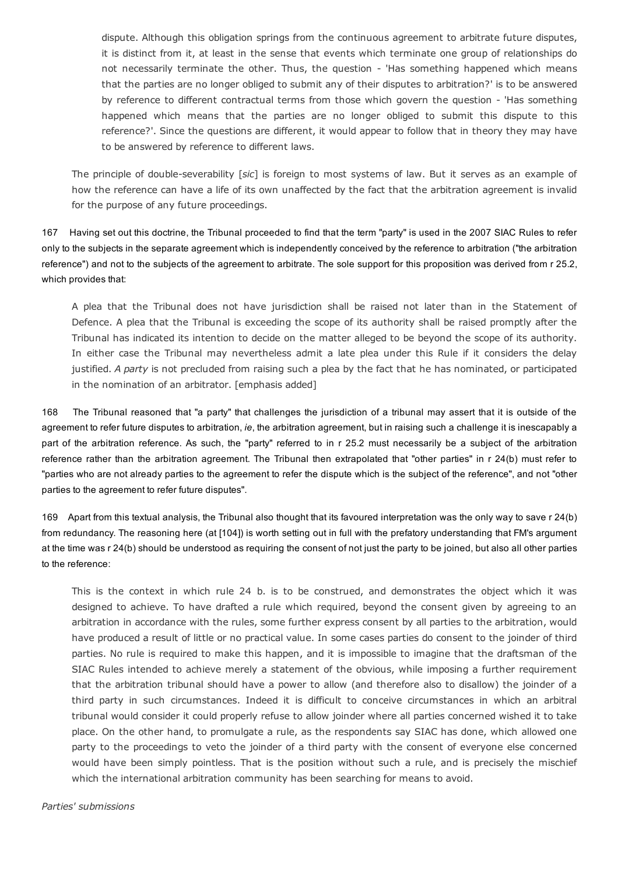dispute. Although this obligation springs from the continuous agreement to arbitrate future disputes, it is distinct from it, at least in the sense that events which terminate one group of relationships do not necessarily terminate the other. Thus, the question - 'Has something happened which means that the parties are no longer obliged to submit any of their disputes to arbitration?' is to be answered by reference to different contractual terms from those which govern the question - 'Has something happened which means that the parties are no longer obliged to submit this dispute to this reference?'. Since the questions are different, it would appear to follow that in theory they may have to be answered by reference to different laws.

The principle of double-severability [sic] is foreign to most systems of law. But it serves as an example of how the reference can have a life of its own unaffected by the fact that the arbitration agreement is invalid for the purpose of any future proceedings.

167 Having set out this doctrine, the Tribunal proceeded to find that the term "party" is used in the 2007 SIAC Rules to refer only to the subjects in the separate agreement which is independently conceived by the reference to arbitration ("the arbitration reference") and not to the subjects of the agreement to arbitrate. The sole support for this proposition was derived from r 25.2, which provides that:

A plea that the Tribunal does not have jurisdiction shall be raised not later than in the Statement of Defence. A plea that the Tribunal is exceeding the scope of its authority shall be raised promptly after the Tribunal has indicated its intention to decide on the matter alleged to be beyond the scope of its authority. In either case the Tribunal may nevertheless admit a late plea under this Rule if it considers the delay justified. A party is not precluded from raising such a plea by the fact that he has nominated, or participated in the nomination of an arbitrator. [emphasis added]

168 The Tribunal reasoned that "a party" that challenges the jurisdiction of a tribunal may assert that it is outside of the agreement to refer future disputes to arbitration, ie, the arbitration agreement, but in raising such a challenge it is inescapably a part of the arbitration reference. As such, the "party" referred to in r 25.2 must necessarily be a subject of the arbitration reference rather than the arbitration agreement. The Tribunal then extrapolated that "other parties" in r 24(b) must refer to "parties who are not already parties to the agreement to refer the dispute which is the subject of the reference", and not "other parties to the agreement to refer future disputes".

169 Apart from this textual analysis, the Tribunal also thought that its favoured interpretation was the only way to save r 24(b) from redundancy. The reasoning here (at [104]) is worth setting out in full with the prefatory understanding that FM's argument at the time was r 24(b) should be understood as requiring the consent of not just the party to be joined, but also all other parties to the reference:

This is the context in which rule 24 b. is to be construed, and demonstrates the object which it was designed to achieve. To have drafted a rule which required, beyond the consent given by agreeing to an arbitration in accordance with the rules, some further express consent by all parties to the arbitration, would have produced a result of little or no practical value. In some cases parties do consent to the joinder of third parties. No rule is required to make this happen, and it is impossible to imagine that the draftsman of the SIAC Rules intended to achieve merely a statement of the obvious, while imposing a further requirement that the arbitration tribunal should have a power to allow (and therefore also to disallow) the joinder of a third party in such circumstances. Indeed it is difficult to conceive circumstances in which an arbitral tribunal would consider it could properly refuse to allow joinder where all parties concerned wished it to take place. On the other hand, to promulgate a rule, as the respondents say SIAC has done, which allowed one party to the proceedings to veto the joinder of a third party with the consent of everyone else concerned would have been simply pointless. That is the position without such a rule, and is precisely the mischief which the international arbitration community has been searching for means to avoid.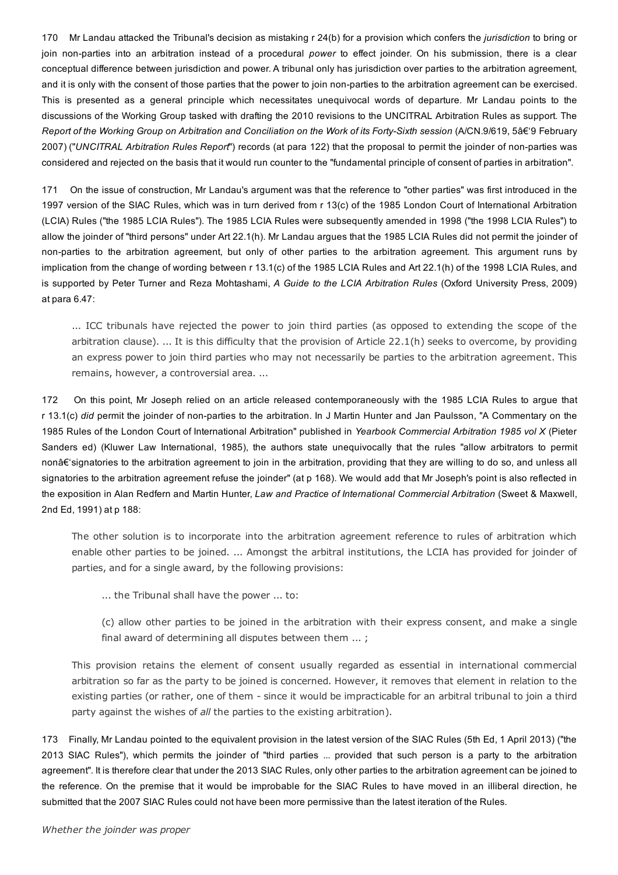<span id="page-38-0"></span>170 Mr Landau attacked the Tribunal's decision as mistaking r 24(b) for a provision which confers the *jurisdiction* to bring or join non-parties into an arbitration instead of a procedural power to effect joinder. On his submission, there is a clear conceptual difference between jurisdiction and power. A tribunal only has jurisdiction over parties to the arbitration agreement, and it is only with the consent of those parties that the power to join non-parties to the arbitration agreement can be exercised. This is presented as a general principle which necessitates unequivocal words of departure. Mr Landau points to the discussions of the Working Group tasked with drafting the 2010 revisions to the UNCITRAL Arbitration Rules as support. The Report of the Working Group on Arbitration and Conciliation on the Work of its Forty-Sixth session (A/CN.9/619, 5â€'9 February 2007) ("UNCITRAL Arbitration Rules Report") records (at para 122) that the proposal to permit the joinder of non-parties was considered and rejected on the basis that it would run counter to the "fundamental principle of consent of parties in arbitration".

171 On the issue of construction, Mr Landau's argument was that the reference to "other parties" was first introduced in the 1997 version of the SIAC Rules, which was in turn derived from r 13(c) of the 1985 London Court of International Arbitration (LCIA) Rules ("the 1985 LCIA Rules"). The 1985 LCIA Rules were subsequently amended in 1998 ("the 1998 LCIA Rules") to allow the joinder of "third persons" under Art 22.1(h). Mr Landau argues that the 1985 LCIA Rules did not permit the joinder of non-parties to the arbitration agreement, but only of other parties to the arbitration agreement. This argument runs by implication from the change of wording between r 13.1(c) of the 1985 LCIA Rules and Art 22.1(h) of the 1998 LCIA Rules, and is supported by Peter Turner and Reza Mohtashami, A Guide to the LCIA Arbitration Rules (Oxford University Press, 2009) at para 6.47:

... ICC tribunals have rejected the power to join third parties (as opposed to extending the scope of the arbitration clause). ... It is this difficulty that the provision of Article 22.1(h) seeks to overcome, by providing an express power to join third parties who may not necessarily be parties to the arbitration agreement. This remains, however, a controversial area. ...

172 On this point, Mr Joseph relied on an article released contemporaneously with the 1985 LCIA Rules to argue that r 13.1(c) did permit the joinder of non-parties to the arbitration. In J Martin Hunter and Jan Paulsson, "A Commentary on the 1985 Rules of the London Court of International Arbitration" published in Yearbook Commercial Arbitration 1985 vol X (Pieter Sanders ed) (Kluwer Law International, 1985), the authors state unequivocally that the rules "allow arbitrators to permit nonâ€'signatories to the arbitration agreement to join in the arbitration, providing that they are willing to do so, and unless all signatories to the arbitration agreement refuse the joinder" (at p 168). We would add that Mr Joseph's point is also reflected in the exposition in Alan Redfern and Martin Hunter, Law and Practice of International Commercial Arbitration (Sweet & Maxwell, 2nd Ed, 1991) at p 188:

The other solution is to incorporate into the arbitration agreement reference to rules of arbitration which enable other parties to be joined. ... Amongst the arbitral institutions, the LCIA has provided for joinder of parties, and for a single award, by the following provisions:

... the Tribunal shall have the power ... to:

(c) allow other parties to be joined in the arbitration with their express consent, and make a single final award of determining all disputes between them ... ;

This provision retains the element of consent usually regarded as essential in international commercial arbitration so far as the party to be joined is concerned. However, it removes that element in relation to the existing parties (or rather, one of them - since it would be impracticable for an arbitral tribunal to join a third party against the wishes of all the parties to the existing arbitration).

173 Finally, Mr Landau pointed to the equivalent provision in the latest version of the SIAC Rules (5th Ed, 1 April 2013) ("the 2013 SIAC Rules"), which permits the joinder of "third parties ... provided that such person is a party to the arbitration agreement". It is therefore clear that under the 2013 SIAC Rules, only other parties to the arbitration agreement can be joined to the reference. On the premise that it would be improbable for the SIAC Rules to have moved in an illiberal direction, he submitted that the 2007 SIAC Rules could not have been more permissive than the latest iteration of the Rules.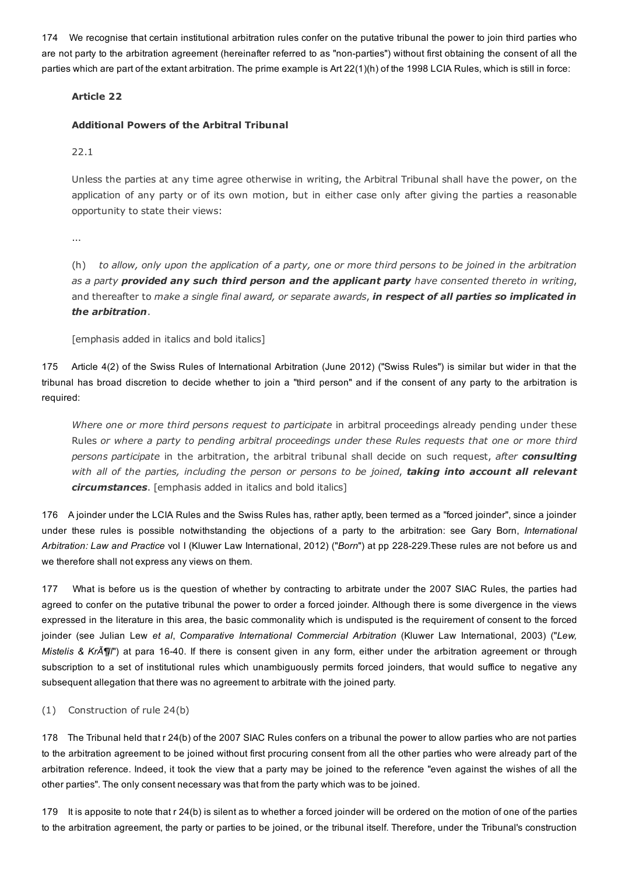174 We recognise that certain institutional arbitration rules confer on the putative tribunal the power to join third parties who are not party to the arbitration agreement (hereinafter referred to as "non-parties") without first obtaining the consent of all the parties which are part of the extant arbitration. The prime example is Art 22(1)(h) of the 1998 LCIA Rules, which is still in force:

Article 22

# Additional Powers of the Arbitral Tribunal

22.1

Unless the parties at any time agree otherwise in writing, the Arbitral Tribunal shall have the power, on the application of any party or of its own motion, but in either case only after giving the parties a reasonable opportunity to state their views:

...

(h) to allow, only upon the application of a party, one or more third persons to be joined in the arbitration as a party **provided any such third person and the applicant party** have consented thereto in writing, and thereafter to make a single final award, or separate awards, in respect of all parties so implicated in the arbitration.

[emphasis added in italics and bold italics]

175 Article 4(2) of the Swiss Rules of International Arbitration (June 2012) ("Swiss Rules") is similar but wider in that the tribunal has broad discretion to decide whether to join a "third person" and if the consent of any party to the arbitration is required:

Where one or more third persons request to participate in arbitral proceedings already pending under these Rules or where a party to pending arbitral proceedings under these Rules requests that one or more third persons participate in the arbitration, the arbitral tribunal shall decide on such request, after consulting with all of the parties, including the person or persons to be joined, taking into account all relevant circumstances. [emphasis added in italics and bold italics]

<span id="page-39-1"></span>176 A joinder under the LCIA Rules and the Swiss Rules has, rather aptly, been termed as a "forced joinder", since a joinder under these rules is possible notwithstanding the objections of a party to the arbitration: see Gary Born, International Arbitration: Law and Practice vol I (Kluwer Law International, 2012) ("Born") at pp 228-229. These rules are not before us and we therefore shall not express any views on them.

<span id="page-39-2"></span>177 What is before us is the question of whether by contracting to arbitrate under the 2007 SIAC Rules, the parties had agreed to confer on the putative tribunal the power to order a forced joinder. Although there is some divergence in the views expressed in the literature in this area, the basic commonality which is undisputed is the requirement of consent to the forced joinder (see Julian Lew et al, Comparative International Commercial Arbitration (Kluwer Law International, 2003) ("Lew, Mistelis & Kr $\tilde{A}$ ,  $\tilde{W}$  at para 16-40. If there is consent given in any form, either under the arbitration agreement or through subscription to a set of institutional rules which unambiguously permits forced joinders, that would suffice to negative any subsequent allegation that there was no agreement to arbitrate with the joined party.

# (1) Construction of rule 24(b)

<span id="page-39-0"></span>178 The Tribunal held that r 24(b) of the 2007 SIAC Rules confers on a tribunal the power to allow parties who are not parties to the arbitration agreement to be joined without first procuring consent from all the other parties who were already part of the arbitration reference. Indeed, it took the view that a party may be joined to the reference "even against the wishes of all the other parties". The only consent necessary was that from the party which was to be joined.

179 It is apposite to note that r 24(b) is silent as to whether a forced joinder will be ordered on the motion of one of the parties to the arbitration agreement, the party or parties to be joined, or the tribunal itself. Therefore, under the Tribunal's construction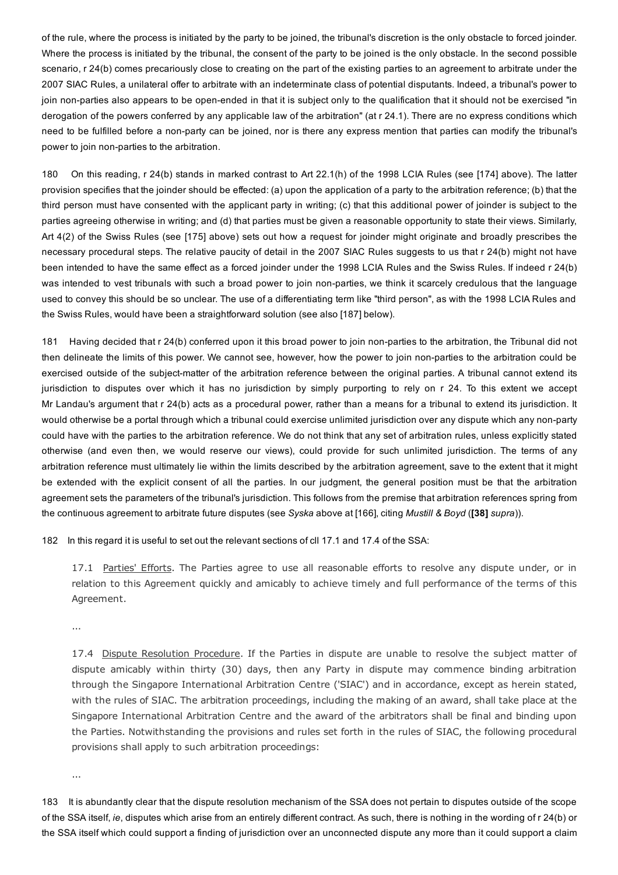of the rule, where the process is initiated by the party to be joined, the tribunal's discretion is the only obstacle to forced joinder. Where the process is initiated by the tribunal, the consent of the party to be joined is the only obstacle. In the second possible scenario, r 24(b) comes precariously close to creating on the part of the existing parties to an agreement to arbitrate under the 2007 SIAC Rules, a unilateral offer to arbitrate with an indeterminate class of potential disputants. Indeed, a tribunal's power to join non-parties also appears to be open-ended in that it is subject only to the qualification that it should not be exercised "in derogation of the powers conferred by any applicable law of the arbitration" (at r 24.1). There are no express conditions which need to be fulfilled before a non-party can be joined, nor is there any express mention that parties can modify the tribunal's power to join non-parties to the arbitration.

180 On this reading, r 24(b) stands in marked contrast to Art 22.1(h) of the 1998 LCIA Rules (see [174] above). The latter provision specifies that the joinder should be effected: (a) upon the application of a party to the arbitration reference; (b) that the third person must have consented with the applicant party in writing; (c) that this additional power of joinder is subject to the parties agreeing otherwise in writing; and (d) that parties must be given a reasonable opportunity to state their views. Similarly, Art 4(2) of the Swiss Rules (see [175] above) sets out how a request for joinder might originate and broadly prescribes the necessary procedural steps. The relative paucity of detail in the 2007 SIAC Rules suggests to us that r 24(b) might not have been intended to have the same effect as a forced joinder under the 1998 LCIA Rules and the Swiss Rules. If indeed r 24(b) was intended to vest tribunals with such a broad power to join non-parties, we think it scarcely credulous that the language used to convey this should be so unclear. The use of a differentiating term like "third person", as with the 1998 LCIA Rules and the Swiss Rules, would have been a straightforward solution (see also [187] below).

181 Having decided that r 24(b) conferred upon it this broad power to join non-parties to the arbitration, the Tribunal did not then delineate the limits of this power. We cannot see, however, how the power to join non-parties to the arbitration could be exercised outside of the subject-matter of the arbitration reference between the original parties. A tribunal cannot extend its jurisdiction to disputes over which it has no jurisdiction by simply purporting to rely on r 24. To this extent we accept Mr Landau's argument that r 24(b) acts as a procedural power, rather than a means for a tribunal to extend its jurisdiction. It would otherwise be a portal through which a tribunal could exercise unlimited jurisdiction over any dispute which any non-party could have with the parties to the arbitration reference. We do not think that any set of arbitration rules, unless explicitly stated otherwise (and even then, we would reserve our views), could provide for such unlimited jurisdiction. The terms of any arbitration reference must ultimately lie within the limits described by the arbitration agreement, save to the extent that it might be extended with the explicit consent of all the parties. In our judgment, the general position must be that the arbitration agreement sets the parameters of the tribunal's jurisdiction. This follows from the premise that arbitration references spring from the continuous agreement to arbitrate future disputes (see Syska above at [166], citing Mustill & Boyd ([\[38\]](#page-10-0) supra)).

182 In this regard it is useful to set out the relevant sections of cll 17.1 and 17.4 of the SSA:

17.1 Parties' Efforts. The Parties agree to use all reasonable efforts to resolve any dispute under, or in relation to this Agreement quickly and amicably to achieve timely and full performance of the terms of this Agreement.

...

17.4 Dispute Resolution Procedure. If the Parties in dispute are unable to resolve the subject matter of dispute amicably within thirty (30) days, then any Party in dispute may commence binding arbitration through the Singapore International Arbitration Centre ('SIAC') and in accordance, except as herein stated, with the rules of SIAC. The arbitration proceedings, including the making of an award, shall take place at the Singapore International Arbitration Centre and the award of the arbitrators shall be final and binding upon the Parties. Notwithstanding the provisions and rules set forth in the rules of SIAC, the following procedural provisions shall apply to such arbitration proceedings:

...

183 It is abundantly clear that the dispute resolution mechanism of the SSA does not pertain to disputes outside of the scope of the SSA itself, ie, disputes which arise from an entirely different contract. As such, there is nothing in the wording of r 24(b) or the SSA itself which could support a finding of jurisdiction over an unconnected dispute any more than it could support a claim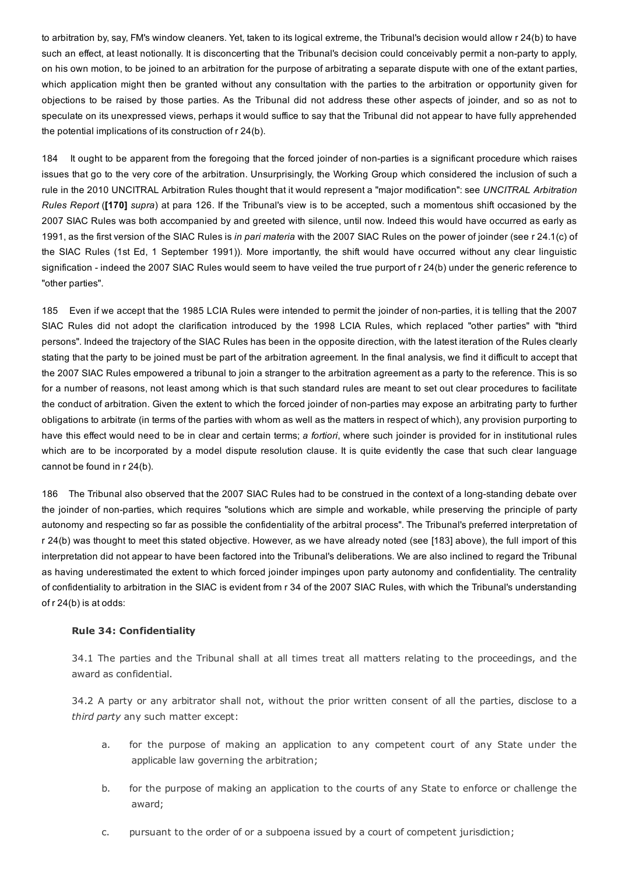to arbitration by, say, FM's window cleaners. Yet, taken to its logical extreme, the Tribunal's decision would allow r 24(b) to have such an effect, at least notionally. It is disconcerting that the Tribunal's decision could conceivably permit a non-party to apply, on his own motion, to be joined to an arbitration for the purpose of arbitrating a separate dispute with one of the extant parties, which application might then be granted without any consultation with the parties to the arbitration or opportunity given for objections to be raised by those parties. As the Tribunal did not address these other aspects of joinder, and so as not to speculate on its unexpressed views, perhaps it would suffice to say that the Tribunal did not appear to have fully apprehended the potential implications of its construction of r 24(b).

184 It ought to be apparent from the foregoing that the forced joinder of non-parties is a significant procedure which raises issues that go to the very core of the arbitration. Unsurprisingly, the Working Group which considered the inclusion of such a rule in the 2010 UNCITRAL Arbitration Rules thought that it would represent a "major modification": see UNCITRAL Arbitration Rules Report [\(\[170\]](#page-38-0) supra) at para 126. If the Tribunal's view is to be accepted, such a momentous shift occasioned by the 2007 SIAC Rules was both accompanied by and greeted with silence, until now. Indeed this would have occurred as early as 1991, as the first version of the SIAC Rules is in pari materia with the 2007 SIAC Rules on the power of joinder (see r 24.1(c) of the SIAC Rules (1st Ed, 1 September 1991)). More importantly, the shift would have occurred without any clear linguistic signification - indeed the 2007 SIAC Rules would seem to have veiled the true purport of r 24(b) under the generic reference to "other parties".

<span id="page-41-0"></span>185 Even if we accept that the 1985 LCIA Rules were intended to permit the joinder of non-parties, it is telling that the 2007 SIAC Rules did not adopt the clarification introduced by the 1998 LCIA Rules, which replaced "other parties" with "third persons". Indeed the trajectory of the SIAC Rules has been in the opposite direction, with the latest iteration of the Rules clearly stating that the party to be joined must be part of the arbitration agreement. In the final analysis, we find it difficult to accept that the 2007 SIAC Rules empowered a tribunal to join a stranger to the arbitration agreement as a party to the reference. This is so for a number of reasons, not least among which is that such standard rules are meant to set out clear procedures to facilitate the conduct of arbitration. Given the extent to which the forced joinder of non-parties may expose an arbitrating party to further obligations to arbitrate (in terms of the parties with whom as well as the matters in respect of which), any provision purporting to have this effect would need to be in clear and certain terms; a fortiori, where such joinder is provided for in institutional rules which are to be incorporated by a model dispute resolution clause. It is quite evidently the case that such clear language cannot be found in r 24(b).

186 The Tribunal also observed that the 2007 SIAC Rules had to be construed in the context of a long-standing debate over the joinder of non-parties, which requires "solutions which are simple and workable, while preserving the principle of party autonomy and respecting so far as possible the confidentiality of the arbitral process". The Tribunal's preferred interpretation of r 24(b) was thought to meet this stated objective. However, as we have already noted (see [183] above), the full import of this interpretation did not appear to have been factored into the Tribunal's deliberations. We are also inclined to regard the Tribunal as having underestimated the extent to which forced joinder impinges upon party autonomy and confidentiality. The centrality of confidentiality to arbitration in the SIAC is evident from r 34 of the 2007 SIAC Rules, with which the Tribunal's understanding of r 24(b) is at odds:

# Rule 34: Confidentiality

34.1 The parties and the Tribunal shall at all times treat all matters relating to the proceedings, and the award as confidential.

34.2 A party or any arbitrator shall not, without the prior written consent of all the parties, disclose to a third party any such matter except:

- a. for the purpose of making an application to any competent court of any State under the applicable law governing the arbitration;
- b. for the purpose of making an application to the courts of any State to enforce or challenge the award;
- c. pursuant to the order of or a subpoena issued by a court of competent jurisdiction;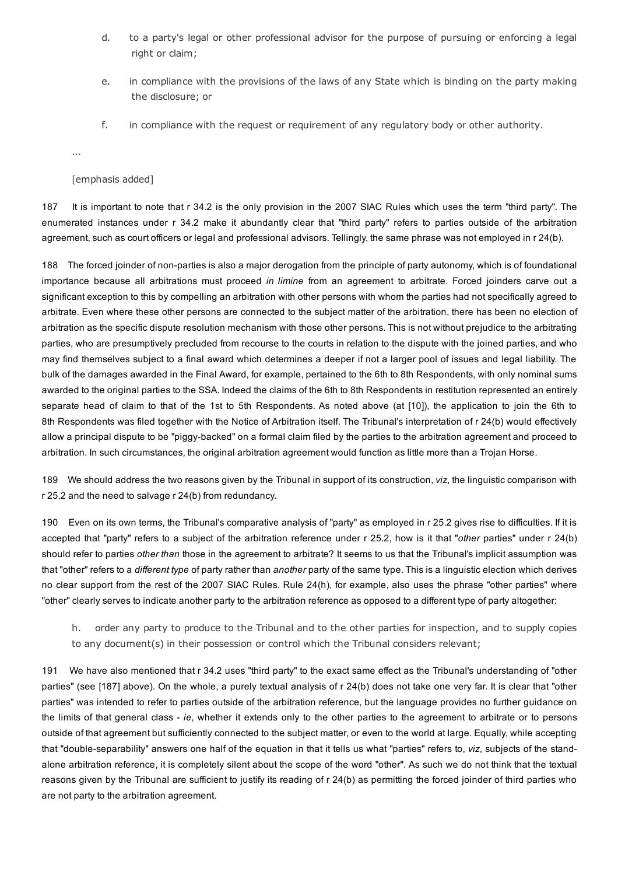- d. to a party's legal or other professional advisor for the purpose of pursuing or enforcing a legal right or claim;
- e. in compliance with the provisions of the laws of any State which is binding on the party making the disclosure; or
- f. in compliance with the request or requirement of any regulatory body or other authority.

...

[emphasis added]

187 It is important to note that r 34.2 is the only provision in the 2007 SIAC Rules which uses the term "third party". The enumerated instances under r 34.2 make it abundantly clear that "third party" refers to parties outside of the arbitration agreement, such as court officers or legal and professional advisors. Tellingly, the same phrase was not employed in r 24(b).

188 The forced joinder of non-parties is also a major derogation from the principle of party autonomy, which is of foundational importance because all arbitrations must proceed in limine from an agreement to arbitrate. Forced joinders carve out a significant exception to this by compelling an arbitration with other persons with whom the parties had not specifically agreed to arbitrate. Even where these other persons are connected to the subject matter of the arbitration, there has been no election of arbitration as the specific dispute resolution mechanism with those other persons. This is not without prejudice to the arbitrating parties, who are presumptively precluded from recourse to the courts in relation to the dispute with the joined parties, and who may find themselves subject to a final award which determines a deeper if not a larger pool of issues and legal liability. The bulk of the damages awarded in the Final Award, for example, pertained to the 6th to 8th Respondents, with only nominal sums awarded to the original parties to the SSA. Indeed the claims of the 6th to 8th Respondents in restitution represented an entirely separate head of claim to that of the 1st to 5th Respondents. As noted above (at [10]), the application to join the 6th to 8th Respondents was filed together with the Notice of Arbitration itself. The Tribunal's interpretation of r 24(b) would effectively allow a principal dispute to be "piggy-backed" on a formal claim filed by the parties to the arbitration agreement and proceed to arbitration. In such circumstances, the original arbitration agreement would function as little more than a Trojan Horse.

189 We should address the two reasons given by the Tribunal in support of its construction, viz, the linguistic comparison with r 25.2 and the need to salvage r 24(b) from redundancy.

190 Even on its own terms, the Tribunal's comparative analysis of "party" as employed in r 25.2 gives rise to difficulties. If it is accepted that "party" refers to a subject of the arbitration reference under r 25.2, how is it that "other parties" under r 24(b) should refer to parties other than those in the agreement to arbitrate? It seems to us that the Tribunal's implicit assumption was that "other" refers to a different type of party rather than another party of the same type. This is a linguistic election which derives no clear support from the rest of the 2007 SIAC Rules. Rule 24(h), for example, also uses the phrase "other parties" where "other" clearly serves to indicate another party to the arbitration reference as opposed to a different type of party altogether:

h. order any party to produce to the Tribunal and to the other parties for inspection, and to supply copies to any document(s) in their possession or control which the Tribunal considers relevant;

<span id="page-42-0"></span>191 We have also mentioned that r 34.2 uses "third party" to the exact same effect as the Tribunal's understanding of "other parties" (see [187] above). On the whole, a purely textual analysis of r 24(b) does not take one very far. It is clear that "other parties" was intended to refer to parties outside of the arbitration reference, but the language provides no further guidance on the limits of that general class - ie, whether it extends only to the other parties to the agreement to arbitrate or to persons outside of that agreement but sufficiently connected to the subject matter, or even to the world at large. Equally, while accepting that "double-separability" answers one half of the equation in that it tells us what "parties" refers to, viz, subjects of the standalone arbitration reference, it is completely silent about the scope of the word "other". As such we do not think that the textual reasons given by the Tribunal are sufficient to justify its reading of r 24(b) as permitting the forced joinder of third parties who are not party to the arbitration agreement.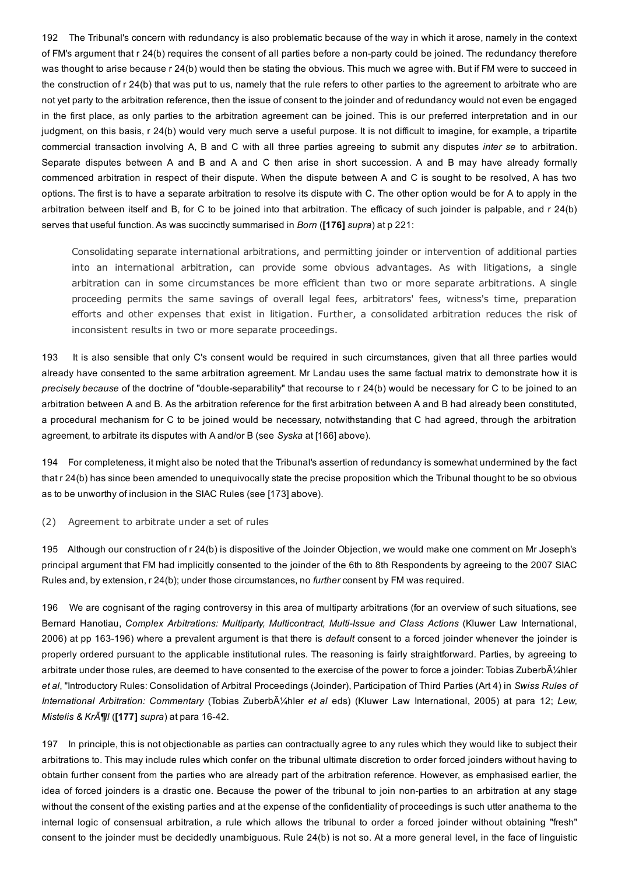192 The Tribunal's concern with redundancy is also problematic because of the way in which it arose, namely in the context of FM's argument that r 24(b) requires the consent of all parties before a non-party could be joined. The redundancy therefore was thought to arise because r 24(b) would then be stating the obvious. This much we agree with. But if FM were to succeed in the construction of r 24(b) that was put to us, namely that the rule refers to other parties to the agreement to arbitrate who are not yet party to the arbitration reference, then the issue of consent to the joinder and of redundancy would not even be engaged in the first place, as only parties to the arbitration agreement can be joined. This is our preferred interpretation and in our judgment, on this basis, r 24(b) would very much serve a useful purpose. It is not difficult to imagine, for example, a tripartite commercial transaction involving A, B and C with all three parties agreeing to submit any disputes inter se to arbitration. Separate disputes between A and B and A and C then arise in short succession. A and B may have already formally commenced arbitration in respect of their dispute. When the dispute between A and C is sought to be resolved, A has two options. The first is to have a separate arbitration to resolve its dispute with C. The other option would be for A to apply in the arbitration between itself and B, for C to be joined into that arbitration. The efficacy of such joinder is palpable, and r 24(b) serves that useful function. As was succinctly summarised in *Born* [\(\[176\]](#page-39-1) supra) at p 221:

Consolidating separate international arbitrations, and permitting joinder or intervention of additional parties into an international arbitration, can provide some obvious advantages. As with litigations, a single arbitration can in some circumstances be more efficient than two or more separate arbitrations. A single proceeding permits the same savings of overall legal fees, arbitrators' fees, witness's time, preparation efforts and other expenses that exist in litigation. Further, a consolidated arbitration reduces the risk of inconsistent results in two or more separate proceedings.

<span id="page-43-0"></span>193 It is also sensible that only C's consent would be required in such circumstances, given that all three parties would already have consented to the same arbitration agreement. Mr Landau uses the same factual matrix to demonstrate how it is precisely because of the doctrine of "double-separability" that recourse to r 24(b) would be necessary for C to be joined to an arbitration between A and B. As the arbitration reference for the first arbitration between A and B had already been constituted, a procedural mechanism for C to be joined would be necessary, notwithstanding that C had agreed, through the arbitration agreement, to arbitrate its disputes with A and/or B (see Syska at [166] above).

194 For completeness, it might also be noted that the Tribunal's assertion of redundancy is somewhat undermined by the fact that r 24(b) has since been amended to unequivocally state the precise proposition which the Tribunal thought to be so obvious as to be unworthy of inclusion in the SIAC Rules (see [173] above).

(2) Agreement to arbitrate under a set of rules

195 Although our construction of r 24(b) is dispositive of the Joinder Objection, we would make one comment on Mr Joseph's principal argument that FM had implicitly consented to the joinder of the 6th to 8th Respondents by agreeing to the 2007 SIAC Rules and, by extension, r 24(b); under those circumstances, no further consent by FM was required.

196 We are cognisant of the raging controversy in this area of multiparty arbitrations (for an overview of such situations, see Bernard Hanotiau, Complex Arbitrations: Multiparty, Multicontract, Multi-Issue and Class Actions (Kluwer Law International, 2006) at pp 163-196) where a prevalent argument is that there is default consent to a forced joinder whenever the joinder is properly ordered pursuant to the applicable institutional rules. The reasoning is fairly straightforward. Parties, by agreeing to arbitrate under those rules, are deemed to have consented to the exercise of the power to force a joinder: Tobias Zuberb $\tilde{A}$ '/<sub>a</sub>hler et al, "Introductory Rules: Consolidation of Arbitral Proceedings (Joinder), Participation of Third Parties (Art 4) in Swiss Rules of International Arbitration: Commentary (Tobias Zuberbühler et al eds) (Kluwer Law International, 2005) at para 12; Lew, Mistelis & KröI ([\[177\]](#page-39-2) supra) at para 16-42.

<span id="page-43-1"></span>197 In principle, this is not objectionable as parties can contractually agree to any rules which they would like to subject their arbitrations to. This may include rules which confer on the tribunal ultimate discretion to order forced joinders without having to obtain further consent from the parties who are already part of the arbitration reference. However, as emphasised earlier, the idea of forced joinders is a drastic one. Because the power of the tribunal to join non-parties to an arbitration at any stage without the consent of the existing parties and at the expense of the confidentiality of proceedings is such utter anathema to the internal logic of consensual arbitration, a rule which allows the tribunal to order a forced joinder without obtaining "fresh" consent to the joinder must be decidedly unambiguous. Rule 24(b) is not so. At a more general level, in the face of linguistic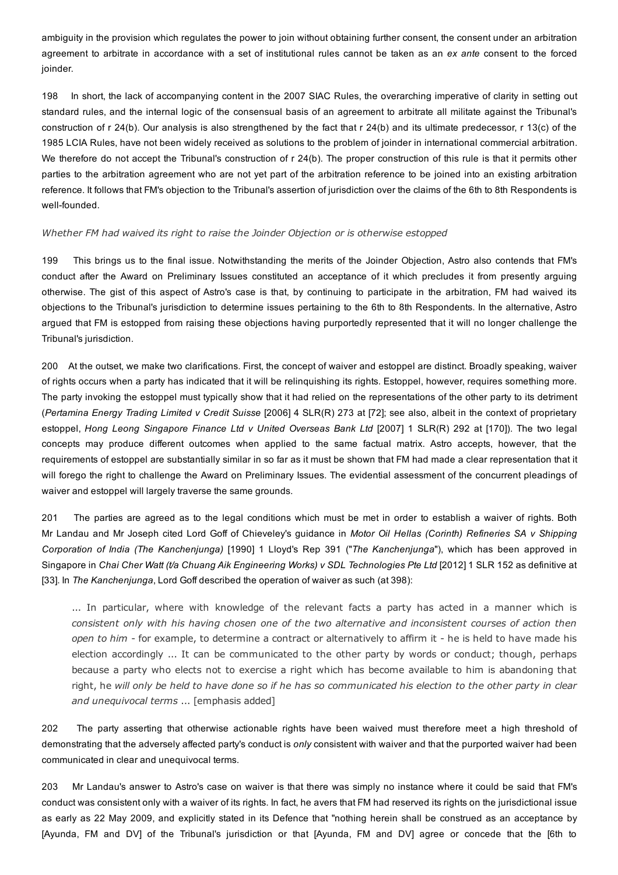ambiguity in the provision which regulates the power to join without obtaining further consent, the consent under an arbitration agreement to arbitrate in accordance with a set of institutional rules cannot be taken as an ex ante consent to the forced joinder.

<span id="page-44-0"></span>198 In short, the lack of accompanying content in the 2007 SIAC Rules, the overarching imperative of clarity in setting out standard rules, and the internal logic of the consensual basis of an agreement to arbitrate all militate against the Tribunal's construction of r 24(b). Our analysis is also strengthened by the fact that r 24(b) and its ultimate predecessor, r 13(c) of the 1985 LCIA Rules, have not been widely received as solutions to the problem of joinder in international commercial arbitration. We therefore do not accept the Tribunal's construction of r 24(b). The proper construction of this rule is that it permits other parties to the arbitration agreement who are not yet part of the arbitration reference to be joined into an existing arbitration reference. It follows that FM's objection to the Tribunal's assertion of jurisdiction over the claims of the 6th to 8th Respondents is well-founded.

### Whether FM had waived its right to raise the Joinder Objection or is otherwise estopped

199 This brings us to the final issue. Notwithstanding the merits of the Joinder Objection, Astro also contends that FM's conduct after the Award on Preliminary Issues constituted an acceptance of it which precludes it from presently arguing otherwise. The gist of this aspect of Astro's case is that, by continuing to participate in the arbitration, FM had waived its objections to the Tribunal's jurisdiction to determine issues pertaining to the 6th to 8th Respondents. In the alternative, Astro argued that FM is estopped from raising these objections having purportedly represented that it will no longer challenge the Tribunal's jurisdiction.

200 At the outset, we make two clarifications. First, the concept of waiver and estoppel are distinct. Broadly speaking, waiver of rights occurs when a party has indicated that it will be relinquishing its rights. Estoppel, however, requires something more. The party invoking the estoppel must typically show that it had relied on the representations of the other party to its detriment (Pertamina Energy Trading Limited v Credit Suisse [2006] 4 SLR(R) 273 at [72]; see also, albeit in the context of proprietary estoppel, Hong Leong Singapore Finance Ltd v United Overseas Bank Ltd [2007] 1 SLR(R) 292 at [170]). The two legal concepts may produce different outcomes when applied to the same factual matrix. Astro accepts, however, that the requirements of estoppel are substantially similar in so far as it must be shown that FM had made a clear representation that it will forego the right to challenge the Award on Preliminary Issues. The evidential assessment of the concurrent pleadings of waiver and estoppel will largely traverse the same grounds.

201 The parties are agreed as to the legal conditions which must be met in order to establish a waiver of rights. Both Mr Landau and Mr Joseph cited Lord Goff of Chieveley's guidance in Motor Oil Hellas (Corinth) Refineries SA v Shipping Corporation of India (The Kanchenjunga) [1990] 1 Lloyd's Rep 391 ("The Kanchenjunga"), which has been approved in Singapore in Chai Cher Watt (t/a Chuang Aik Engineering Works) v SDL Technologies Pte Ltd [2012] 1 SLR 152 as definitive at [33]. In The Kanchenjunga, Lord Goff described the operation of waiver as such (at 398):

... In particular, where with knowledge of the relevant facts a party has acted in a manner which is consistent only with his having chosen one of the two alternative and inconsistent courses of action then open to him - for example, to determine a contract or alternatively to affirm it - he is held to have made his election accordingly ... It can be communicated to the other party by words or conduct; though, perhaps because a party who elects not to exercise a right which has become available to him is abandoning that right, he will only be held to have done so if he has so communicated his election to the other party in clear and unequivocal terms ... [emphasis added]

202 The party asserting that otherwise actionable rights have been waived must therefore meet a high threshold of demonstrating that the adversely affected party's conduct is only consistent with waiver and that the purported waiver had been communicated in clear and unequivocal terms.

203 Mr Landau's answer to Astro's case on waiver is that there was simply no instance where it could be said that FM's conduct was consistent only with a waiver of its rights. In fact, he avers that FM had reserved its rights on the jurisdictional issue as early as 22 May 2009, and explicitly stated in its Defence that "nothing herein shall be construed as an acceptance by [Ayunda, FM and DV] of the Tribunal's jurisdiction or that [Ayunda, FM and DV] agree or concede that the [6th to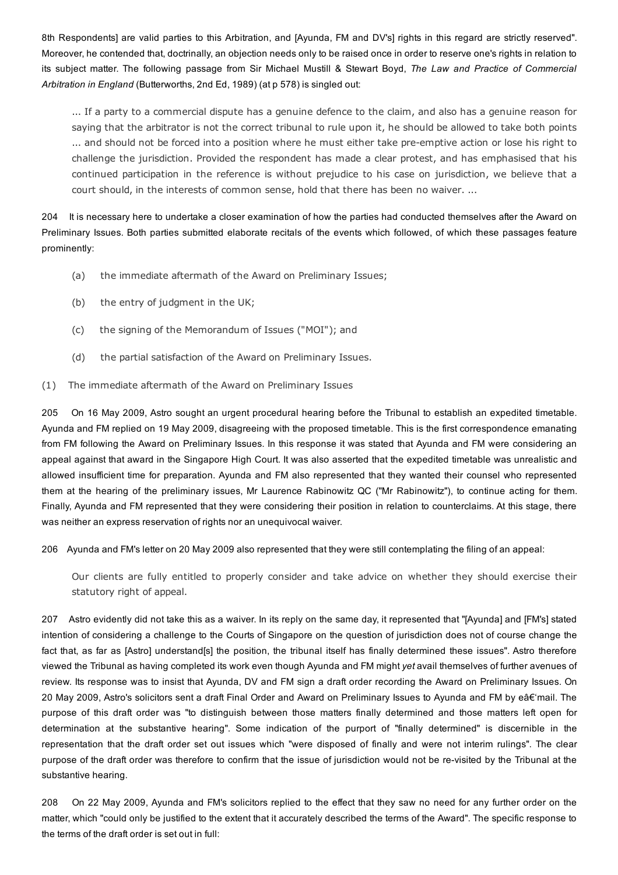8th Respondents] are valid parties to this Arbitration, and [Ayunda, FM and DV's] rights in this regard are strictly reserved". Moreover, he contended that, doctrinally, an objection needs only to be raised once in order to reserve one's rights in relation to its subject matter. The following passage from Sir Michael Mustill & Stewart Boyd, The Law and Practice of Commercial Arbitration in England (Butterworths, 2nd Ed, 1989) (at p 578) is singled out:

... If a party to a commercial dispute has a genuine defence to the claim, and also has a genuine reason for saying that the arbitrator is not the correct tribunal to rule upon it, he should be allowed to take both points ... and should not be forced into a position where he must either take pre-emptive action or lose his right to challenge the jurisdiction. Provided the respondent has made a clear protest, and has emphasised that his continued participation in the reference is without prejudice to his case on jurisdiction, we believe that a court should, in the interests of common sense, hold that there has been no waiver. ...

204 It is necessary here to undertake a closer examination of how the parties had conducted themselves after the Award on Preliminary Issues. Both parties submitted elaborate recitals of the events which followed, of which these passages feature prominently:

- (a) the immediate aftermath of the Award on Preliminary Issues;
- (b) the entry of judgment in the UK;
- (c) the signing of the Memorandum of Issues ("MOI"); and
- (d) the partial satisfaction of the Award on Preliminary Issues.
- (1) The immediate aftermath of the Award on Preliminary Issues

<span id="page-45-0"></span>205 On 16 May 2009, Astro sought an urgent procedural hearing before the Tribunal to establish an expedited timetable. Ayunda and FM replied on 19 May 2009, disagreeing with the proposed timetable. This is the first correspondence emanating from FM following the Award on Preliminary Issues. In this response it was stated that Ayunda and FM were considering an appeal against that award in the Singapore High Court. It was also asserted that the expedited timetable was unrealistic and allowed insufficient time for preparation. Ayunda and FM also represented that they wanted their counsel who represented them at the hearing of the preliminary issues, Mr Laurence Rabinowitz QC ("Mr Rabinowitz"), to continue acting for them. Finally, Ayunda and FM represented that they were considering their position in relation to counterclaims. At this stage, there was neither an express reservation of rights nor an unequivocal waiver.

206 Ayunda and FM's letter on 20 May 2009 also represented that they were still contemplating the filing of an appeal:

Our clients are fully entitled to properly consider and take advice on whether they should exercise their statutory right of appeal.

207 Astro evidently did not take this as a waiver. In its reply on the same day, it represented that "[Ayunda] and [FM's] stated intention of considering a challenge to the Courts of Singapore on the question of jurisdiction does not of course change the fact that, as far as [Astro] understand[s] the position, the tribunal itself has finally determined these issues". Astro therefore viewed the Tribunal as having completed its work even though Ayunda and FM might yet avail themselves of further avenues of review. Its response was to insist that Ayunda, DV and FM sign a draft order recording the Award on Preliminary Issues. On 20 May 2009, Astro's solicitors sent a draft Final Order and Award on Preliminary Issues to Ayunda and FM by eâ€'mail. The purpose of this draft order was "to distinguish between those matters finally determined and those matters left open for determination at the substantive hearing". Some indication of the purport of "finally determined" is discernible in the representation that the draft order set out issues which "were disposed of finally and were not interim rulings". The clear purpose of the draft order was therefore to confirm that the issue of jurisdiction would not be re-visited by the Tribunal at the substantive hearing.

208 On 22 May 2009, Ayunda and FM's solicitors replied to the effect that they saw no need for any further order on the matter, which "could only be justified to the extent that it accurately described the terms of the Award". The specific response to the terms of the draft order is set out in full: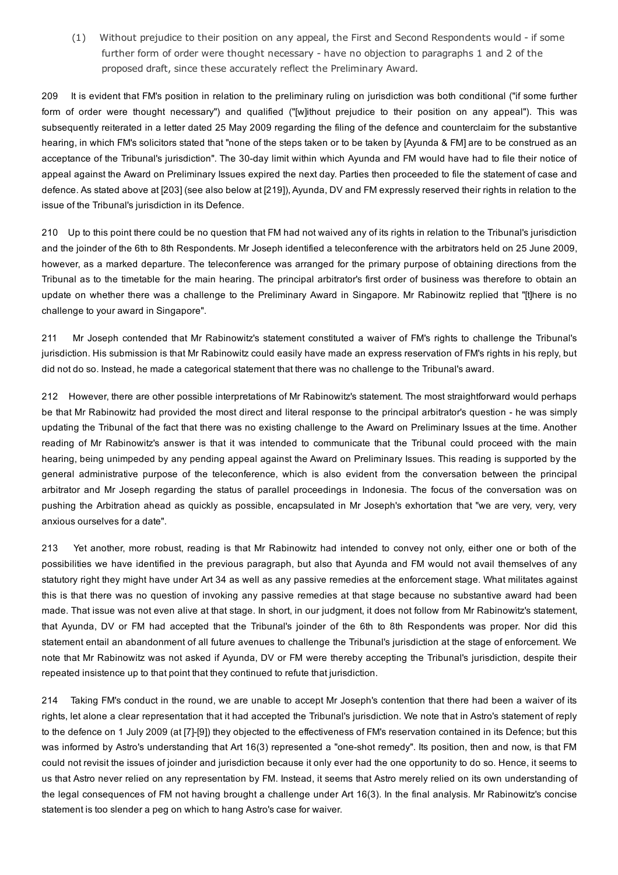(1) Without prejudice to their position on any appeal, the First and Second Respondents would if some further form of order were thought necessary - have no objection to paragraphs 1 and 2 of the proposed draft, since these accurately reflect the Preliminary Award.

209 It is evident that FM's position in relation to the preliminary ruling on jurisdiction was both conditional ("if some further form of order were thought necessary") and qualified ("[w]ithout prejudice to their position on any appeal"). This was subsequently reiterated in a letter dated 25 May 2009 regarding the filing of the defence and counterclaim for the substantive hearing, in which FM's solicitors stated that "none of the steps taken or to be taken by [Ayunda & FM] are to be construed as an acceptance of the Tribunal's jurisdiction". The 30-day limit within which Ayunda and FM would have had to file their notice of appeal against the Award on Preliminary Issues expired the next day. Parties then proceeded to file the statement of case and defence. As stated above at [203] (see also below at [219]), Ayunda, DV and FM expressly reserved their rights in relation to the issue of the Tribunal's jurisdiction in its Defence.

210 Up to this point there could be no question that FM had not waived any of its rights in relation to the Tribunal's jurisdiction and the joinder of the 6th to 8th Respondents. Mr Joseph identified a teleconference with the arbitrators held on 25 June 2009, however, as a marked departure. The teleconference was arranged for the primary purpose of obtaining directions from the Tribunal as to the timetable for the main hearing. The principal arbitrator's first order of business was therefore to obtain an update on whether there was a challenge to the Preliminary Award in Singapore. Mr Rabinowitz replied that "[t]here is no challenge to your award in Singapore".

211 Mr Joseph contended that Mr Rabinowitz's statement constituted a waiver of FM's rights to challenge the Tribunal's jurisdiction. His submission is that Mr Rabinowitz could easily have made an express reservation of FM's rights in his reply, but did not do so. Instead, he made a categorical statement that there was no challenge to the Tribunal's award.

212 However, there are other possible interpretations of Mr Rabinowitz's statement. The most straightforward would perhaps be that Mr Rabinowitz had provided the most direct and literal response to the principal arbitrator's question - he was simply updating the Tribunal of the fact that there was no existing challenge to the Award on Preliminary Issues at the time. Another reading of Mr Rabinowitz's answer is that it was intended to communicate that the Tribunal could proceed with the main hearing, being unimpeded by any pending appeal against the Award on Preliminary Issues. This reading is supported by the general administrative purpose of the teleconference, which is also evident from the conversation between the principal arbitrator and Mr Joseph regarding the status of parallel proceedings in Indonesia. The focus of the conversation was on pushing the Arbitration ahead as quickly as possible, encapsulated in Mr Joseph's exhortation that "we are very, very, very anxious ourselves for a date".

213 Yet another, more robust, reading is that Mr Rabinowitz had intended to convey not only, either one or both of the possibilities we have identified in the previous paragraph, but also that Ayunda and FM would not avail themselves of any statutory right they might have under Art 34 as well as any passive remedies at the enforcement stage. What militates against this is that there was no question of invoking any passive remedies at that stage because no substantive award had been made. That issue was not even alive at that stage. In short, in our judgment, it does not follow from Mr Rabinowitz's statement, that Ayunda, DV or FM had accepted that the Tribunal's joinder of the 6th to 8th Respondents was proper. Nor did this statement entail an abandonment of all future avenues to challenge the Tribunal's jurisdiction at the stage of enforcement. We note that Mr Rabinowitz was not asked if Ayunda, DV or FM were thereby accepting the Tribunal's jurisdiction, despite their repeated insistence up to that point that they continued to refute that jurisdiction.

214 Taking FM's conduct in the round, we are unable to accept Mr Joseph's contention that there had been a waiver of its rights, let alone a clear representation that it had accepted the Tribunal's jurisdiction. We note that in Astro's statement of reply to the defence on 1 July 2009 (at [7]-[9]) they objected to the effectiveness of FM's reservation contained in its Defence; but this was informed by Astro's understanding that Art 16(3) represented a "one-shot remedy". Its position, then and now, is that FM could not revisit the issues of joinder and jurisdiction because it only ever had the one opportunity to do so. Hence, it seems to us that Astro never relied on any representation by FM. Instead, it seems that Astro merely relied on its own understanding of the legal consequences of FM not having brought a challenge under Art 16(3). In the final analysis. Mr Rabinowitz's concise statement is too slender a peg on which to hang Astro's case for waiver.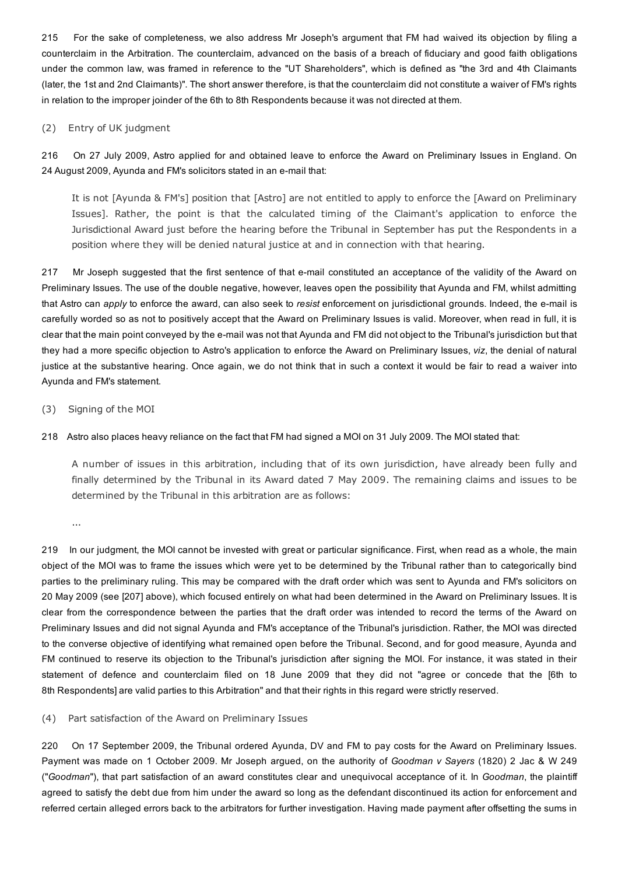215 For the sake of completeness, we also address Mr Joseph's argument that FM had waived its objection by filing a counterclaim in the Arbitration. The counterclaim, advanced on the basis of a breach of fiduciary and good faith obligations under the common law, was framed in reference to the "UT Shareholders", which is defined as "the 3rd and 4th Claimants (later, the 1st and 2nd Claimants)". The short answer therefore, is that the counterclaim did not constitute a waiver of FM's rights in relation to the improper joinder of the 6th to 8th Respondents because it was not directed at them.

# (2) Entry of UK judgment

216 On 27 July 2009, Astro applied for and obtained leave to enforce the Award on Preliminary Issues in England. On 24 August 2009, Ayunda and FM's solicitors stated in an e-mail that:

It is not [Ayunda & FM's] position that [Astro] are not entitled to apply to enforce the [Award on Preliminary Issues]. Rather, the point is that the calculated timing of the Claimant's application to enforce the Jurisdictional Award just before the hearing before the Tribunal in September has put the Respondents in a position where they will be denied natural justice at and in connection with that hearing.

217 Mr Joseph suggested that the first sentence of that e-mail constituted an acceptance of the validity of the Award on Preliminary Issues. The use of the double negative, however, leaves open the possibility that Ayunda and FM, whilst admitting that Astro can apply to enforce the award, can also seek to resist enforcement on jurisdictional grounds. Indeed, the e-mail is carefully worded so as not to positively accept that the Award on Preliminary Issues is valid. Moreover, when read in full, it is clear that the main point conveyed by the e-mail was not that Ayunda and FM did not object to the Tribunal's jurisdiction but that they had a more specific objection to Astro's application to enforce the Award on Preliminary Issues, viz, the denial of natural justice at the substantive hearing. Once again, we do not think that in such a context it would be fair to read a waiver into Ayunda and FM's statement.

# (3) Signing of the MOI

218 Astro also places heavy reliance on the fact that FM had signed a MOI on 31 July 2009. The MOI stated that:

A number of issues in this arbitration, including that of its own jurisdiction, have already been fully and finally determined by the Tribunal in its Award dated 7 May 2009. The remaining claims and issues to be determined by the Tribunal in this arbitration are as follows:

...

219 In our judgment, the MOI cannot be invested with great or particular significance. First, when read as a whole, the main object of the MOI was to frame the issues which were yet to be determined by the Tribunal rather than to categorically bind parties to the preliminary ruling. This may be compared with the draft order which was sent to Ayunda and FM's solicitors on 20 May 2009 (see [207] above), which focused entirely on what had been determined in the Award on Preliminary Issues. It is clear from the correspondence between the parties that the draft order was intended to record the terms of the Award on Preliminary Issues and did not signal Ayunda and FM's acceptance of the Tribunal's jurisdiction. Rather, the MOI was directed to the converse objective of identifying what remained open before the Tribunal. Second, and for good measure, Ayunda and FM continued to reserve its objection to the Tribunal's jurisdiction after signing the MOI. For instance, it was stated in their statement of defence and counterclaim filed on 18 June 2009 that they did not "agree or concede that the [6th to 8th Respondents] are valid parties to this Arbitration" and that their rights in this regard were strictly reserved.

(4) Part satisfaction of the Award on Preliminary Issues

220 On 17 September 2009, the Tribunal ordered Ayunda, DV and FM to pay costs for the Award on Preliminary Issues. Payment was made on 1 October 2009. Mr Joseph argued, on the authority of Goodman v Sayers (1820) 2 Jac & W 249 ("Goodman"), that part satisfaction of an award constitutes clear and unequivocal acceptance of it. In Goodman, the plaintiff agreed to satisfy the debt due from him under the award so long as the defendant discontinued its action for enforcement and referred certain alleged errors back to the arbitrators for further investigation. Having made payment after offsetting the sums in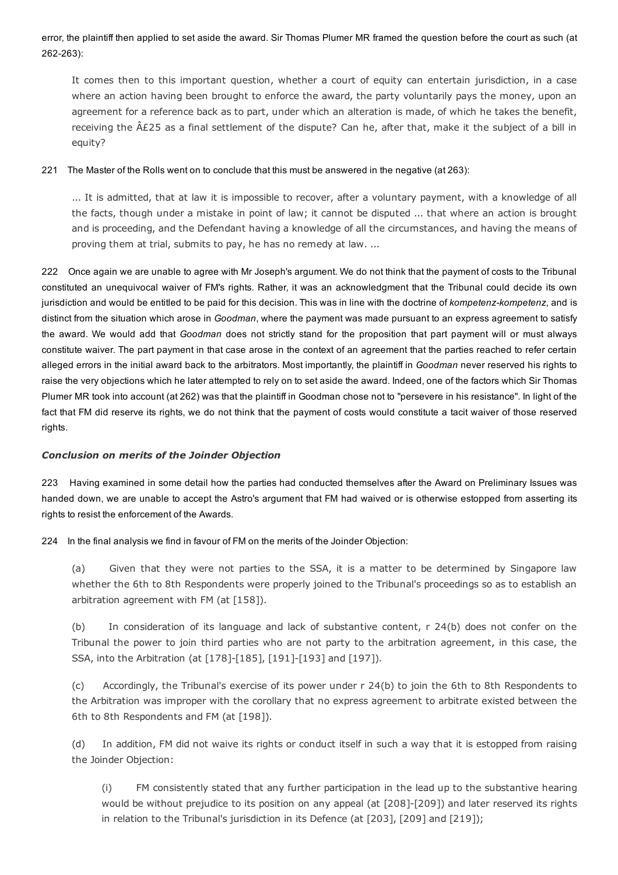error, the plaintiff then applied to set aside the award. Sir Thomas Plumer MR framed the question before the court as such (at 262263):

It comes then to this important question, whether a court of equity can entertain jurisdiction, in a case where an action having been brought to enforce the award, the party voluntarily pays the money, upon an agreement for a reference back as to part, under which an alteration is made, of which he takes the benefit, receiving the £25 as a final settlement of the dispute? Can he, after that, make it the subject of a bill in equity?

221 The Master of the Rolls went on to conclude that this must be answered in the negative (at 263):

... It is admitted, that at law it is impossible to recover, after a voluntary payment, with a knowledge of all the facts, though under a mistake in point of law; it cannot be disputed ... that where an action is brought and is proceeding, and the Defendant having a knowledge of all the circumstances, and having the means of proving them at trial, submits to pay, he has no remedy at law. ...

<span id="page-48-0"></span>222 Once again we are unable to agree with Mr Joseph's argument. We do not think that the payment of costs to the Tribunal constituted an unequivocal waiver of FM's rights. Rather, it was an acknowledgment that the Tribunal could decide its own jurisdiction and would be entitled to be paid for this decision. This was in line with the doctrine of kompetenz-kompetenz, and is distinct from the situation which arose in Goodman, where the payment was made pursuant to an express agreement to satisfy the award. We would add that Goodman does not strictly stand for the proposition that part payment will or must always constitute waiver. The part payment in that case arose in the context of an agreement that the parties reached to refer certain alleged errors in the initial award back to the arbitrators. Most importantly, the plaintiff in Goodman never reserved his rights to raise the very objections which he later attempted to rely on to set aside the award. Indeed, one of the factors which Sir Thomas Plumer MR took into account (at 262) was that the plaintiff in Goodman chose not to "persevere in his resistance". In light of the fact that FM did reserve its rights, we do not think that the payment of costs would constitute a tacit waiver of those reserved rights.

# Conclusion on merits of the Joinder Objection

223 Having examined in some detail how the parties had conducted themselves after the Award on Preliminary Issues was handed down, we are unable to accept the Astro's argument that FM had waived or is otherwise estopped from asserting its rights to resist the enforcement of the Awards.

224 In the final analysis we find in favour of FM on the merits of the Joinder Objection:

(a) Given that they were not parties to the SSA, it is a matter to be determined by Singapore law whether the 6th to 8th Respondents were properly joined to the Tribunal's proceedings so as to establish an arbitration agreement with FM (at [158]).

(b) In consideration of its language and lack of substantive content, r 24(b) does not confer on the Tribunal the power to join third parties who are not party to the arbitration agreement, in this case, the SSA, into the Arbitration (at [178]-[185], [191]-[193] and [197]).

(c) Accordingly, the Tribunal's exercise of its power under r 24(b) to join the 6th to 8th Respondents to the Arbitration was improper with the corollary that no express agreement to arbitrate existed between the 6th to 8th Respondents and FM (at [198]).

(d) In addition, FM did not waive its rights or conduct itself in such a way that it is estopped from raising the Joinder Objection:

(i) FM consistently stated that any further participation in the lead up to the substantive hearing would be without prejudice to its position on any appeal (at [208]-[209]) and later reserved its rights in relation to the Tribunal's jurisdiction in its Defence (at [203], [209] and [219]);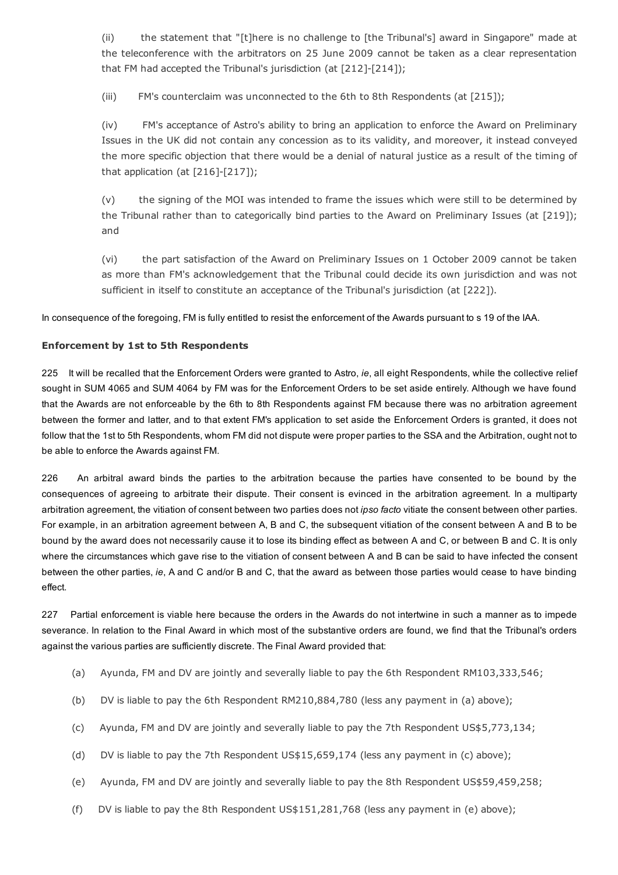(ii) the statement that "[t]here is no challenge to [the Tribunal's] award in Singapore" made at the teleconference with the arbitrators on 25 June 2009 cannot be taken as a clear representation that FM had accepted the Tribunal's jurisdiction (at  $[212]-[214]$ );

(iii) FM's counterclaim was unconnected to the 6th to 8th Respondents (at [215]);

(iv) FM's acceptance of Astro's ability to bring an application to enforce the Award on Preliminary Issues in the UK did not contain any concession as to its validity, and moreover, it instead conveyed the more specific objection that there would be a denial of natural justice as a result of the timing of that application (at  $[216]-[217]$ );

(v) the signing of the MOI was intended to frame the issues which were still to be determined by the Tribunal rather than to categorically bind parties to the Award on Preliminary Issues (at [219]); and

(vi) the part satisfaction of the Award on Preliminary Issues on 1 October 2009 cannot be taken as more than FM's acknowledgement that the Tribunal could decide its own jurisdiction and was not sufficient in itself to constitute an acceptance of the Tribunal's jurisdiction (at [222]).

In consequence of the foregoing, FM is fully entitled to resist the enforcement of the Awards pursuant to s 19 of the IAA.

# Enforcement by 1st to 5th Respondents

225 It will be recalled that the Enforcement Orders were granted to Astro, ie, all eight Respondents, while the collective relief sought in SUM 4065 and SUM 4064 by FM was for the Enforcement Orders to be set aside entirely. Although we have found that the Awards are not enforceable by the 6th to 8th Respondents against FM because there was no arbitration agreement between the former and latter, and to that extent FM's application to set aside the Enforcement Orders is granted, it does not follow that the 1st to 5th Respondents, whom FM did not dispute were proper parties to the SSA and the Arbitration, ought not to be able to enforce the Awards against FM.

<span id="page-49-0"></span>226 An arbitral award binds the parties to the arbitration because the parties have consented to be bound by the consequences of agreeing to arbitrate their dispute. Their consent is evinced in the arbitration agreement. In a multiparty arbitration agreement, the vitiation of consent between two parties does not *ipso facto* vitiate the consent between other parties. For example, in an arbitration agreement between A, B and C, the subsequent vitiation of the consent between A and B to be bound by the award does not necessarily cause it to lose its binding effect as between A and C, or between B and C. It is only where the circumstances which gave rise to the vitiation of consent between A and B can be said to have infected the consent between the other parties, ie, A and C and/or B and C, that the award as between those parties would cease to have binding effect.

227 Partial enforcement is viable here because the orders in the Awards do not intertwine in such a manner as to impede severance. In relation to the Final Award in which most of the substantive orders are found, we find that the Tribunal's orders against the various parties are sufficiently discrete. The Final Award provided that:

- (a) Ayunda, FM and DV are jointly and severally liable to pay the 6th Respondent RM103,333,546;
- (b) DV is liable to pay the 6th Respondent RM210,884,780 (less any payment in (a) above);
- (c) Ayunda, FM and DV are jointly and severally liable to pay the 7th Respondent US\$5,773,134;
- (d) DV is liable to pay the 7th Respondent US\$15,659,174 (less any payment in (c) above);
- (e) Ayunda, FM and DV are jointly and severally liable to pay the 8th Respondent US\$59,459,258;
- (f) DV is liable to pay the 8th Respondent US\$151,281,768 (less any payment in (e) above);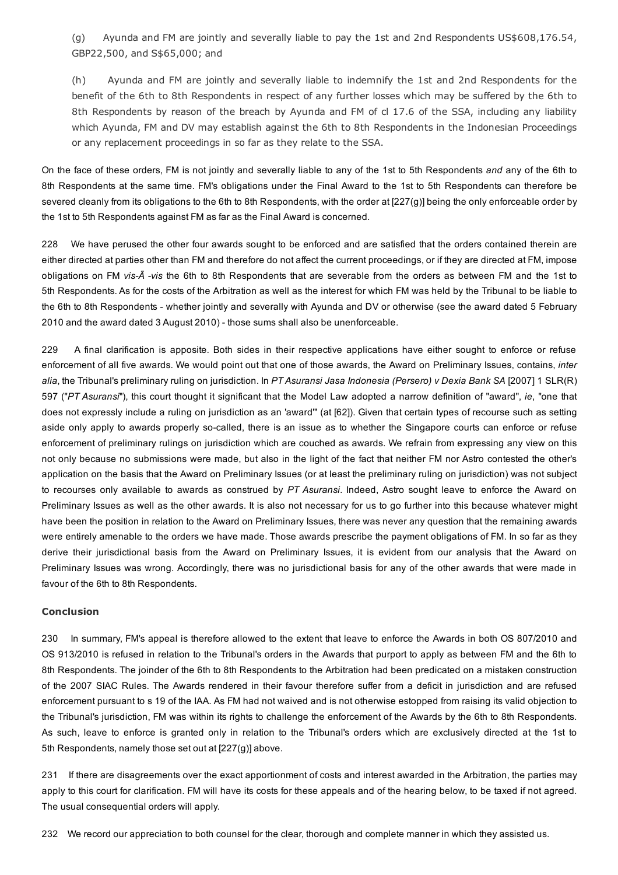(g) Ayunda and FM are jointly and severally liable to pay the 1st and 2nd Respondents US\$608,176.54, GBP22,500, and S\$65,000; and

(h) Ayunda and FM are jointly and severally liable to indemnify the 1st and 2nd Respondents for the benefit of the 6th to 8th Respondents in respect of any further losses which may be suffered by the 6th to 8th Respondents by reason of the breach by Ayunda and FM of cl 17.6 of the SSA, including any liability which Ayunda, FM and DV may establish against the 6th to 8th Respondents in the Indonesian Proceedings or any replacement proceedings in so far as they relate to the SSA.

On the face of these orders, FM is not jointly and severally liable to any of the 1st to 5th Respondents and any of the 6th to 8th Respondents at the same time. FM's obligations under the Final Award to the 1st to 5th Respondents can therefore be severed cleanly from its obligations to the 6th to 8th Respondents, with the order at [227(g)] being the only enforceable order by the 1st to 5th Respondents against FM as far as the Final Award is concerned.

<span id="page-50-0"></span>228 We have perused the other four awards sought to be enforced and are satisfied that the orders contained therein are either directed at parties other than FM and therefore do not affect the current proceedings, or if they are directed at FM, impose obligations on FM vis- $\tilde{A}$  -vis the 6th to 8th Respondents that are severable from the orders as between FM and the 1st to 5th Respondents. As for the costs of the Arbitration as well as the interest for which FM was held by the Tribunal to be liable to the 6th to 8th Respondents - whether jointly and severally with Ayunda and DV or otherwise (see the award dated 5 February 2010 and the award dated 3 August 2010) - those sums shall also be unenforceable.

229 A final clarification is apposite. Both sides in their respective applications have either sought to enforce or refuse enforcement of all five awards. We would point out that one of those awards, the Award on Preliminary Issues, contains, inter alia, the Tribunal's preliminary ruling on jurisdiction. In PT Asuransi Jasa Indonesia (Persero) v Dexia Bank SA [2007] 1 SLR(R) 597 ("PT Asuransi"), this court thought it significant that the Model Law adopted a narrow definition of "award", ie, "one that does not expressly include a ruling on jurisdiction as an 'award'" (at [62]). Given that certain types of recourse such as setting aside only apply to awards properly so-called, there is an issue as to whether the Singapore courts can enforce or refuse enforcement of preliminary rulings on jurisdiction which are couched as awards. We refrain from expressing any view on this not only because no submissions were made, but also in the light of the fact that neither FM nor Astro contested the other's application on the basis that the Award on Preliminary Issues (or at least the preliminary ruling on jurisdiction) was not subject to recourses only available to awards as construed by PT Asuransi. Indeed, Astro sought leave to enforce the Award on Preliminary Issues as well as the other awards. It is also not necessary for us to go further into this because whatever might have been the position in relation to the Award on Preliminary Issues, there was never any question that the remaining awards were entirely amenable to the orders we have made. Those awards prescribe the payment obligations of FM. In so far as they derive their jurisdictional basis from the Award on Preliminary Issues, it is evident from our analysis that the Award on Preliminary Issues was wrong. Accordingly, there was no jurisdictional basis for any of the other awards that were made in favour of the 6th to 8th Respondents.

### Conclusion

230 In summary, FM's appeal is therefore allowed to the extent that leave to enforce the Awards in both OS 807/2010 and OS 913/2010 is refused in relation to the Tribunal's orders in the Awards that purport to apply as between FM and the 6th to 8th Respondents. The joinder of the 6th to 8th Respondents to the Arbitration had been predicated on a mistaken construction of the 2007 SIAC Rules. The Awards rendered in their favour therefore suffer from a deficit in jurisdiction and are refused enforcement pursuant to s 19 of the IAA. As FM had not waived and is not otherwise estopped from raising its valid objection to the Tribunal's jurisdiction, FM was within its rights to challenge the enforcement of the Awards by the 6th to 8th Respondents. As such, leave to enforce is granted only in relation to the Tribunal's orders which are exclusively directed at the 1st to 5th Respondents, namely those set out at [227(g)] above.

231 If there are disagreements over the exact apportionment of costs and interest awarded in the Arbitration, the parties may apply to this court for clarification. FM will have its costs for these appeals and of the hearing below, to be taxed if not agreed. The usual consequential orders will apply.

232 We record our appreciation to both counsel for the clear, thorough and complete manner in which they assisted us.